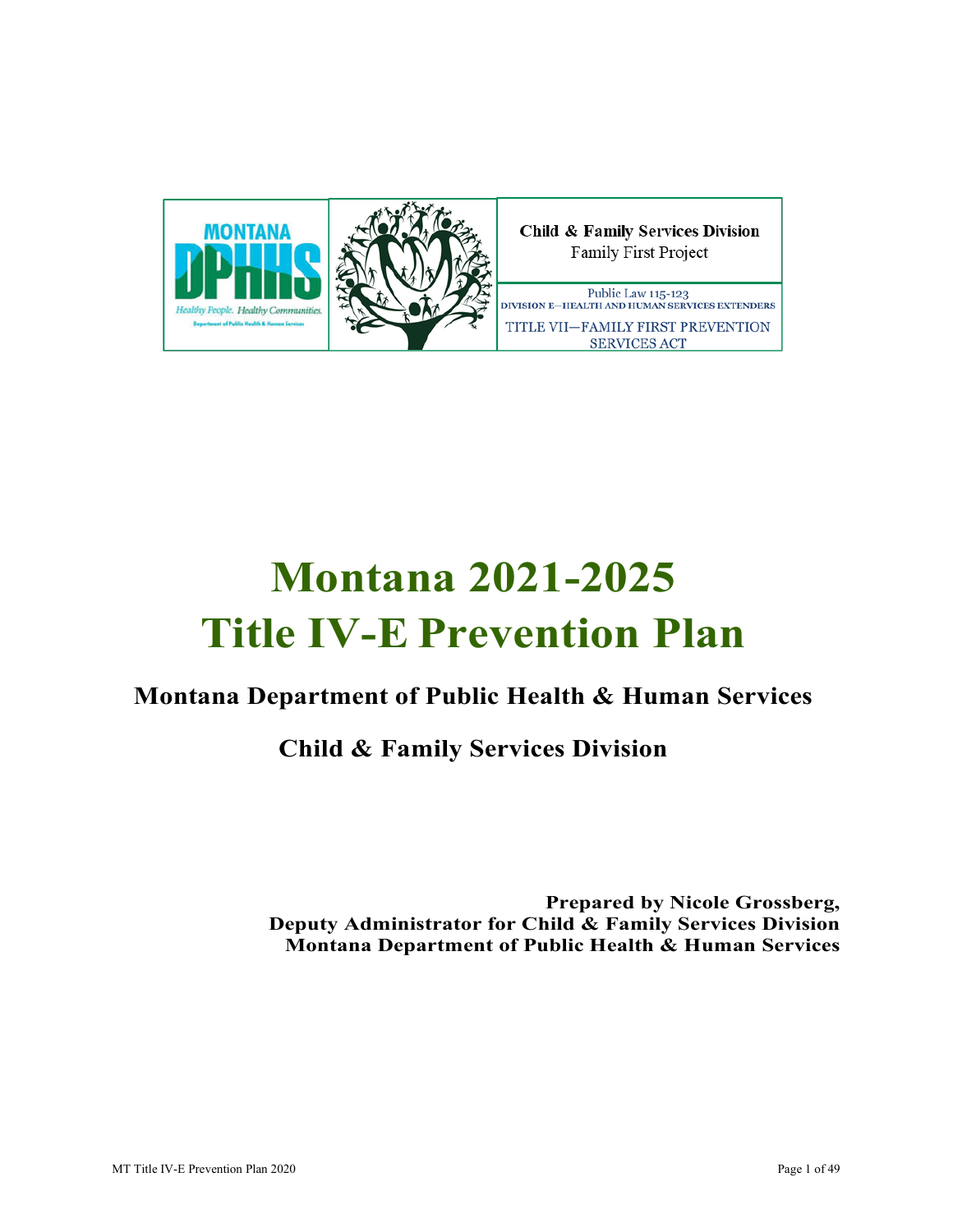

# **Montana 2021-2025 Title IV-E Prevention Plan**

# **Montana Department of Public Health & Human Services**

# **Child & Family Services Division**

 **Prepared by Nicole Grossberg, Deputy Administrator for Child & Family Services Division Montana Department of Public Health & Human Services**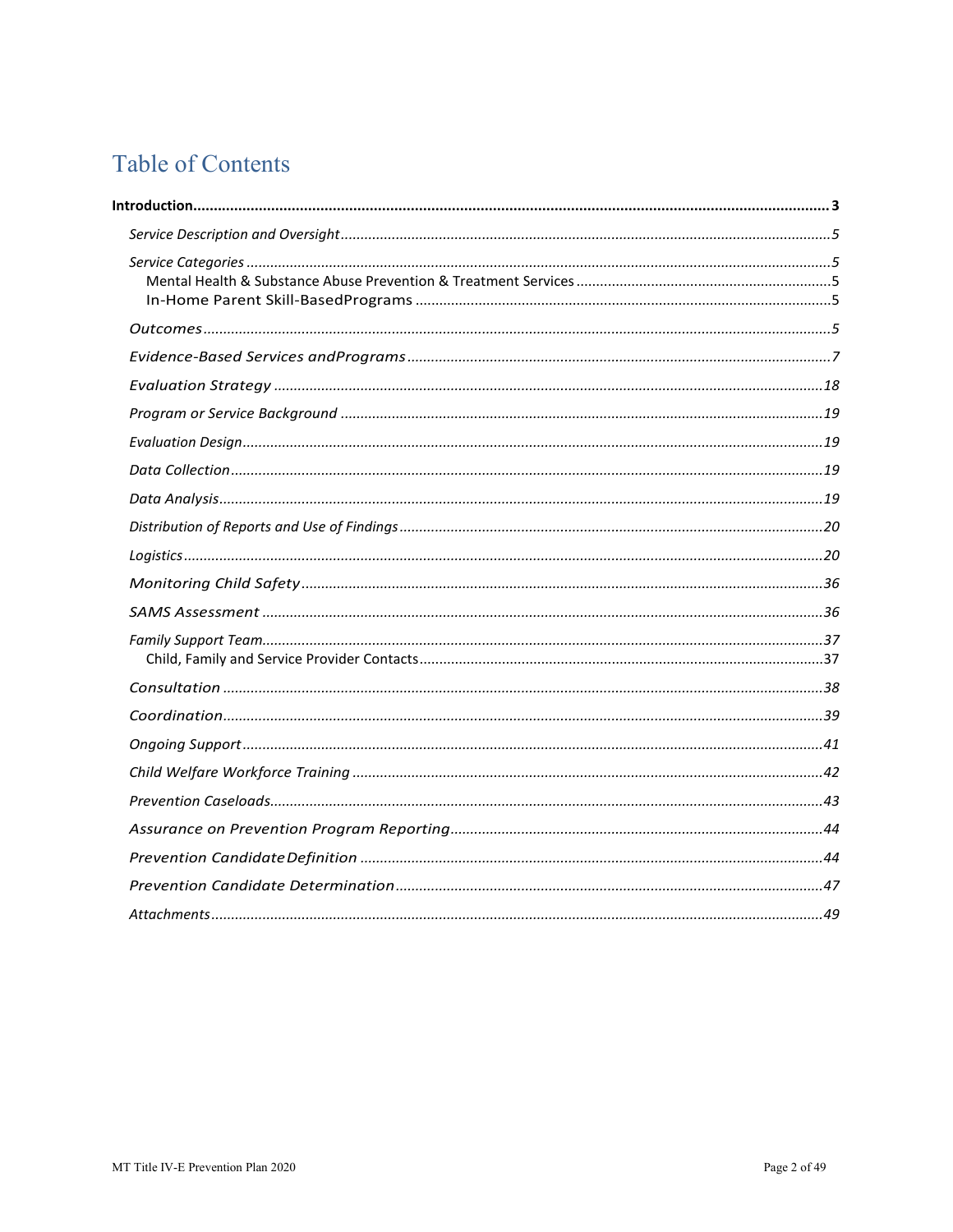# <span id="page-1-0"></span>**Table of Contents**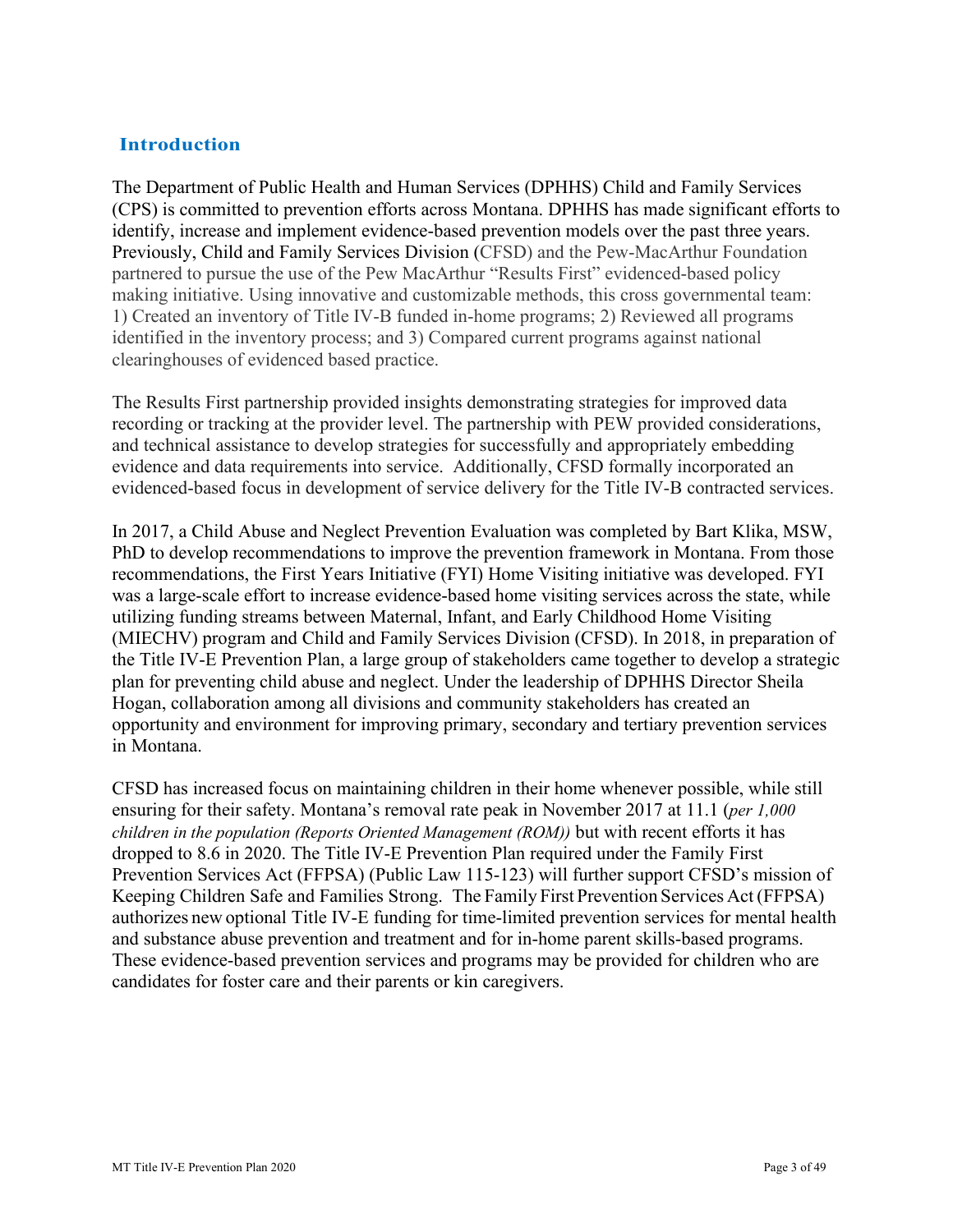# <span id="page-2-0"></span>**Introduction**

The Department of Public Health and Human Services (DPHHS) Child and Family Services (CPS) is committed to prevention efforts across Montana. DPHHS has made significant efforts to identify, increase and implement evidence-based prevention models over the past three years. Previously, Child and Family Services Division (CFSD) and the Pew-MacArthur Foundation partnered to pursue the use of the Pew MacArthur "Results First" evidenced-based policy making initiative. Using innovative and customizable methods, this cross governmental team: 1) Created an inventory of Title IV-B funded in-home programs; 2) Reviewed all programs identified in the inventory process; and 3) Compared current programs against national clearinghouses of evidenced based practice.

 evidenced-based focus in development of service delivery for the Title IV-B contracted services. The Results First partnership provided insights demonstrating strategies for improved data recording or tracking at the provider level. The partnership with PEW provided considerations, and technical assistance to develop strategies for successfully and appropriately embedding evidence and data requirements into service. Additionally, CFSD formally incorporated an

 Hogan, collaboration among all divisions and community stakeholders has created an In 2017, a Child Abuse and Neglect Prevention Evaluation was completed by Bart Klika, MSW, PhD to develop recommendations to improve the prevention framework in Montana. From those recommendations, the First Years Initiative (FYI) Home Visiting initiative was developed. FYI was a large-scale effort to increase evidence-based home visiting services across the state, while utilizing funding streams between Maternal, Infant, and Early Childhood Home Visiting (MIECHV) program and Child and Family Services Division (CFSD). In 2018, in preparation of the Title IV-E Prevention Plan, a large group of stakeholders came together to develop a strategic plan for preventing child abuse and neglect. Under the leadership of DPHHS Director Sheila opportunity and environment for improving primary, secondary and tertiary prevention services in Montana.

 CFSD has increased focus on maintaining children in their home whenever possible, while still ensuring for their safety. Montana's removal rate peak in November 2017 at 11.1 (*per 1,000*  Keeping Children Safe and Families Strong. The Family First Prevention Services Act (FFPSA) authorizes new optional Title IV-E funding for time-limited prevention services for mental health and substance abuse prevention and treatment and for in-home parent skills-based programs. *children in the population (Reports Oriented Management (ROM))* but with recent efforts it has dropped to 8.6 in 2020. The Title IV-E Prevention Plan required under the Family First Prevention Services Act (FFPSA) (Public Law 115-123) will further support CFSD's mission of These evidence-based prevention services and programs may be provided for children who are candidates for foster care and their parents or kin caregivers.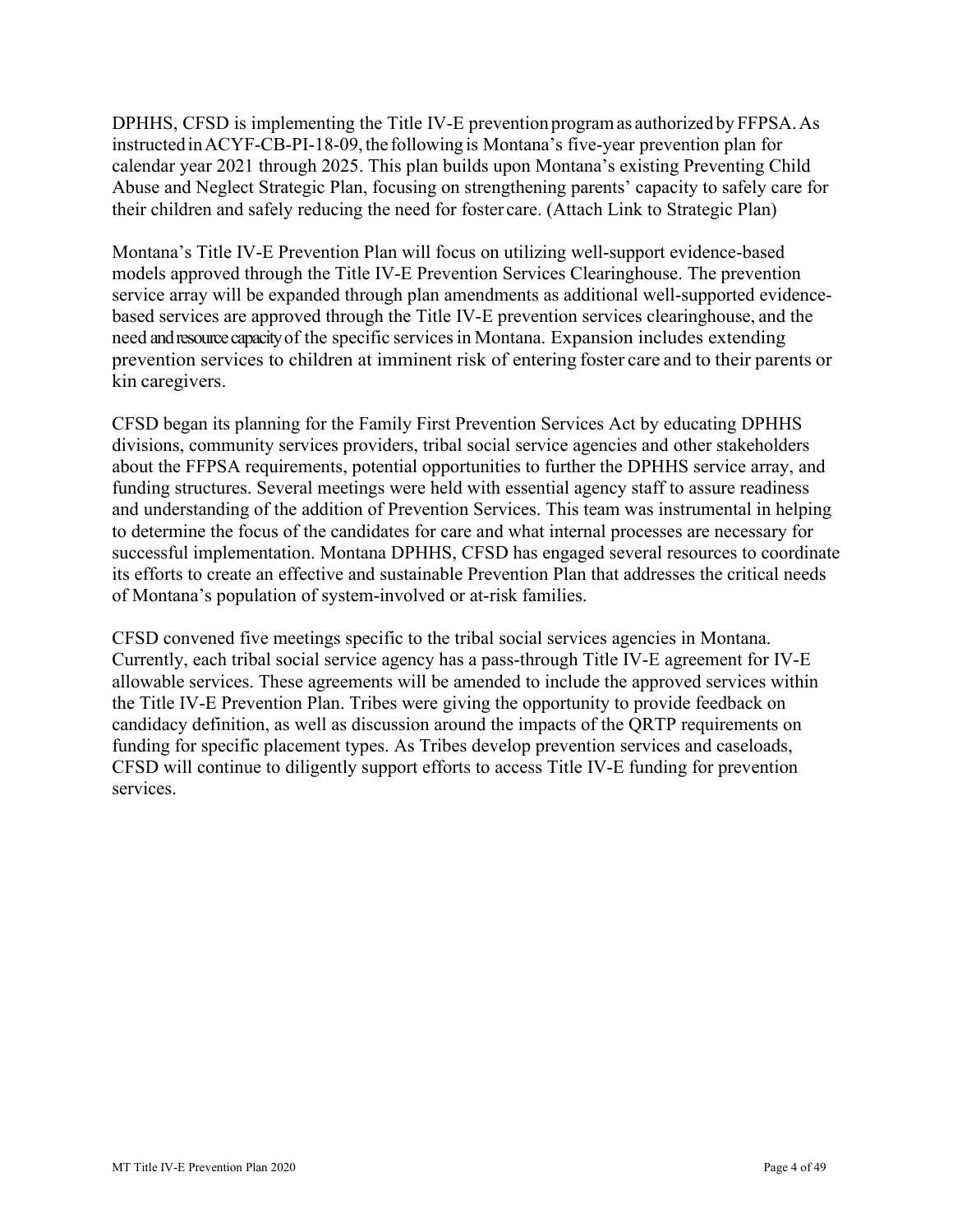DPHHS, CFSD is implementing the Title IV-E prevention program as authorized by FFPSA. As instructedinACYF-CB-PI-18-09, the following is Montana's five-year prevention plan for calendar year 2021 through 2025. This plan builds upon Montana's existing Preventing Child their children and safely reducing the need for foster care. (Attach Link to Strategic Plan) Abuse and Neglect Strategic Plan, focusing on strengthening parents' capacity to safely care for

 Montana's Title IV-E Prevention Plan will focus on utilizing well-support evidence-based based services are approved through the Title IV-E prevention services clearinghouse, and the need and resource capacity of the specific services in Montana. Expansion includes extending prevention services to children at imminent risk of entering foster care and to their parents or models approved through the Title IV-E Prevention Services Clearinghouse. The prevention service array will be expanded through plan amendments as additional well-supported evidencekin caregivers.

 divisions, community services providers, tribal social service agencies and other stakeholders CFSD began its planning for the Family First Prevention Services Act by educating DPHHS about the FFPSA requirements, potential opportunities to further the DPHHS service array, and funding structures. Several meetings were held with essential agency staff to assure readiness and understanding of the addition of Prevention Services. This team was instrumental in helping to determine the focus of the candidates for care and what internal processes are necessary for successful implementation. Montana DPHHS, CFSD has engaged several resources to coordinate its efforts to create an effective and sustainable Prevention Plan that addresses the critical needs of Montana's population of system-involved or at-risk families.

CFSD convened five meetings specific to the tribal social services agencies in Montana. Currently, each tribal social service agency has a pass-through Title IV-E agreement for IV-E allowable services. These agreements will be amended to include the approved services within the Title IV-E Prevention Plan. Tribes were giving the opportunity to provide feedback on candidacy definition, as well as discussion around the impacts of the QRTP requirements on funding for specific placement types. As Tribes develop prevention services and caseloads, CFSD will continue to diligently support efforts to access Title IV-E funding for prevention services.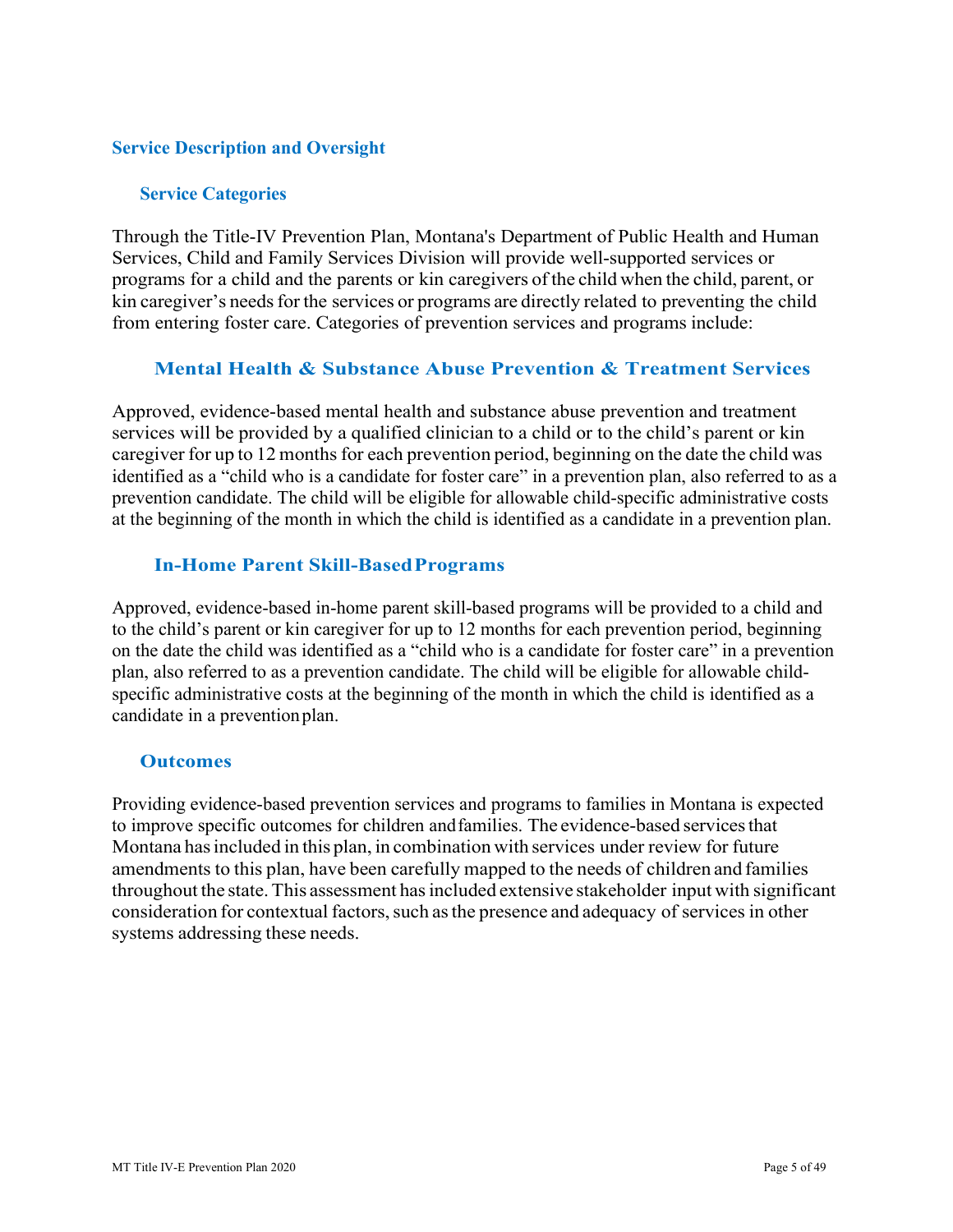#### <span id="page-4-0"></span>**Service Description and Oversight**

#### <span id="page-4-1"></span>**Service Categories**

 Through the Title-IV Prevention Plan, Montana's Department of Public Health and Human Services, Child and Family Services Division will provide well-supported services or programs for a child and the parents or kin caregivers of the child when the child, parent, or kin caregiver's needs for the services or programs are directly related to preventing the child from entering foster care. Categories of prevention services and programs include:

#### <span id="page-4-2"></span>**Mental Health & Substance Abuse Prevention & Treatment Services**

 Approved, evidence-based mental health and substance abuse prevention and treatment services will be provided by a qualified clinician to a child or to the child's parent or kin caregiver for up to 12 months for each prevention period, beginning on the date the child was identified as a "child who is a candidate for foster care" in a prevention plan, also referred to as a prevention candidate. The child will be eligible for allowable child-specific administrative costs at the beginning of the month in which the child is identified as a candidate in a prevention plan.

#### <span id="page-4-3"></span>**In-Home Parent Skill-BasedPrograms**

 candidate in a preventionplan. Approved, evidence-based in-home parent skill-based programs will be provided to a child and to the child's parent or kin caregiver for up to 12 months for each prevention period, beginning on the date the child was identified as a "child who is a candidate for foster care" in a prevention plan, also referred to as a prevention candidate. The child will be eligible for allowable childspecific administrative costs at the beginning of the month in which the child is identified as a

#### <span id="page-4-4"></span>**Outcomes**

to improve specific outcomes for children and families. The evidence-based services that Montana has included in this plan, in combination with services under review for future amendments to this plan, have been carefully mapped to the needs of children and families throughout the state. This assessment has included extensive stakeholder input with significant consideration for contextual factors, such as the presence and adequacy of services in other systems addressing these needs. Providing evidence-based prevention services and programs to families in Montana is expected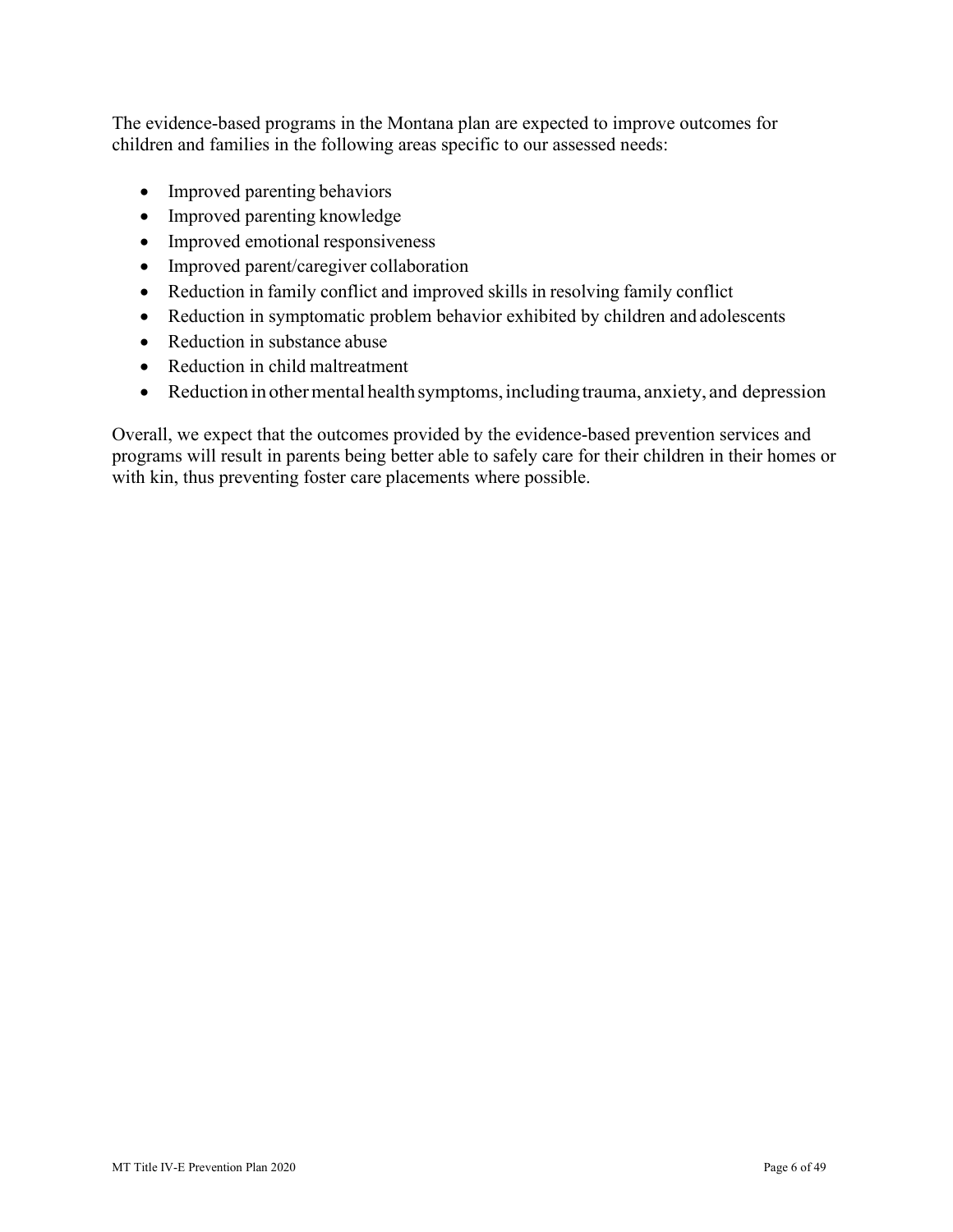The evidence-based programs in the Montana plan are expected to improve outcomes for children and families in the following areas specific to our assessed needs:

- Improved parenting behaviors
- Improved parenting knowledge
- Improved emotional responsiveness
- Improved parent/caregiver collaboration
- Reduction in family conflict and improved skills in resolving family conflict
- Reduction in symptomatic problem behavior exhibited by children and adolescents
- Reduction in substance abuse
- Reduction in child maltreatment
- Reduction in other mental health symptoms, including trauma, anxiety, and depression

 programs will result in parents being better able to safely care for their children in their homes or with kin, thus preventing foster care placements where possible. Overall, we expect that the outcomes provided by the evidence-based prevention services and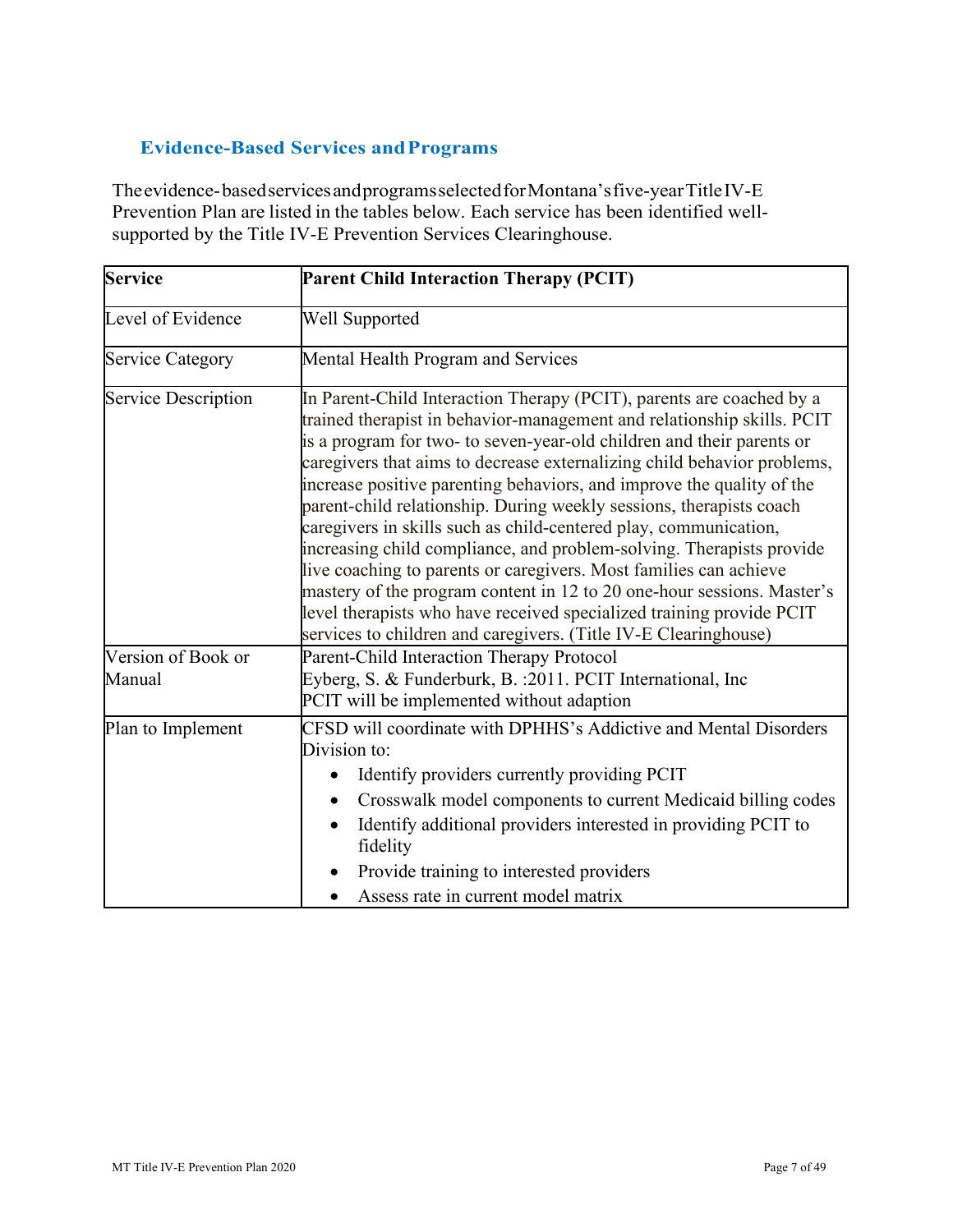# <span id="page-6-0"></span>**Evidence-Based Services andPrograms**

 Theevidence-basedservicesandprogramsselectedforMontana'sfive-yearTitleIV-E Prevention Plan are listed in the tables below. Each service has been identified wellsupported by the Title IV-E Prevention Services Clearinghouse.

| <b>Service</b>               | <b>Parent Child Interaction Therapy (PCIT)</b>                                                                                                                                                                                                                                                                                                                                                                                                                                                                                                                                                                                                                                                                                                                                                                                                                                           |  |  |  |  |
|------------------------------|------------------------------------------------------------------------------------------------------------------------------------------------------------------------------------------------------------------------------------------------------------------------------------------------------------------------------------------------------------------------------------------------------------------------------------------------------------------------------------------------------------------------------------------------------------------------------------------------------------------------------------------------------------------------------------------------------------------------------------------------------------------------------------------------------------------------------------------------------------------------------------------|--|--|--|--|
| Level of Evidence            | Well Supported                                                                                                                                                                                                                                                                                                                                                                                                                                                                                                                                                                                                                                                                                                                                                                                                                                                                           |  |  |  |  |
| <b>Service Category</b>      | Mental Health Program and Services                                                                                                                                                                                                                                                                                                                                                                                                                                                                                                                                                                                                                                                                                                                                                                                                                                                       |  |  |  |  |
| <b>Service Description</b>   | In Parent-Child Interaction Therapy (PCIT), parents are coached by a<br>trained therapist in behavior-management and relationship skills. PCIT<br>is a program for two- to seven-year-old children and their parents or<br>caregivers that aims to decrease externalizing child behavior problems,<br>increase positive parenting behaviors, and improve the quality of the<br>parent-child relationship. During weekly sessions, therapists coach<br>caregivers in skills such as child-centered play, communication,<br>increasing child compliance, and problem-solving. Therapists provide<br>live coaching to parents or caregivers. Most families can achieve<br>mastery of the program content in 12 to 20 one-hour sessions. Master's<br>level therapists who have received specialized training provide PCIT<br>services to children and caregivers. (Title IV-E Clearinghouse) |  |  |  |  |
| Version of Book or<br>Manual | Parent-Child Interaction Therapy Protocol<br>Eyberg, S. & Funderburk, B. : 2011. PCIT International, Inc<br>PCIT will be implemented without adaption                                                                                                                                                                                                                                                                                                                                                                                                                                                                                                                                                                                                                                                                                                                                    |  |  |  |  |
| Plan to Implement            | CFSD will coordinate with DPHHS's Addictive and Mental Disorders<br>Division to:<br>Identify providers currently providing PCIT<br>$\bullet$<br>Crosswalk model components to current Medicaid billing codes<br>$\bullet$<br>Identify additional providers interested in providing PCIT to<br>fidelity<br>Provide training to interested providers<br>Assess rate in current model matrix                                                                                                                                                                                                                                                                                                                                                                                                                                                                                                |  |  |  |  |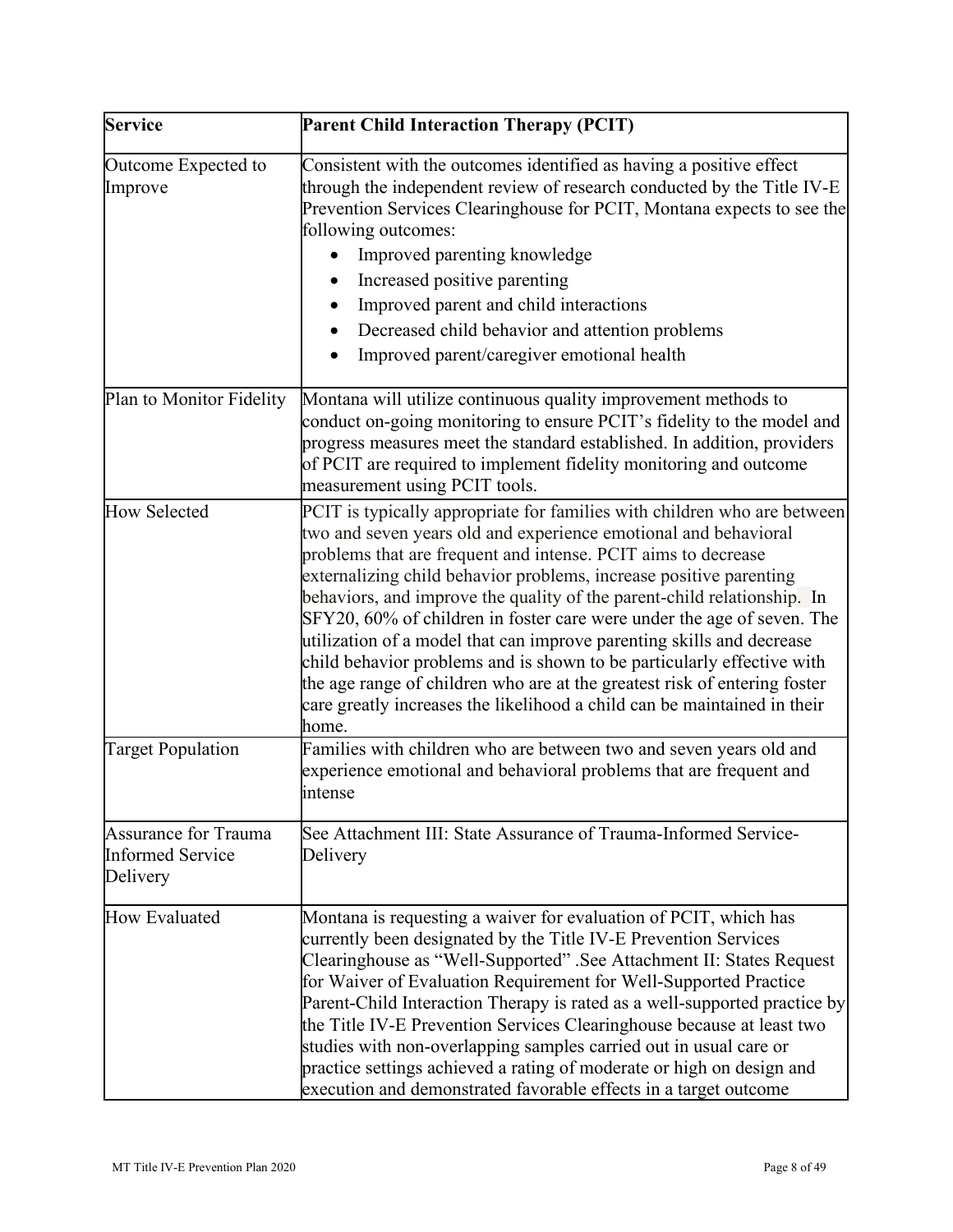| <b>Service</b>                                                     | Parent Child Interaction Therapy (PCIT)                                                                                                                                                                                                                                                                                                                                                                                                                                                                                                                                                                                                                                                                                                                      |  |  |  |
|--------------------------------------------------------------------|--------------------------------------------------------------------------------------------------------------------------------------------------------------------------------------------------------------------------------------------------------------------------------------------------------------------------------------------------------------------------------------------------------------------------------------------------------------------------------------------------------------------------------------------------------------------------------------------------------------------------------------------------------------------------------------------------------------------------------------------------------------|--|--|--|
| Outcome Expected to<br>Improve                                     | Consistent with the outcomes identified as having a positive effect<br>through the independent review of research conducted by the Title IV-E<br>Prevention Services Clearinghouse for PCIT, Montana expects to see the<br>following outcomes:<br>Improved parenting knowledge<br>Increased positive parenting<br>Improved parent and child interactions<br>Decreased child behavior and attention problems<br>Improved parent/caregiver emotional health                                                                                                                                                                                                                                                                                                    |  |  |  |
| Plan to Monitor Fidelity                                           | Montana will utilize continuous quality improvement methods to<br>conduct on-going monitoring to ensure PCIT's fidelity to the model and<br>progress measures meet the standard established. In addition, providers<br>of PCIT are required to implement fidelity monitoring and outcome<br>measurement using PCIT tools.                                                                                                                                                                                                                                                                                                                                                                                                                                    |  |  |  |
| <b>How Selected</b>                                                | PCIT is typically appropriate for families with children who are between<br>two and seven years old and experience emotional and behavioral<br>problems that are frequent and intense. PCIT aims to decrease<br>externalizing child behavior problems, increase positive parenting<br>behaviors, and improve the quality of the parent-child relationship. In<br>SFY20, 60% of children in foster care were under the age of seven. The<br>utilization of a model that can improve parenting skills and decrease<br>child behavior problems and is shown to be particularly effective with<br>the age range of children who are at the greatest risk of entering foster<br>care greatly increases the likelihood a child can be maintained in their<br>home. |  |  |  |
| <b>Target Population</b>                                           | Families with children who are between two and seven years old and<br>experience emotional and behavioral problems that are frequent and<br>intense                                                                                                                                                                                                                                                                                                                                                                                                                                                                                                                                                                                                          |  |  |  |
| <b>Assurance for Trauma</b><br><b>Informed Service</b><br>Delivery | See Attachment III: State Assurance of Trauma-Informed Service-<br>Delivery                                                                                                                                                                                                                                                                                                                                                                                                                                                                                                                                                                                                                                                                                  |  |  |  |
| <b>How Evaluated</b>                                               | Montana is requesting a waiver for evaluation of PCIT, which has<br>currently been designated by the Title IV-E Prevention Services<br>Clearinghouse as "Well-Supported" .See Attachment II: States Request<br>for Waiver of Evaluation Requirement for Well-Supported Practice<br>Parent-Child Interaction Therapy is rated as a well-supported practice by<br>the Title IV-E Prevention Services Clearinghouse because at least two<br>studies with non-overlapping samples carried out in usual care or<br>practice settings achieved a rating of moderate or high on design and<br>execution and demonstrated favorable effects in a target outcome                                                                                                      |  |  |  |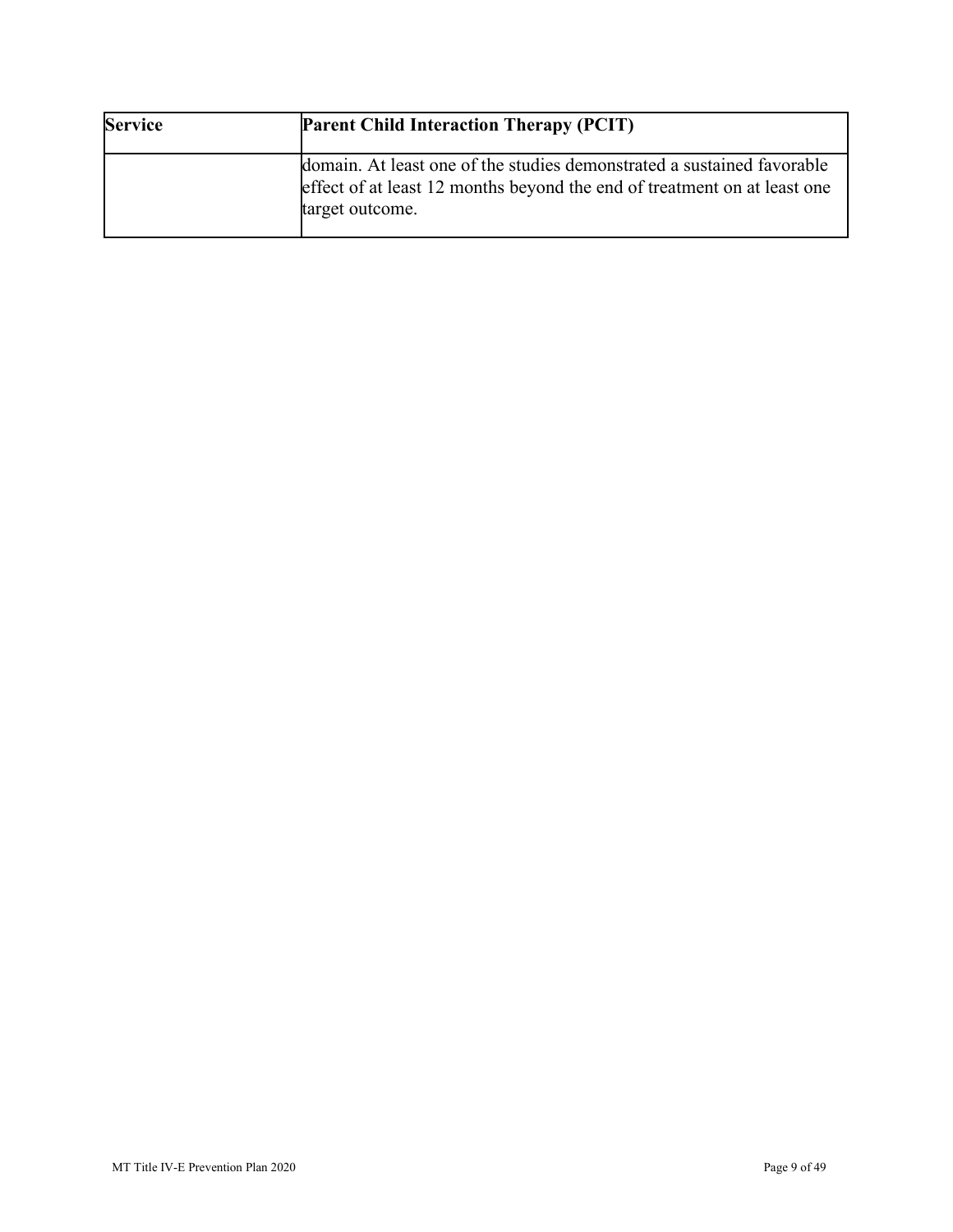| <b>Service</b> | <b>Parent Child Interaction Therapy (PCIT)</b>                                                                                                                        |
|----------------|-----------------------------------------------------------------------------------------------------------------------------------------------------------------------|
|                | domain. At least one of the studies demonstrated a sustained favorable<br>effect of at least 12 months beyond the end of treatment on at least one<br>target outcome. |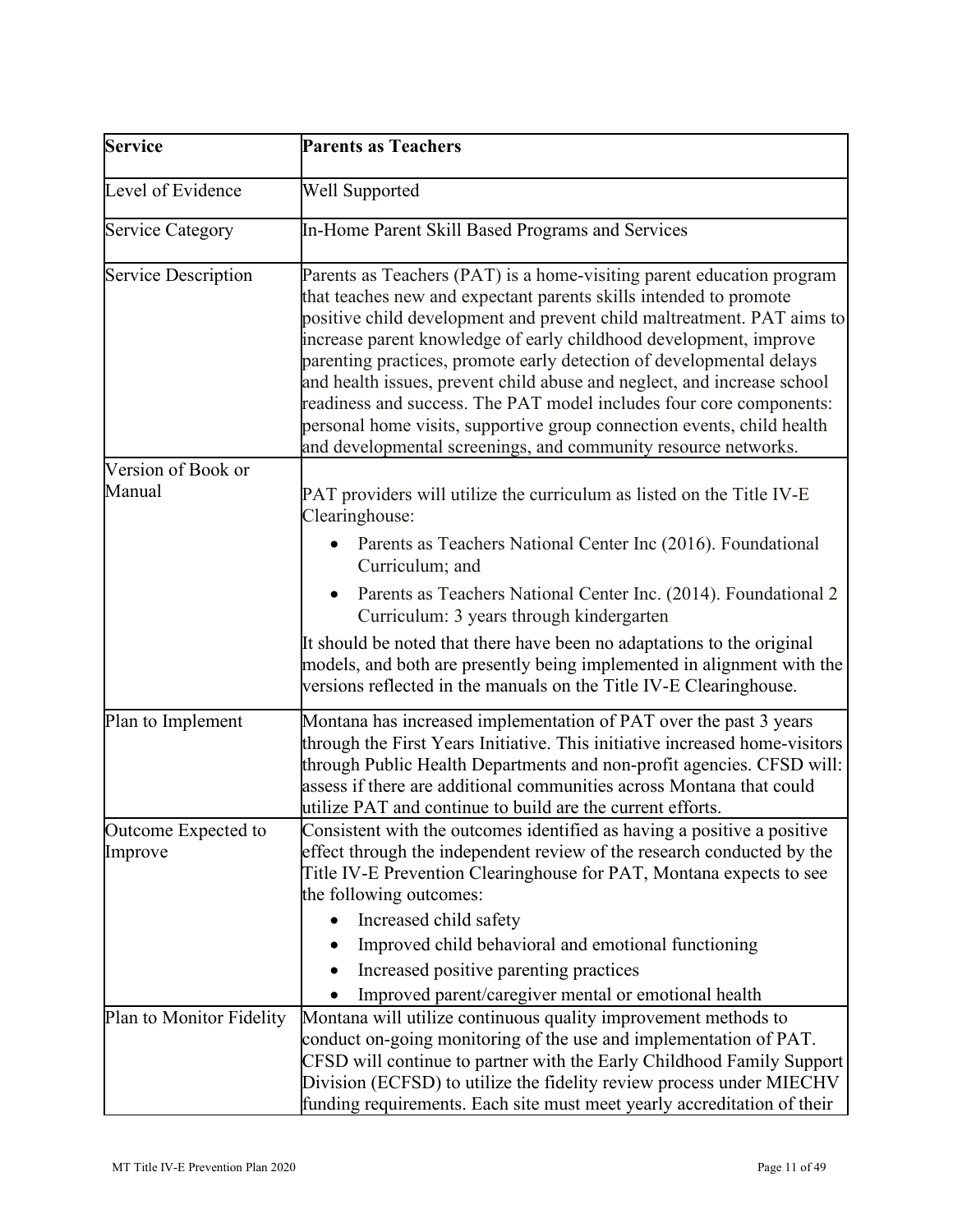| <b>Service</b>                 | <b>Parents as Teachers</b>                                                                                                                                                                                                                                                                                                                                                                                                                                                                                                                                                                                                                                      |  |  |
|--------------------------------|-----------------------------------------------------------------------------------------------------------------------------------------------------------------------------------------------------------------------------------------------------------------------------------------------------------------------------------------------------------------------------------------------------------------------------------------------------------------------------------------------------------------------------------------------------------------------------------------------------------------------------------------------------------------|--|--|
| Level of Evidence              | <b>Well Supported</b>                                                                                                                                                                                                                                                                                                                                                                                                                                                                                                                                                                                                                                           |  |  |
| <b>Service Category</b>        | In-Home Parent Skill Based Programs and Services                                                                                                                                                                                                                                                                                                                                                                                                                                                                                                                                                                                                                |  |  |
| <b>Service Description</b>     | Parents as Teachers (PAT) is a home-visiting parent education program<br>that teaches new and expectant parents skills intended to promote<br>positive child development and prevent child maltreatment. PAT aims to<br>increase parent knowledge of early childhood development, improve<br>parenting practices, promote early detection of developmental delays<br>and health issues, prevent child abuse and neglect, and increase school<br>readiness and success. The PAT model includes four core components:<br>personal home visits, supportive group connection events, child health<br>and developmental screenings, and community resource networks. |  |  |
| Version of Book or             |                                                                                                                                                                                                                                                                                                                                                                                                                                                                                                                                                                                                                                                                 |  |  |
| Manual                         | PAT providers will utilize the curriculum as listed on the Title IV-E<br>Clearinghouse:                                                                                                                                                                                                                                                                                                                                                                                                                                                                                                                                                                         |  |  |
|                                | Parents as Teachers National Center Inc (2016). Foundational<br>Curriculum; and                                                                                                                                                                                                                                                                                                                                                                                                                                                                                                                                                                                 |  |  |
|                                | Parents as Teachers National Center Inc. (2014). Foundational 2<br>Curriculum: 3 years through kindergarten                                                                                                                                                                                                                                                                                                                                                                                                                                                                                                                                                     |  |  |
|                                | It should be noted that there have been no adaptations to the original<br>models, and both are presently being implemented in alignment with the<br>versions reflected in the manuals on the Title IV-E Clearinghouse.                                                                                                                                                                                                                                                                                                                                                                                                                                          |  |  |
| Plan to Implement              | Montana has increased implementation of PAT over the past 3 years<br>through the First Years Initiative. This initiative increased home-visitors<br>through Public Health Departments and non-profit agencies. CFSD will:<br>assess if there are additional communities across Montana that could<br>utilize PAT and continue to build are the current efforts.                                                                                                                                                                                                                                                                                                 |  |  |
| Outcome Expected to<br>Improve | Consistent with the outcomes identified as having a positive a positive<br>effect through the independent review of the research conducted by the<br>Title IV-E Prevention Clearinghouse for PAT, Montana expects to see<br>the following outcomes:                                                                                                                                                                                                                                                                                                                                                                                                             |  |  |
|                                | Increased child safety                                                                                                                                                                                                                                                                                                                                                                                                                                                                                                                                                                                                                                          |  |  |
|                                | Improved child behavioral and emotional functioning                                                                                                                                                                                                                                                                                                                                                                                                                                                                                                                                                                                                             |  |  |
|                                | Increased positive parenting practices                                                                                                                                                                                                                                                                                                                                                                                                                                                                                                                                                                                                                          |  |  |
|                                | Improved parent/caregiver mental or emotional health                                                                                                                                                                                                                                                                                                                                                                                                                                                                                                                                                                                                            |  |  |
| Plan to Monitor Fidelity       | Montana will utilize continuous quality improvement methods to<br>conduct on-going monitoring of the use and implementation of PAT.<br>CFSD will continue to partner with the Early Childhood Family Support<br>Division (ECFSD) to utilize the fidelity review process under MIECHV<br>funding requirements. Each site must meet yearly accreditation of their                                                                                                                                                                                                                                                                                                 |  |  |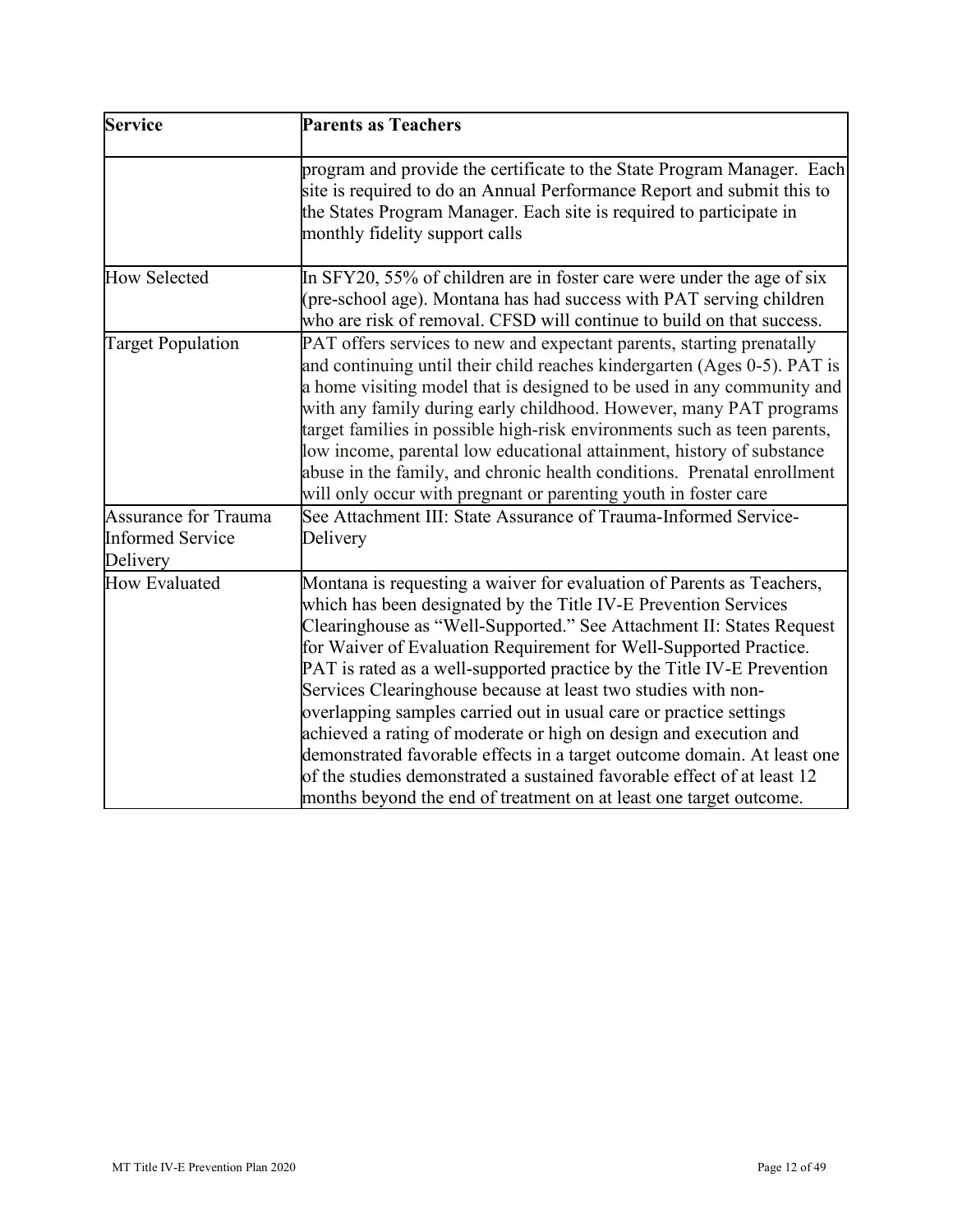| Service                                                            | <b>Parents as Teachers</b>                                                                                                                                                                                                                                                                                                                                                                                                                                                                                                                                                                                                                                                                                                                                                                              |  |  |
|--------------------------------------------------------------------|---------------------------------------------------------------------------------------------------------------------------------------------------------------------------------------------------------------------------------------------------------------------------------------------------------------------------------------------------------------------------------------------------------------------------------------------------------------------------------------------------------------------------------------------------------------------------------------------------------------------------------------------------------------------------------------------------------------------------------------------------------------------------------------------------------|--|--|
|                                                                    | program and provide the certificate to the State Program Manager. Each<br>site is required to do an Annual Performance Report and submit this to<br>the States Program Manager. Each site is required to participate in<br>monthly fidelity support calls                                                                                                                                                                                                                                                                                                                                                                                                                                                                                                                                               |  |  |
| <b>How Selected</b>                                                | In SFY20, 55% of children are in foster care were under the age of six<br>(pre-school age). Montana has had success with PAT serving children<br>who are risk of removal. CFSD will continue to build on that success.                                                                                                                                                                                                                                                                                                                                                                                                                                                                                                                                                                                  |  |  |
| <b>Target Population</b>                                           | PAT offers services to new and expectant parents, starting prenatally<br>and continuing until their child reaches kindergarten (Ages 0-5). PAT is<br>a home visiting model that is designed to be used in any community and<br>with any family during early childhood. However, many PAT programs<br>target families in possible high-risk environments such as teen parents,<br>low income, parental low educational attainment, history of substance<br>abuse in the family, and chronic health conditions. Prenatal enrollment<br>will only occur with pregnant or parenting youth in foster care                                                                                                                                                                                                    |  |  |
| <b>Assurance for Trauma</b><br><b>Informed Service</b><br>Delivery | See Attachment III: State Assurance of Trauma-Informed Service-<br>Delivery                                                                                                                                                                                                                                                                                                                                                                                                                                                                                                                                                                                                                                                                                                                             |  |  |
| <b>How Evaluated</b>                                               | Montana is requesting a waiver for evaluation of Parents as Teachers,<br>which has been designated by the Title IV-E Prevention Services<br>Clearinghouse as "Well-Supported." See Attachment II: States Request<br>for Waiver of Evaluation Requirement for Well-Supported Practice.<br>PAT is rated as a well-supported practice by the Title IV-E Prevention<br>Services Clearinghouse because at least two studies with non-<br>overlapping samples carried out in usual care or practice settings<br>achieved a rating of moderate or high on design and execution and<br>demonstrated favorable effects in a target outcome domain. At least one<br>of the studies demonstrated a sustained favorable effect of at least 12<br>months beyond the end of treatment on at least one target outcome. |  |  |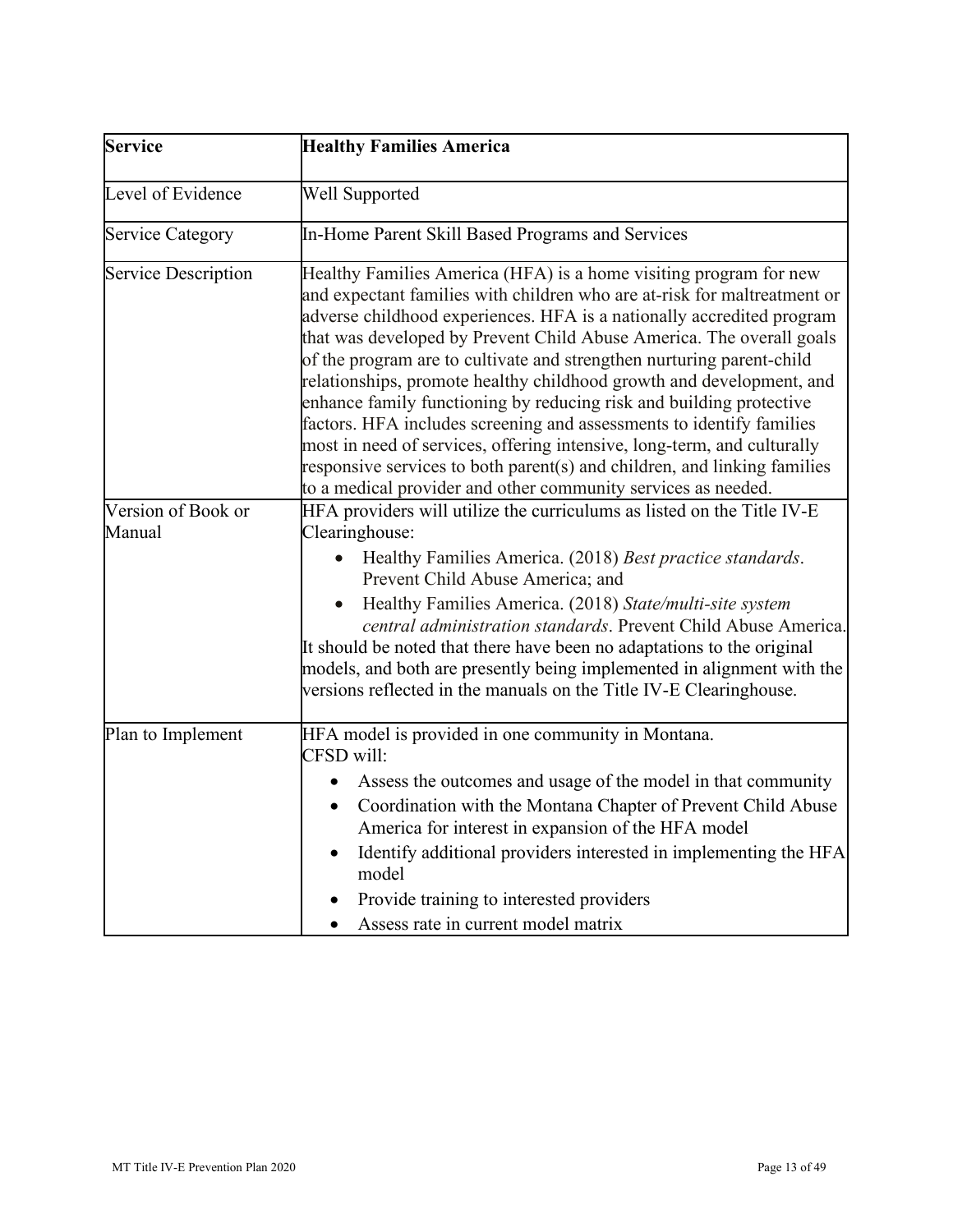| <b>Service</b>               | <b>Healthy Families America</b>                                                                                                                                                                                                                                                                                                                                                                                                                                                                                                                                                                                                                                                                                                                                                                                        |  |  |
|------------------------------|------------------------------------------------------------------------------------------------------------------------------------------------------------------------------------------------------------------------------------------------------------------------------------------------------------------------------------------------------------------------------------------------------------------------------------------------------------------------------------------------------------------------------------------------------------------------------------------------------------------------------------------------------------------------------------------------------------------------------------------------------------------------------------------------------------------------|--|--|
| Level of Evidence            | Well Supported                                                                                                                                                                                                                                                                                                                                                                                                                                                                                                                                                                                                                                                                                                                                                                                                         |  |  |
| <b>Service Category</b>      | In-Home Parent Skill Based Programs and Services                                                                                                                                                                                                                                                                                                                                                                                                                                                                                                                                                                                                                                                                                                                                                                       |  |  |
| <b>Service Description</b>   | Healthy Families America (HFA) is a home visiting program for new<br>and expectant families with children who are at-risk for maltreatment or<br>adverse childhood experiences. HFA is a nationally accredited program<br>that was developed by Prevent Child Abuse America. The overall goals<br>of the program are to cultivate and strengthen nurturing parent-child<br>relationships, promote healthy childhood growth and development, and<br>enhance family functioning by reducing risk and building protective<br>factors. HFA includes screening and assessments to identify families<br>most in need of services, offering intensive, long-term, and culturally<br>responsive services to both parent(s) and children, and linking families<br>to a medical provider and other community services as needed. |  |  |
| Version of Book or<br>Manual | HFA providers will utilize the curriculums as listed on the Title IV-E<br>Clearinghouse:<br>Healthy Families America. (2018) Best practice standards.<br>Prevent Child Abuse America; and<br>Healthy Families America. (2018) State/multi-site system<br>central administration standards. Prevent Child Abuse America.<br>It should be noted that there have been no adaptations to the original<br>models, and both are presently being implemented in alignment with the<br>versions reflected in the manuals on the Title IV-E Clearinghouse.                                                                                                                                                                                                                                                                      |  |  |
| Plan to Implement            | HFA model is provided in one community in Montana.<br>CFSD will:<br>Assess the outcomes and usage of the model in that community<br>Coordination with the Montana Chapter of Prevent Child Abuse<br>$\bullet$<br>America for interest in expansion of the HFA model<br>Identify additional providers interested in implementing the HFA<br>model<br>Provide training to interested providers<br>Assess rate in current model matrix                                                                                                                                                                                                                                                                                                                                                                                    |  |  |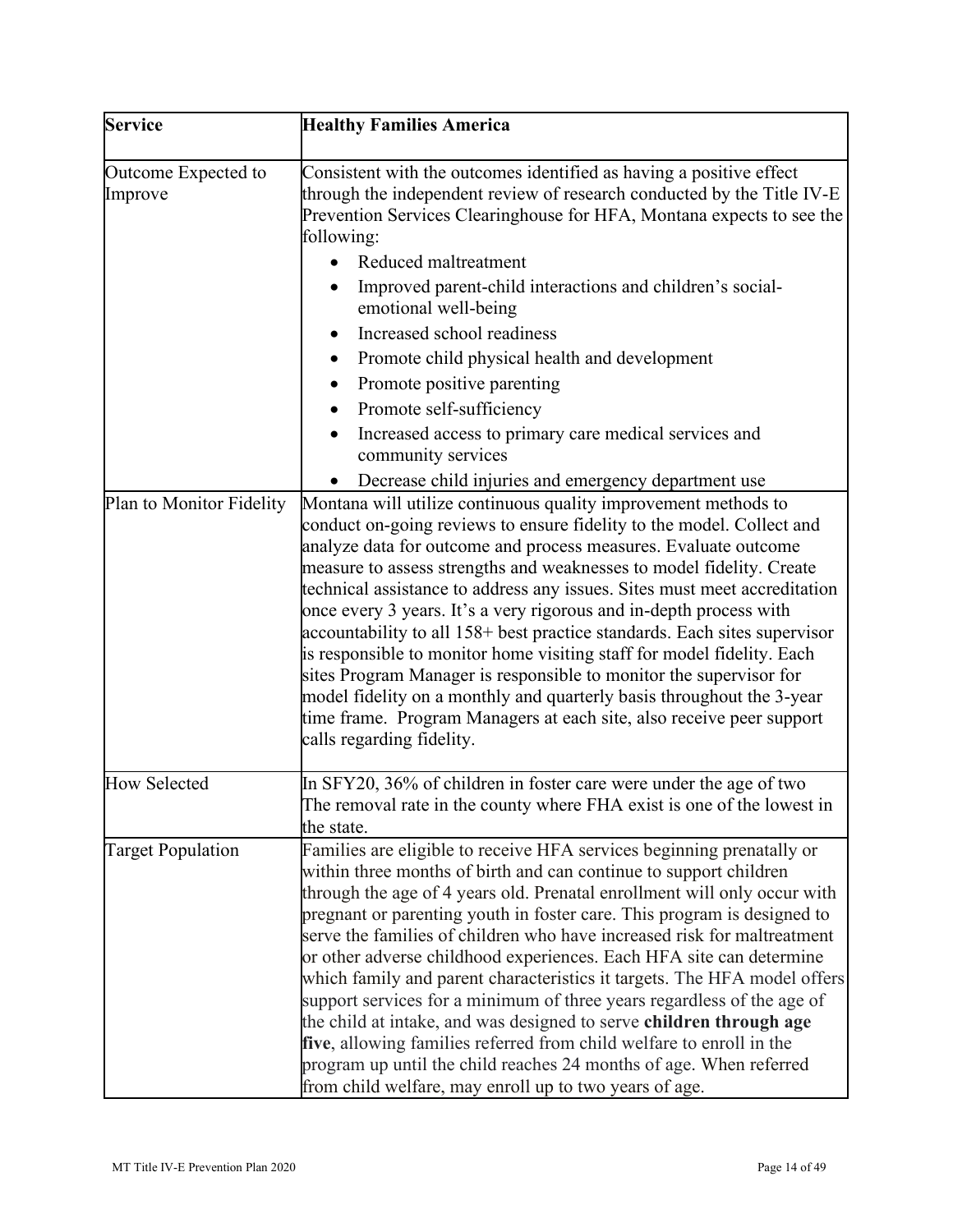| <b>Service</b>                 | <b>Healthy Families America</b>                                                                                                                                                                                                                                                                                                                                                                                                                                                                                                                                                                                                                                                                                                                                                                                                                                                          |  |  |  |
|--------------------------------|------------------------------------------------------------------------------------------------------------------------------------------------------------------------------------------------------------------------------------------------------------------------------------------------------------------------------------------------------------------------------------------------------------------------------------------------------------------------------------------------------------------------------------------------------------------------------------------------------------------------------------------------------------------------------------------------------------------------------------------------------------------------------------------------------------------------------------------------------------------------------------------|--|--|--|
| Outcome Expected to<br>Improve | Consistent with the outcomes identified as having a positive effect<br>through the independent review of research conducted by the Title IV-E<br>Prevention Services Clearinghouse for HFA, Montana expects to see the<br>following:                                                                                                                                                                                                                                                                                                                                                                                                                                                                                                                                                                                                                                                     |  |  |  |
|                                | Reduced maltreatment                                                                                                                                                                                                                                                                                                                                                                                                                                                                                                                                                                                                                                                                                                                                                                                                                                                                     |  |  |  |
|                                | Improved parent-child interactions and children's social-<br>emotional well-being                                                                                                                                                                                                                                                                                                                                                                                                                                                                                                                                                                                                                                                                                                                                                                                                        |  |  |  |
|                                | Increased school readiness                                                                                                                                                                                                                                                                                                                                                                                                                                                                                                                                                                                                                                                                                                                                                                                                                                                               |  |  |  |
|                                | Promote child physical health and development<br>٠                                                                                                                                                                                                                                                                                                                                                                                                                                                                                                                                                                                                                                                                                                                                                                                                                                       |  |  |  |
|                                | Promote positive parenting                                                                                                                                                                                                                                                                                                                                                                                                                                                                                                                                                                                                                                                                                                                                                                                                                                                               |  |  |  |
|                                | Promote self-sufficiency                                                                                                                                                                                                                                                                                                                                                                                                                                                                                                                                                                                                                                                                                                                                                                                                                                                                 |  |  |  |
|                                | Increased access to primary care medical services and<br>$\bullet$<br>community services                                                                                                                                                                                                                                                                                                                                                                                                                                                                                                                                                                                                                                                                                                                                                                                                 |  |  |  |
|                                | Decrease child injuries and emergency department use                                                                                                                                                                                                                                                                                                                                                                                                                                                                                                                                                                                                                                                                                                                                                                                                                                     |  |  |  |
| Plan to Monitor Fidelity       | Montana will utilize continuous quality improvement methods to<br>conduct on-going reviews to ensure fidelity to the model. Collect and<br>analyze data for outcome and process measures. Evaluate outcome<br>measure to assess strengths and weaknesses to model fidelity. Create<br>technical assistance to address any issues. Sites must meet accreditation<br>once every 3 years. It's a very rigorous and in-depth process with<br>accountability to all 158+ best practice standards. Each sites supervisor<br>is responsible to monitor home visiting staff for model fidelity. Each<br>sites Program Manager is responsible to monitor the supervisor for<br>model fidelity on a monthly and quarterly basis throughout the 3-year<br>time frame. Program Managers at each site, also receive peer support<br>calls regarding fidelity.                                         |  |  |  |
| <b>How Selected</b>            | In SFY20, 36% of children in foster care were under the age of two<br>The removal rate in the county where FHA exist is one of the lowest in<br>the state.                                                                                                                                                                                                                                                                                                                                                                                                                                                                                                                                                                                                                                                                                                                               |  |  |  |
| <b>Target Population</b>       | Families are eligible to receive HFA services beginning prenatally or<br>within three months of birth and can continue to support children<br>through the age of 4 years old. Prenatal enrollment will only occur with<br>pregnant or parenting youth in foster care. This program is designed to<br>serve the families of children who have increased risk for maltreatment<br>or other adverse childhood experiences. Each HFA site can determine<br>which family and parent characteristics it targets. The HFA model offers<br>support services for a minimum of three years regardless of the age of<br>the child at intake, and was designed to serve children through age<br>five, allowing families referred from child welfare to enroll in the<br>program up until the child reaches 24 months of age. When referred<br>from child welfare, may enroll up to two years of age. |  |  |  |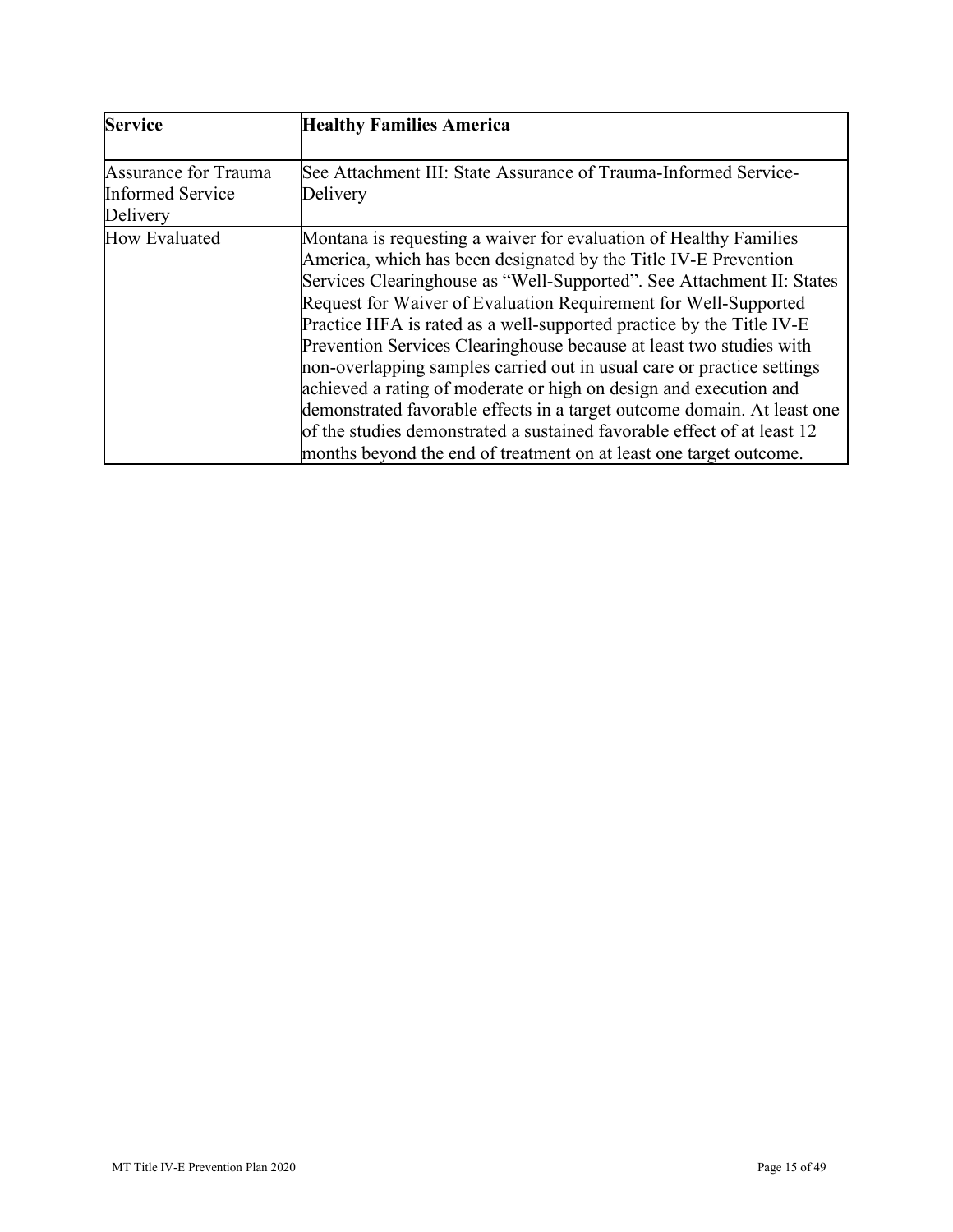| <b>Service</b>                                              | <b>Healthy Families America</b>                                                                                                                                                                                                                                                                                                                                                                                                                                                                                                                                                                                                                                                                                                                                                                            |
|-------------------------------------------------------------|------------------------------------------------------------------------------------------------------------------------------------------------------------------------------------------------------------------------------------------------------------------------------------------------------------------------------------------------------------------------------------------------------------------------------------------------------------------------------------------------------------------------------------------------------------------------------------------------------------------------------------------------------------------------------------------------------------------------------------------------------------------------------------------------------------|
| Assurance for Trauma<br><b>Informed Service</b><br>Delivery | See Attachment III: State Assurance of Trauma-Informed Service-<br>Delivery                                                                                                                                                                                                                                                                                                                                                                                                                                                                                                                                                                                                                                                                                                                                |
| How Evaluated                                               | Montana is requesting a waiver for evaluation of Healthy Families<br>America, which has been designated by the Title IV-E Prevention<br>Services Clearinghouse as "Well-Supported". See Attachment II: States<br>Request for Waiver of Evaluation Requirement for Well-Supported<br>Practice HFA is rated as a well-supported practice by the Title IV-E<br>Prevention Services Clearinghouse because at least two studies with<br>non-overlapping samples carried out in usual care or practice settings<br>achieved a rating of moderate or high on design and execution and<br>demonstrated favorable effects in a target outcome domain. At least one<br>of the studies demonstrated a sustained favorable effect of at least 12<br>months beyond the end of treatment on at least one target outcome. |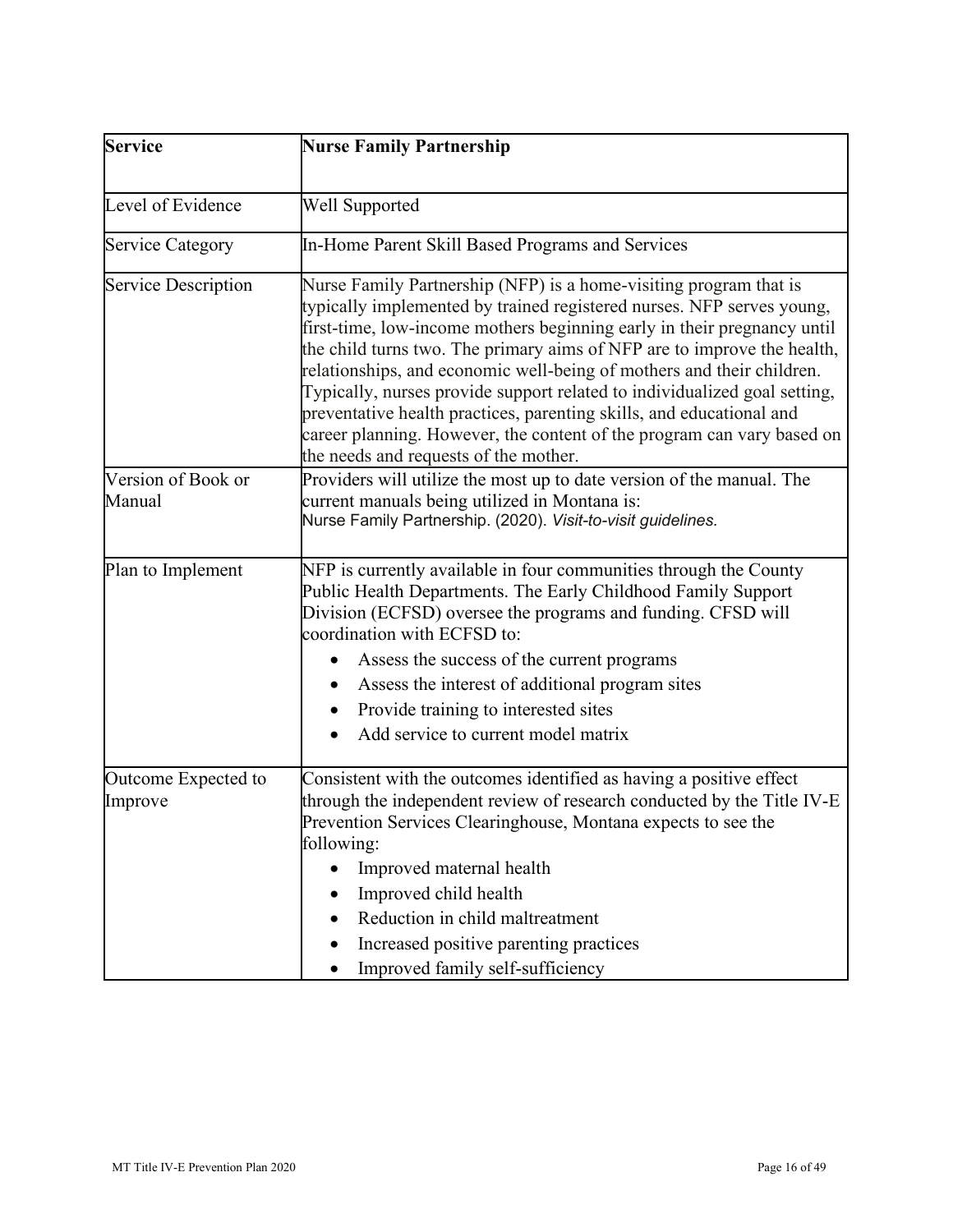| Service                        | <b>Nurse Family Partnership</b>                                                                                                                                                                                                                                                                                                                                                                                                                                                                                                                                                                                                                   |  |  |  |
|--------------------------------|---------------------------------------------------------------------------------------------------------------------------------------------------------------------------------------------------------------------------------------------------------------------------------------------------------------------------------------------------------------------------------------------------------------------------------------------------------------------------------------------------------------------------------------------------------------------------------------------------------------------------------------------------|--|--|--|
| Level of Evidence              | <b>Well Supported</b>                                                                                                                                                                                                                                                                                                                                                                                                                                                                                                                                                                                                                             |  |  |  |
| <b>Service Category</b>        | In-Home Parent Skill Based Programs and Services                                                                                                                                                                                                                                                                                                                                                                                                                                                                                                                                                                                                  |  |  |  |
| Service Description            | Nurse Family Partnership (NFP) is a home-visiting program that is<br>typically implemented by trained registered nurses. NFP serves young,<br>first-time, low-income mothers beginning early in their pregnancy until<br>the child turns two. The primary aims of NFP are to improve the health,<br>relationships, and economic well-being of mothers and their children.<br>Typically, nurses provide support related to individualized goal setting,<br>preventative health practices, parenting skills, and educational and<br>career planning. However, the content of the program can vary based on<br>the needs and requests of the mother. |  |  |  |
| Version of Book or<br>Manual   | Providers will utilize the most up to date version of the manual. The<br>current manuals being utilized in Montana is:<br>Nurse Family Partnership. (2020). Visit-to-visit guidelines.                                                                                                                                                                                                                                                                                                                                                                                                                                                            |  |  |  |
| Plan to Implement              | NFP is currently available in four communities through the County<br>Public Health Departments. The Early Childhood Family Support<br>Division (ECFSD) oversee the programs and funding. CFSD will<br>coordination with ECFSD to:                                                                                                                                                                                                                                                                                                                                                                                                                 |  |  |  |
|                                | Assess the success of the current programs<br>Assess the interest of additional program sites                                                                                                                                                                                                                                                                                                                                                                                                                                                                                                                                                     |  |  |  |
|                                | Provide training to interested sites                                                                                                                                                                                                                                                                                                                                                                                                                                                                                                                                                                                                              |  |  |  |
|                                | Add service to current model matrix                                                                                                                                                                                                                                                                                                                                                                                                                                                                                                                                                                                                               |  |  |  |
| Outcome Expected to<br>Improve | Consistent with the outcomes identified as having a positive effect<br>through the independent review of research conducted by the Title IV-E<br>Prevention Services Clearinghouse, Montana expects to see the<br>following:                                                                                                                                                                                                                                                                                                                                                                                                                      |  |  |  |
|                                | Improved maternal health<br>Improved child health<br>Reduction in child maltreatment<br>Increased positive parenting practices                                                                                                                                                                                                                                                                                                                                                                                                                                                                                                                    |  |  |  |
|                                | Improved family self-sufficiency                                                                                                                                                                                                                                                                                                                                                                                                                                                                                                                                                                                                                  |  |  |  |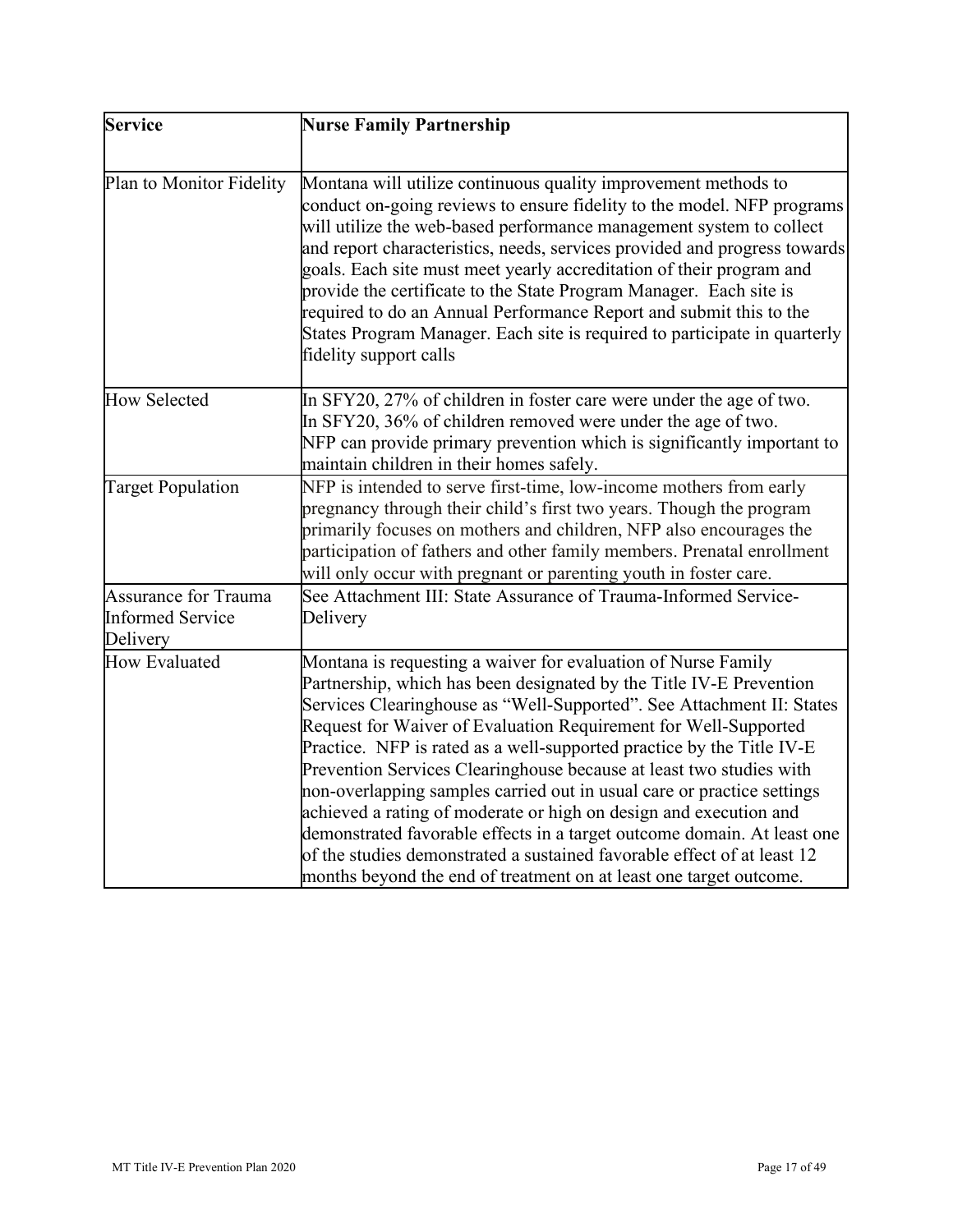| Service                                                     | <b>Nurse Family Partnership</b>                                                                                                                                                                                                                                                                                                                                                                                                                                                                                                                                                                                                                                                                                                                                                                             |  |  |
|-------------------------------------------------------------|-------------------------------------------------------------------------------------------------------------------------------------------------------------------------------------------------------------------------------------------------------------------------------------------------------------------------------------------------------------------------------------------------------------------------------------------------------------------------------------------------------------------------------------------------------------------------------------------------------------------------------------------------------------------------------------------------------------------------------------------------------------------------------------------------------------|--|--|
| Plan to Monitor Fidelity                                    | Montana will utilize continuous quality improvement methods to<br>conduct on-going reviews to ensure fidelity to the model. NFP programs<br>will utilize the web-based performance management system to collect<br>and report characteristics, needs, services provided and progress towards<br>goals. Each site must meet yearly accreditation of their program and<br>provide the certificate to the State Program Manager. Each site is<br>required to do an Annual Performance Report and submit this to the<br>States Program Manager. Each site is required to participate in quarterly<br>fidelity support calls                                                                                                                                                                                     |  |  |
| <b>How Selected</b>                                         | In SFY20, 27% of children in foster care were under the age of two.<br>In SFY20, 36% of children removed were under the age of two.<br>NFP can provide primary prevention which is significantly important to<br>maintain children in their homes safely.                                                                                                                                                                                                                                                                                                                                                                                                                                                                                                                                                   |  |  |
| <b>Target Population</b>                                    | NFP is intended to serve first-time, low-income mothers from early<br>pregnancy through their child's first two years. Though the program<br>primarily focuses on mothers and children, NFP also encourages the<br>participation of fathers and other family members. Prenatal enrollment<br>will only occur with pregnant or parenting youth in foster care.                                                                                                                                                                                                                                                                                                                                                                                                                                               |  |  |
| Assurance for Trauma<br><b>Informed Service</b><br>Delivery | See Attachment III: State Assurance of Trauma-Informed Service-<br>Delivery                                                                                                                                                                                                                                                                                                                                                                                                                                                                                                                                                                                                                                                                                                                                 |  |  |
| <b>How Evaluated</b>                                        | Montana is requesting a waiver for evaluation of Nurse Family<br>Partnership, which has been designated by the Title IV-E Prevention<br>Services Clearinghouse as "Well-Supported". See Attachment II: States<br>Request for Waiver of Evaluation Requirement for Well-Supported<br>Practice. NFP is rated as a well-supported practice by the Title IV-E<br>Prevention Services Clearinghouse because at least two studies with<br>non-overlapping samples carried out in usual care or practice settings<br>achieved a rating of moderate or high on design and execution and<br>demonstrated favorable effects in a target outcome domain. At least one<br>of the studies demonstrated a sustained favorable effect of at least 12<br>months beyond the end of treatment on at least one target outcome. |  |  |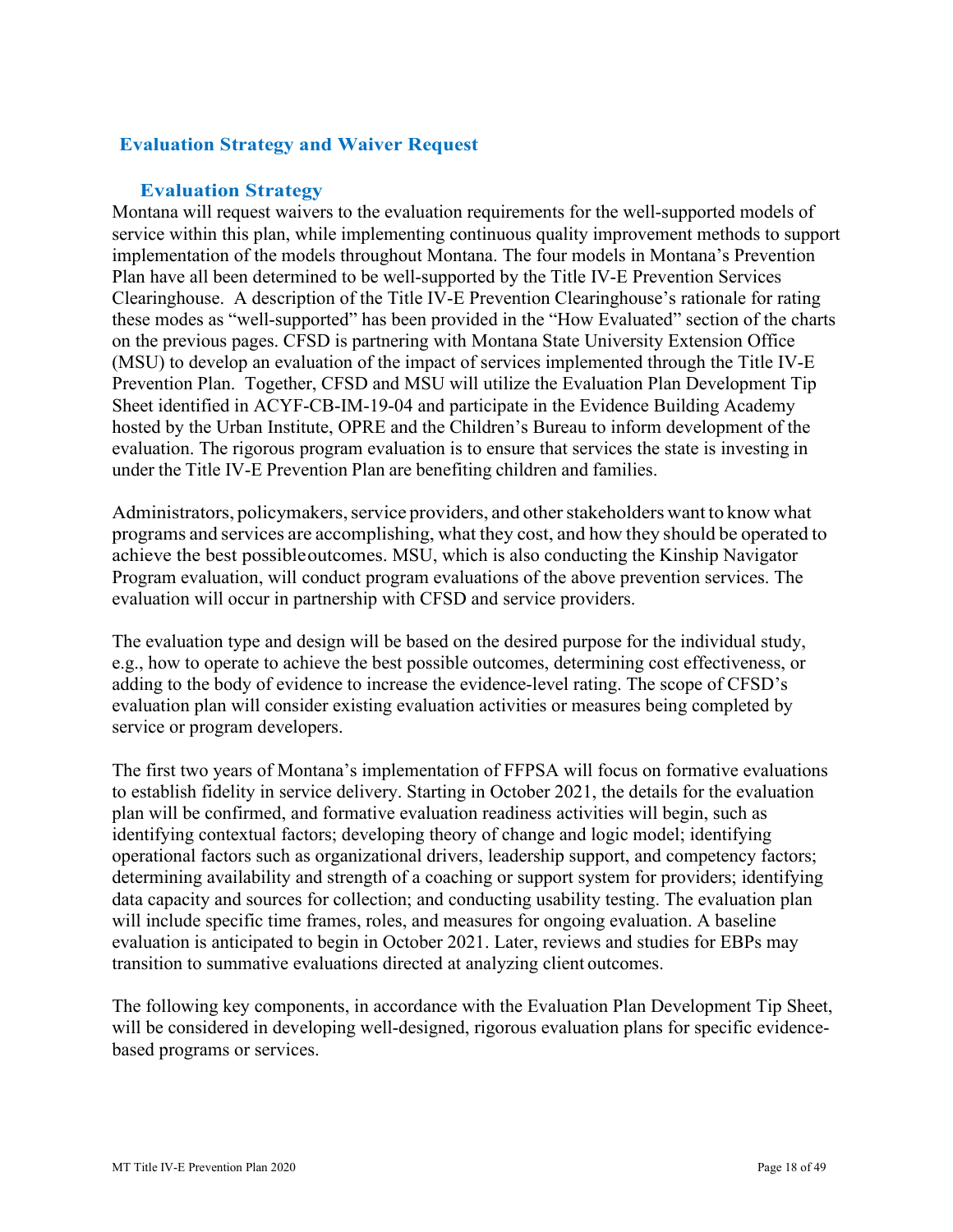# **Evaluation Strategy and Waiver Request**

#### **Evaluation Strategy**

<span id="page-17-0"></span> service within this plan, while implementing continuous quality improvement methods to support these modes as "well-supported" has been provided in the "How Evaluated" section of the charts on the previous pages. CFSD is partnering with Montana State University Extension Office evaluation. The rigorous program evaluation is to ensure that services the state is investing in under the Title IV-E Prevention Plan are benefiting children and families. Montana will request waivers to the evaluation requirements for the well-supported models of implementation of the models throughout Montana. The four models in Montana's Prevention Plan have all been determined to be well-supported by the Title IV-E Prevention Services Clearinghouse. A description of the Title IV-E Prevention Clearinghouse's rationale for rating (MSU) to develop an evaluation of the impact of services implemented through the Title IV-E Prevention Plan. Together, CFSD and MSU will utilize the Evaluation Plan Development Tip Sheet identified in ACYF-CB-IM-19-04 and participate in the Evidence Building Academy hosted by the Urban Institute, OPRE and the Children's Bureau to inform development of the

 Administrators, policymakers, service providers, and other stakeholders want to know what programs and services are accomplishing, what they cost, and how they should be operated to achieve the best possibleoutcomes. MSU, which is also conducting the Kinship Navigator Program evaluation, will conduct program evaluations of the above prevention services. The evaluation will occur in partnership with CFSD and service providers.

 The evaluation type and design will be based on the desired purpose for the individual study, adding to the body of evidence to increase the evidence-level rating. The scope of CFSD's e.g., how to operate to achieve the best possible outcomes, determining cost effectiveness, or evaluation plan will consider existing evaluation activities or measures being completed by service or program developers.

 to establish fidelity in service delivery. Starting in October 2021, the details for the evaluation transition to summative evaluations directed at analyzing client outcomes. The first two years of Montana's implementation of FFPSA will focus on formative evaluations plan will be confirmed, and formative evaluation readiness activities will begin, such as identifying contextual factors; developing theory of change and logic model; identifying operational factors such as organizational drivers, leadership support, and competency factors; determining availability and strength of a coaching or support system for providers; identifying data capacity and sources for collection; and conducting usability testing. The evaluation plan will include specific time frames, roles, and measures for ongoing evaluation. A baseline evaluation is anticipated to begin in October 2021. Later, reviews and studies for EBPs may

The following key components, in accordance with the Evaluation Plan Development Tip Sheet, will be considered in developing well-designed, rigorous evaluation plans for specific evidencebased programs or services.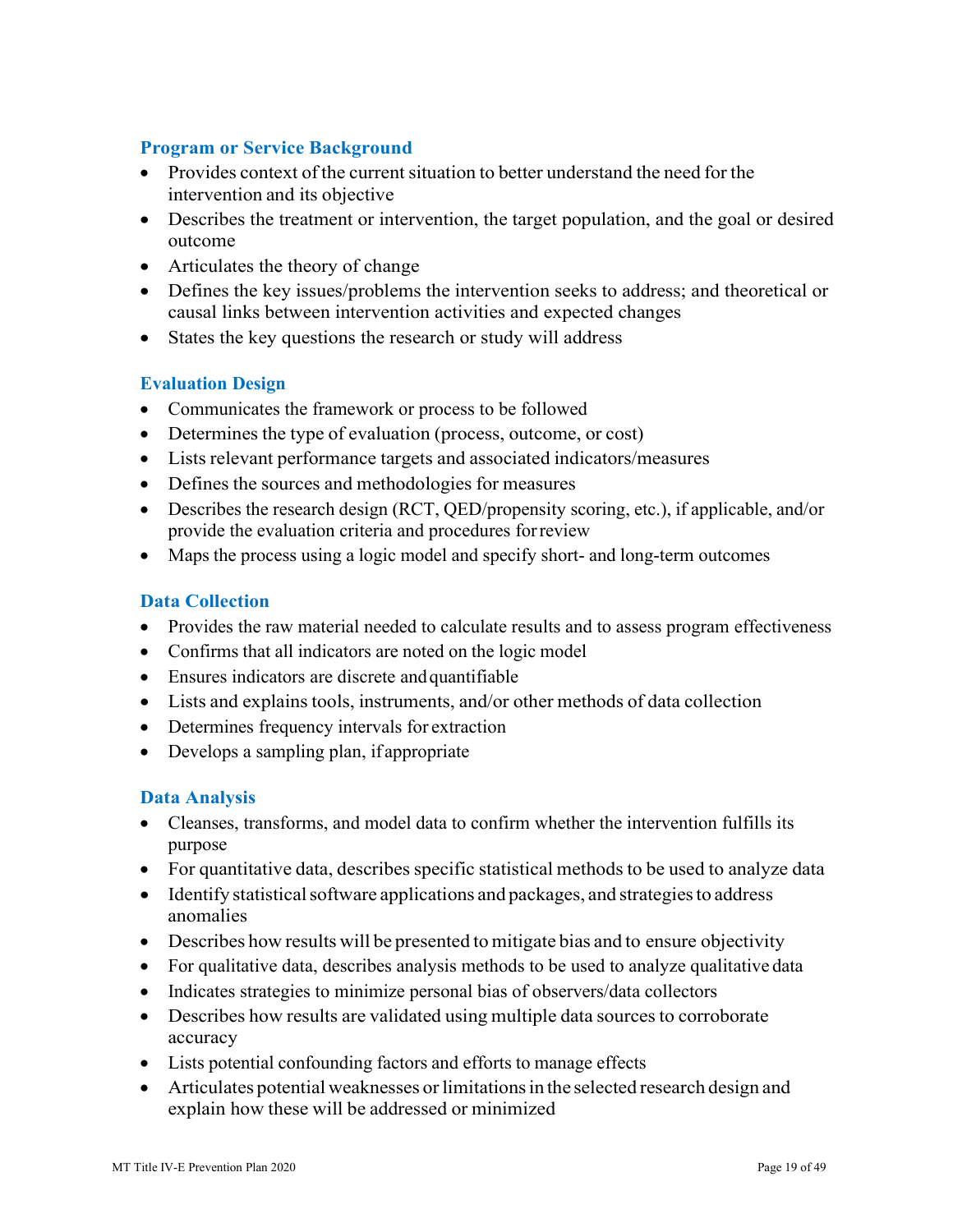# <span id="page-18-0"></span>**Program or Service Background**

- • Provides context of the current situation to better understand the need for the intervention and its objective
- • Describes the treatment or intervention, the target population, and the goal or desired outcome
- Articulates the theory of change
- • Defines the key issues/problems the intervention seeks to address; and theoretical or causal links between intervention activities and expected changes
- States the key questions the research or study will address

#### <span id="page-18-1"></span>**Evaluation Design**

- Communicates the framework or process to be followed
- Determines the type of evaluation (process, outcome, or cost)
- Lists relevant performance targets and associated indicators/measures
- Defines the sources and methodologies for measures
- • Describes the research design (RCT, QED/propensity scoring, etc.), if applicable, and/or provide the evaluation criteria and procedures for review
- Maps the process using a logic model and specify short- and long-term outcomes

#### <span id="page-18-2"></span>**Data Collection**

- Provides the raw material needed to calculate results and to assess program effectiveness
- Confirms that all indicators are noted on the logic model
- Ensures indicators are discrete andquantifiable
- Lists and explains tools, instruments, and/or other methods of data collection
- Determines frequency intervals for extraction
- Develops a sampling plan, if appropriate

#### <span id="page-18-3"></span>**Data Analysis**

- • Cleanses, transforms, and model data to confirm whether the intervention fulfills its purpose
- For quantitative data, describes specific statistical methods to be used to analyze data
- • Identify statistical software applications and packages, and strategies to address anomalies
- Describes how results will be presented to mitigate bias and to ensure objectivity
- For qualitative data, describes analysis methods to be used to analyze qualitative data
- Indicates strategies to minimize personal bias of observers/data collectors
- • Describes how results are validated using multiple data sources to corroborate accuracy
- Lists potential confounding factors and efforts to manage effects
- • Articulates potential weaknesses or limitations in the selected research design and explain how these will be addressed or minimized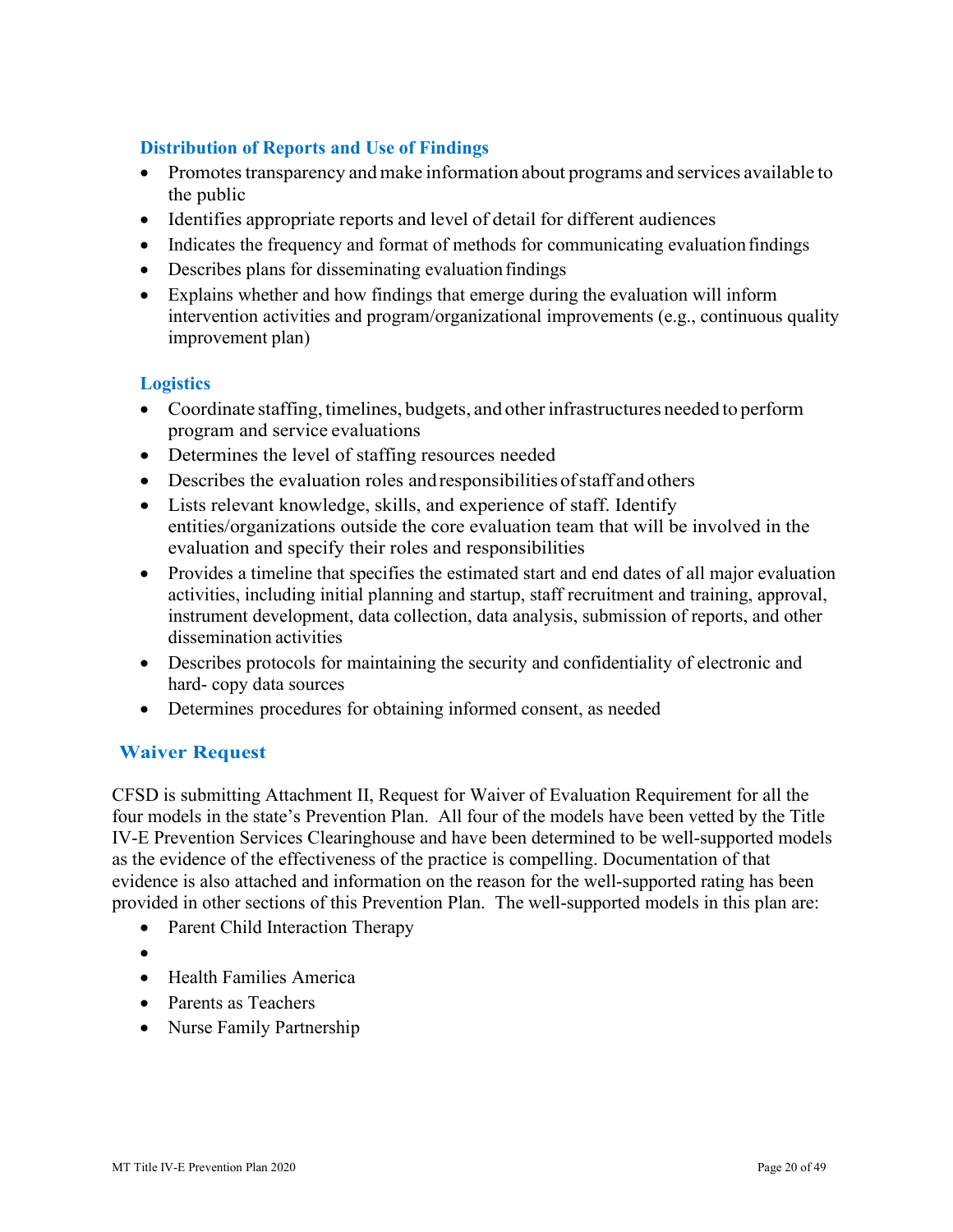# <span id="page-19-0"></span>**Distribution of Reports and Use of Findings**

- • Promotes transparency and make information about programs and services available to the public
- Identifies appropriate reports and level of detail for different audiences
- Indicates the frequency and format of methods for communicating evaluation findings
- Describes plans for disseminating evaluation findings
- improvement plan) • Explains whether and how findings that emerge during the evaluation will inform intervention activities and program/organizational improvements (e.g., continuous quality

# <span id="page-19-1"></span>**Logistics**

- • Coordinate staffing, timelines, budgets, and other infrastructures needed to perform program and service evaluations
- Determines the level of staffing resources needed
- Describes the evaluation roles and responsibilities of staff and others
- • Lists relevant knowledge, skills, and experience of staff. Identify entities/organizations outside the core evaluation team that will be involved in the evaluation and specify their roles and responsibilities
- dissemination activities • Provides a timeline that specifies the estimated start and end dates of all major evaluation activities, including initial planning and startup, staff recruitment and training, approval, instrument development, data collection, data analysis, submission of reports, and other
- Describes protocols for maintaining the security and confidentiality of electronic and hard- copy data sources
- Determines procedures for obtaining informed consent, as needed

# **Waiver Request**

 provided in other sections of this Prevention Plan. The well-supported models in this plan are: CFSD is submitting Attachment II, Request for Waiver of Evaluation Requirement for all the four models in the state's Prevention Plan. All four of the models have been vetted by the Title IV-E Prevention Services Clearinghouse and have been determined to be well-supported models as the evidence of the effectiveness of the practice is compelling. Documentation of that evidence is also attached and information on the reason for the well-supported rating has been

- Parent Child Interaction Therapy
- •
- Health Families America
- Parents as Teachers
- Nurse Family Partnership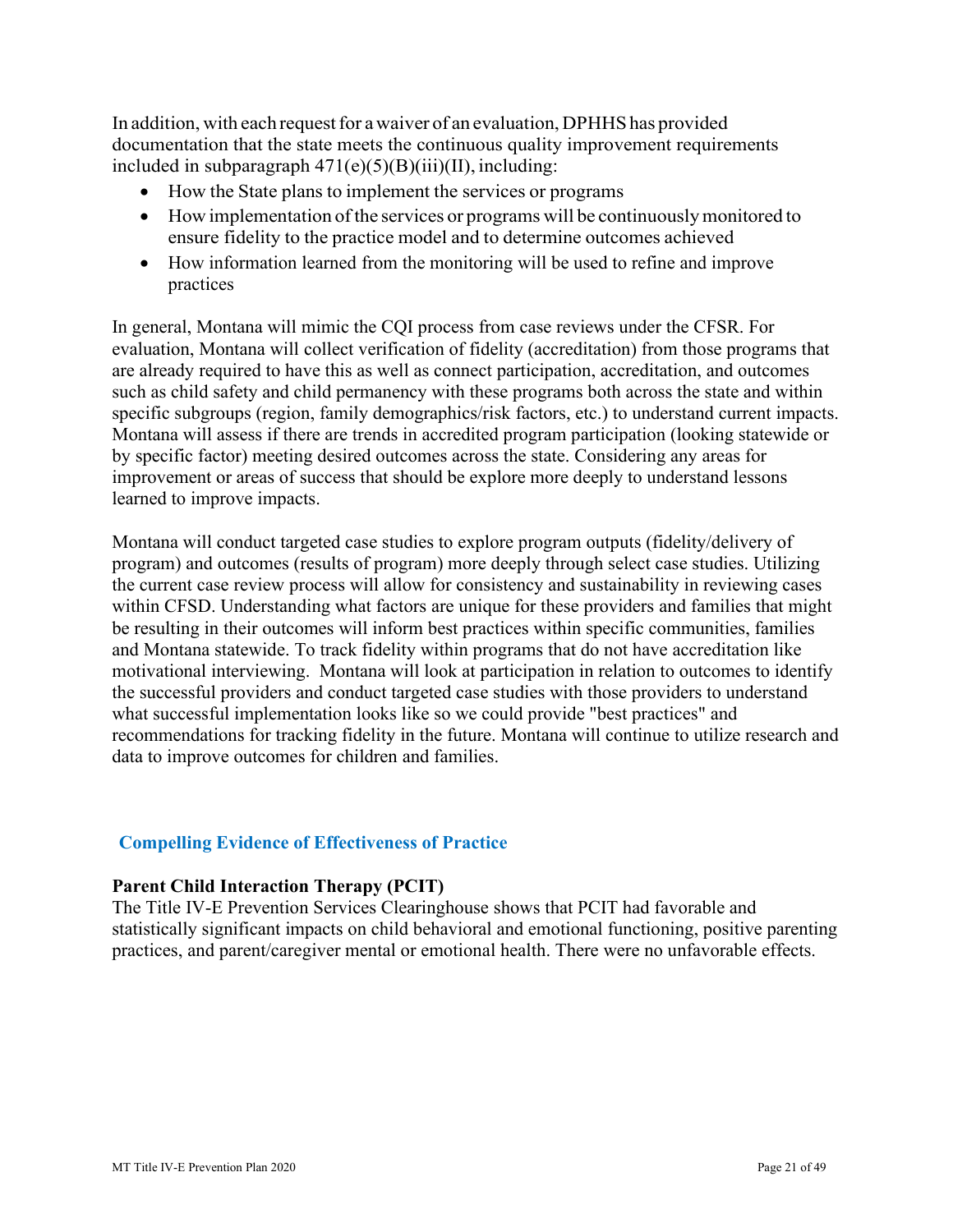In addition, with each request for a waiver of an evaluation, DPHHS has provided documentation that the state meets the continuous quality improvement requirements included in subparagraph  $471(e)(5)(B)(iii)(II)$ , including:

- How the State plans to implement the services or programs
- • How implementation of the services or programs will be continuously monitored to ensure fidelity to the practice model and to determine outcomes achieved
- How information learned from the monitoring will be used to refine and improve practices

 evaluation, Montana will collect verification of fidelity (accreditation) from those programs that such as child safety and child permanency with these programs both across the state and within In general, Montana will mimic the CQI process from case reviews under the CFSR. For are already required to have this as well as connect participation, accreditation, and outcomes specific subgroups (region, family demographics/risk factors, etc.) to understand current impacts. Montana will assess if there are trends in accredited program participation (looking statewide or by specific factor) meeting desired outcomes across the state. Considering any areas for improvement or areas of success that should be explore more deeply to understand lessons learned to improve impacts.

 within CFSD. Understanding what factors are unique for these providers and families that might be resulting in their outcomes will inform best practices within specific communities, families motivational interviewing. Montana will look at participation in relation to outcomes to identify Montana will conduct targeted case studies to explore program outputs (fidelity/delivery of program) and outcomes (results of program) more deeply through select case studies. Utilizing the current case review process will allow for consistency and sustainability in reviewing cases and Montana statewide. To track fidelity within programs that do not have accreditation like the successful providers and conduct targeted case studies with those providers to understand what successful implementation looks like so we could provide "best practices" and recommendations for tracking fidelity in the future. Montana will continue to utilize research and data to improve outcomes for children and families.

#### **Compelling Evidence of Effectiveness of Practice**

#### **Parent Child Interaction Therapy (PCIT)**

The Title IV-E Prevention Services Clearinghouse shows that PCIT had favorable and statistically significant impacts on child behavioral and emotional functioning, positive parenting practices, and parent/caregiver mental or emotional health. There were no unfavorable effects.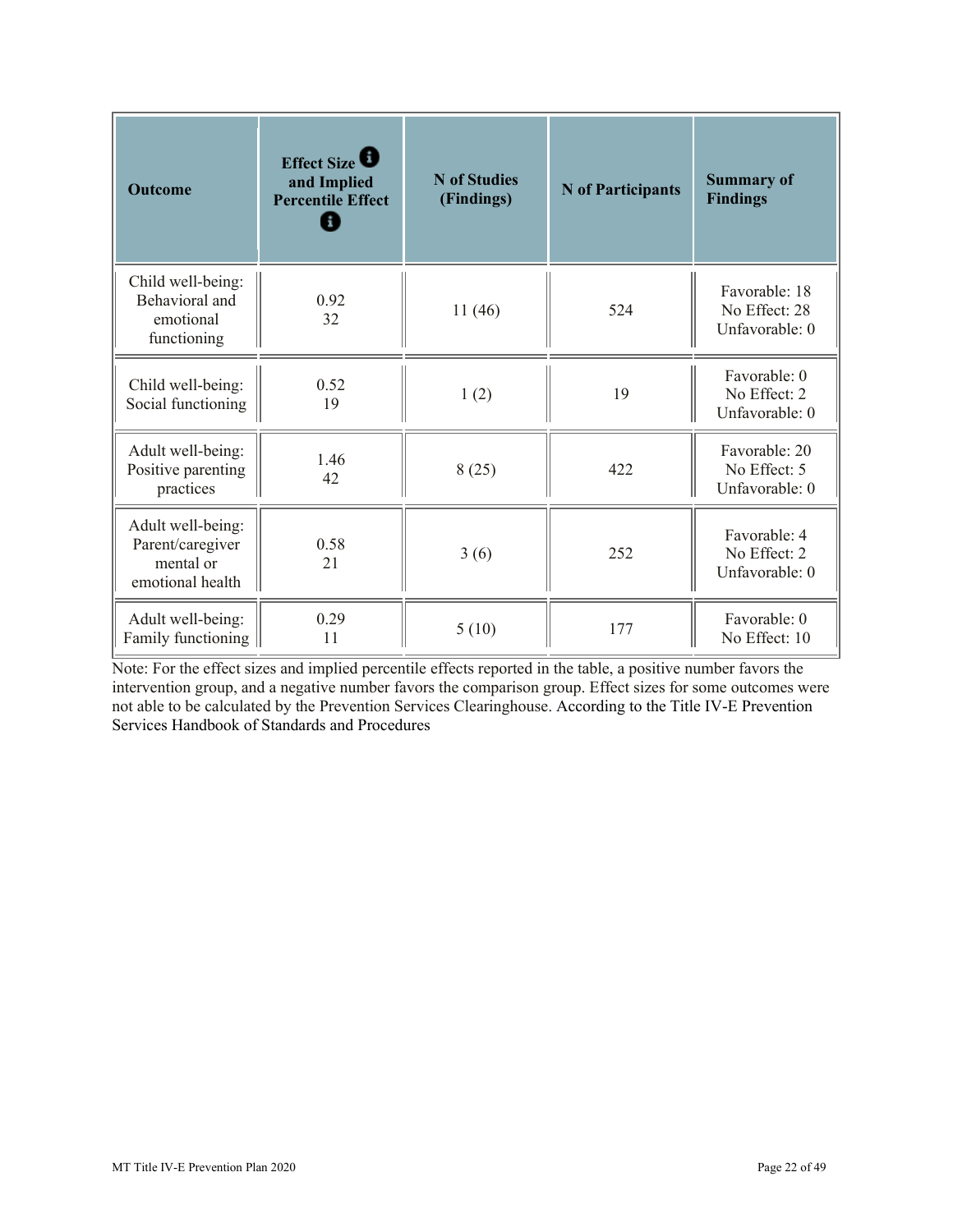| <b>Outcome</b>                                                         | Effect Size<br>and Implied<br><b>Percentile Effect</b> | <b>N</b> of Studies<br>(Findings) | <b>N</b> of Participants | <b>Summary of</b><br><b>Findings</b>             |
|------------------------------------------------------------------------|--------------------------------------------------------|-----------------------------------|--------------------------|--------------------------------------------------|
| Child well-being:<br>Behavioral and<br>emotional<br>functioning        | 0.92<br>32                                             | 11(46)                            | 524                      | Favorable: 18<br>No Effect: 28<br>Unfavorable: 0 |
| Child well-being:<br>Social functioning                                | 0.52<br>19                                             | 1(2)                              | 19                       | Favorable: 0<br>No Effect: 2<br>Unfavorable: 0   |
| Adult well-being:<br>Positive parenting<br>practices                   | 1.46<br>42                                             | 8(25)                             | 422                      | Favorable: 20<br>No Effect: 5<br>Unfavorable: 0  |
| Adult well-being:<br>Parent/caregiver<br>mental or<br>emotional health | 0.58<br>21                                             | 3(6)                              | 252                      | Favorable: 4<br>No Effect: 2<br>Unfavorable: 0   |
| Adult well-being:<br>Family functioning                                | 0.29<br>11                                             | 5(10)                             | 177                      | Favorable: 0<br>No Effect: 10                    |

Note: For the effect sizes and implied percentile effects reported in the table, a positive number favors the intervention group, and a negative number favors the comparison group. Effect sizes for some outcomes were not able to be calculated by the Prevention Services Clearinghouse. According to the Title IV-E Prevention Services Handbook of Standards and Procedures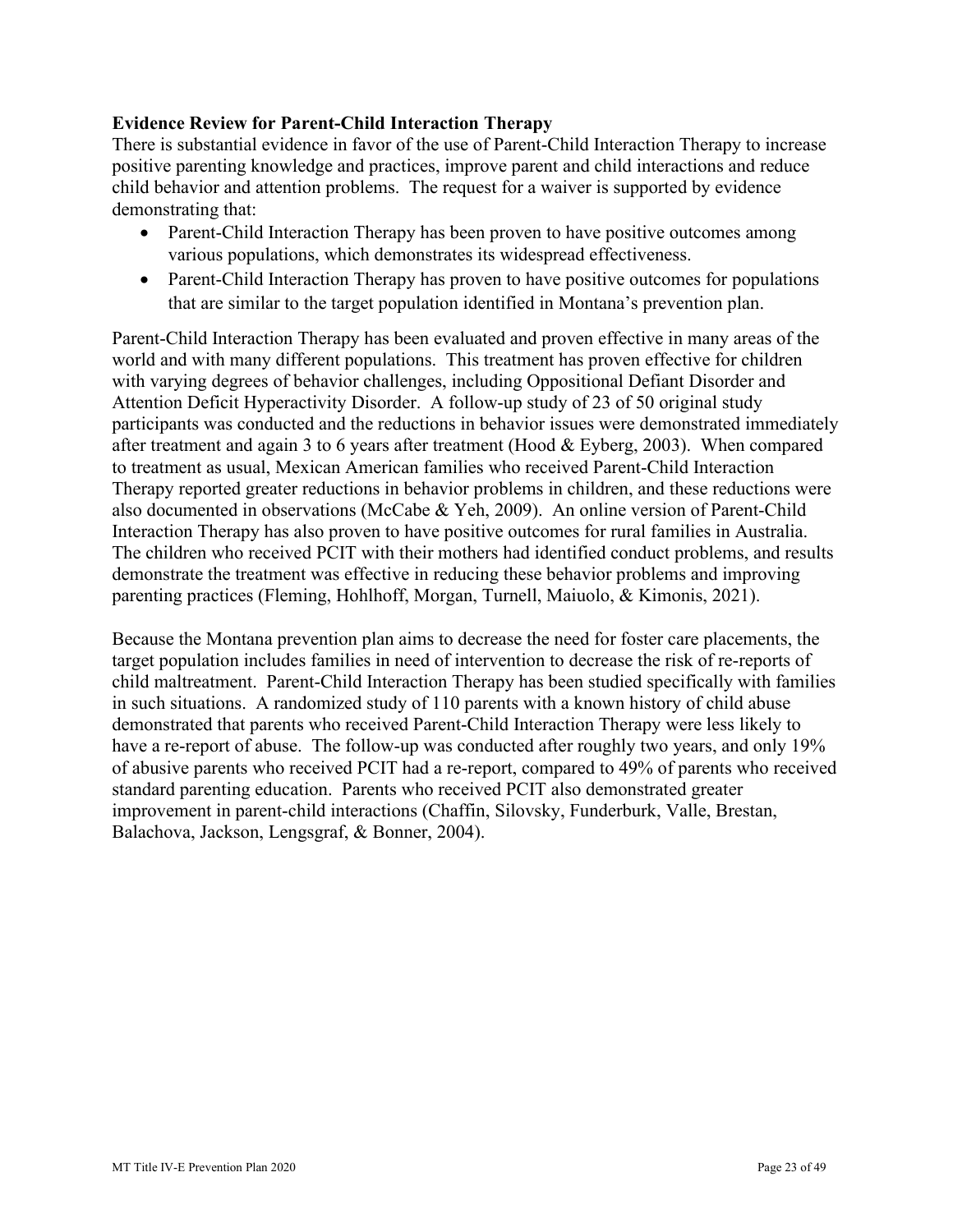#### **Evidence Review for Parent-Child Interaction Therapy**

There is substantial evidence in favor of the use of Parent-Child Interaction Therapy to increase positive parenting knowledge and practices, improve parent and child interactions and reduce child behavior and attention problems. The request for a waiver is supported by evidence demonstrating that:

- Parent-Child Interaction Therapy has been proven to have positive outcomes among various populations, which demonstrates its widespread effectiveness.
- • Parent-Child Interaction Therapy has proven to have positive outcomes for populations that are similar to the target population identified in Montana's prevention plan.

 Interaction Therapy has also proven to have positive outcomes for rural families in Australia. Parent-Child Interaction Therapy has been evaluated and proven effective in many areas of the world and with many different populations. This treatment has proven effective for children with varying degrees of behavior challenges, including Oppositional Defiant Disorder and Attention Deficit Hyperactivity Disorder. A follow-up study of 23 of 50 original study participants was conducted and the reductions in behavior issues were demonstrated immediately after treatment and again 3 to 6 years after treatment (Hood & Eyberg, 2003). When compared to treatment as usual, Mexican American families who received Parent-Child Interaction Therapy reported greater reductions in behavior problems in children, and these reductions were also documented in observations (McCabe & Yeh, 2009). An online version of Parent-Child The children who received PCIT with their mothers had identified conduct problems, and results demonstrate the treatment was effective in reducing these behavior problems and improving parenting practices (Fleming, Hohlhoff, Morgan, Turnell, Maiuolo, & Kimonis, 2021).

Because the Montana prevention plan aims to decrease the need for foster care placements, the target population includes families in need of intervention to decrease the risk of re-reports of child maltreatment. Parent-Child Interaction Therapy has been studied specifically with families in such situations. A randomized study of 110 parents with a known history of child abuse demonstrated that parents who received Parent-Child Interaction Therapy were less likely to have a re-report of abuse. The follow-up was conducted after roughly two years, and only 19% of abusive parents who received PCIT had a re-report, compared to 49% of parents who received standard parenting education. Parents who received PCIT also demonstrated greater improvement in parent-child interactions (Chaffin, Silovsky, Funderburk, Valle, Brestan, Balachova, Jackson, Lengsgraf, & Bonner, 2004).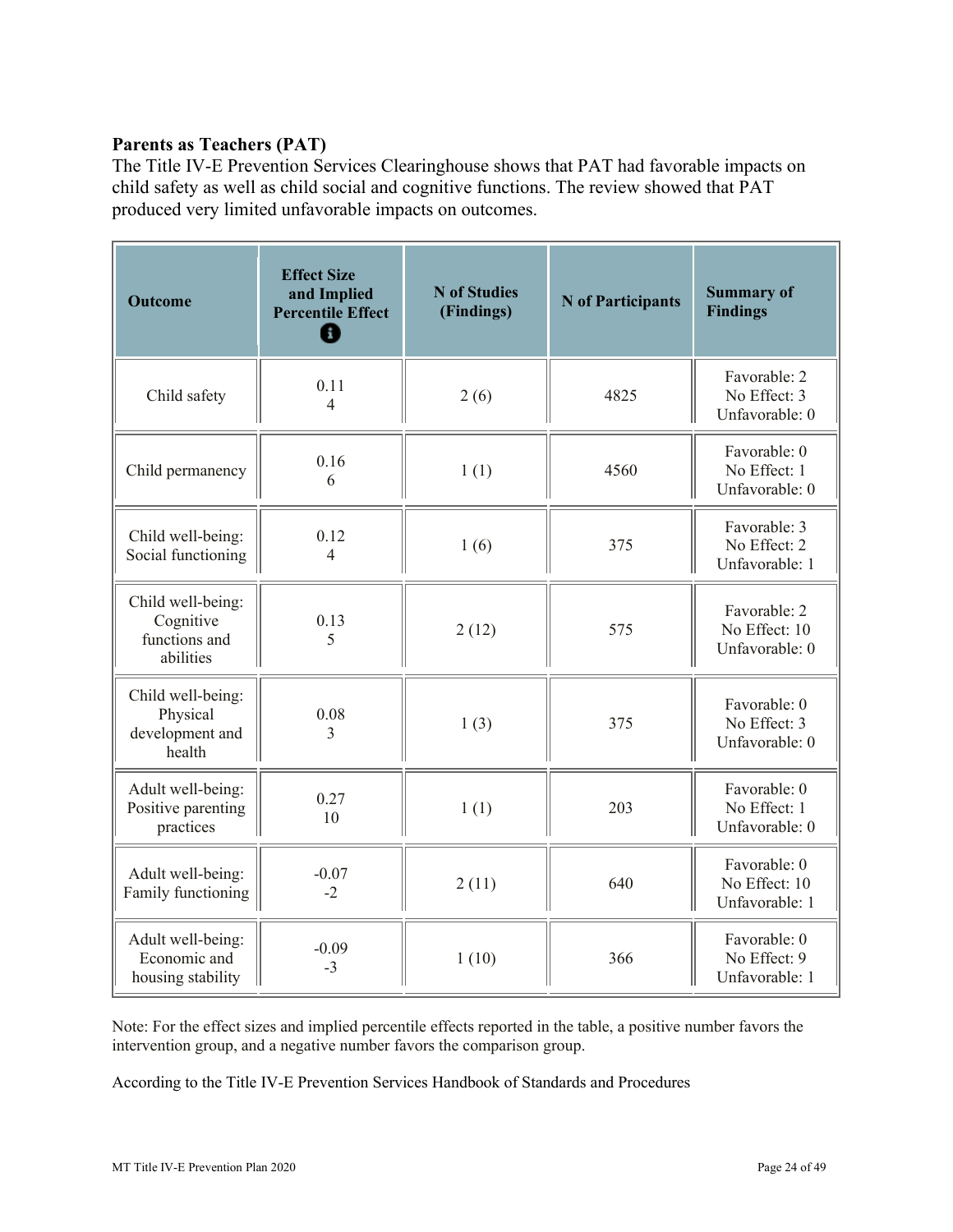# **Parents as Teachers (PAT)**

The Title IV-E Prevention Services Clearinghouse shows that PAT had favorable impacts on child safety as well as child social and cognitive functions. The review showed that PAT produced very limited unfavorable impacts on outcomes.

| <b>Outcome</b>                                               | <b>Effect Size</b><br>and Implied<br><b>Percentile Effect</b><br>A | <b>N</b> of Studies<br>(Findings) | <b>N</b> of Participants | <b>Summary of</b><br><b>Findings</b>            |
|--------------------------------------------------------------|--------------------------------------------------------------------|-----------------------------------|--------------------------|-------------------------------------------------|
| Child safety                                                 | 0.11<br>4                                                          | 2(6)                              | 4825                     | Favorable: 2<br>No Effect: 3<br>Unfavorable: 0  |
| Child permanency                                             | 0.16<br>6                                                          | 1(1)                              | 4560                     | Favorable: 0<br>No Effect: 1<br>Unfavorable: 0  |
| Child well-being:<br>Social functioning                      | 0.12<br>$\overline{\mathcal{A}}$                                   | 1(6)                              | 375                      | Favorable: 3<br>No Effect: 2<br>Unfavorable: 1  |
| Child well-being:<br>Cognitive<br>functions and<br>abilities | 0.13<br>5                                                          | 2(12)                             | 575                      | Favorable: 2<br>No Effect: 10<br>Unfavorable: 0 |
| Child well-being:<br>Physical<br>development and<br>health   | 0.08<br>3                                                          | 1(3)                              | 375                      | Favorable: 0<br>No Effect: 3<br>Unfavorable: 0  |
| Adult well-being:<br>Positive parenting<br>practices         | 0.27<br>10                                                         | 1(1)                              | 203                      | Favorable: 0<br>No Effect: 1<br>Unfavorable: 0  |
| Adult well-being:<br>Family functioning                      | $-0.07$<br>$-2$                                                    | 2(11)                             | 640                      | Favorable: 0<br>No Effect: 10<br>Unfavorable: 1 |
| Adult well-being:<br>Economic and<br>housing stability       | $-0.09$<br>$-3$                                                    | 1(10)                             | 366                      | Favorable: 0<br>No Effect: 9<br>Unfavorable: 1  |

Note: For the effect sizes and implied percentile effects reported in the table, a positive number favors the intervention group, and a negative number favors the comparison group.

According to the Title IV-E Prevention Services Handbook of Standards and Procedures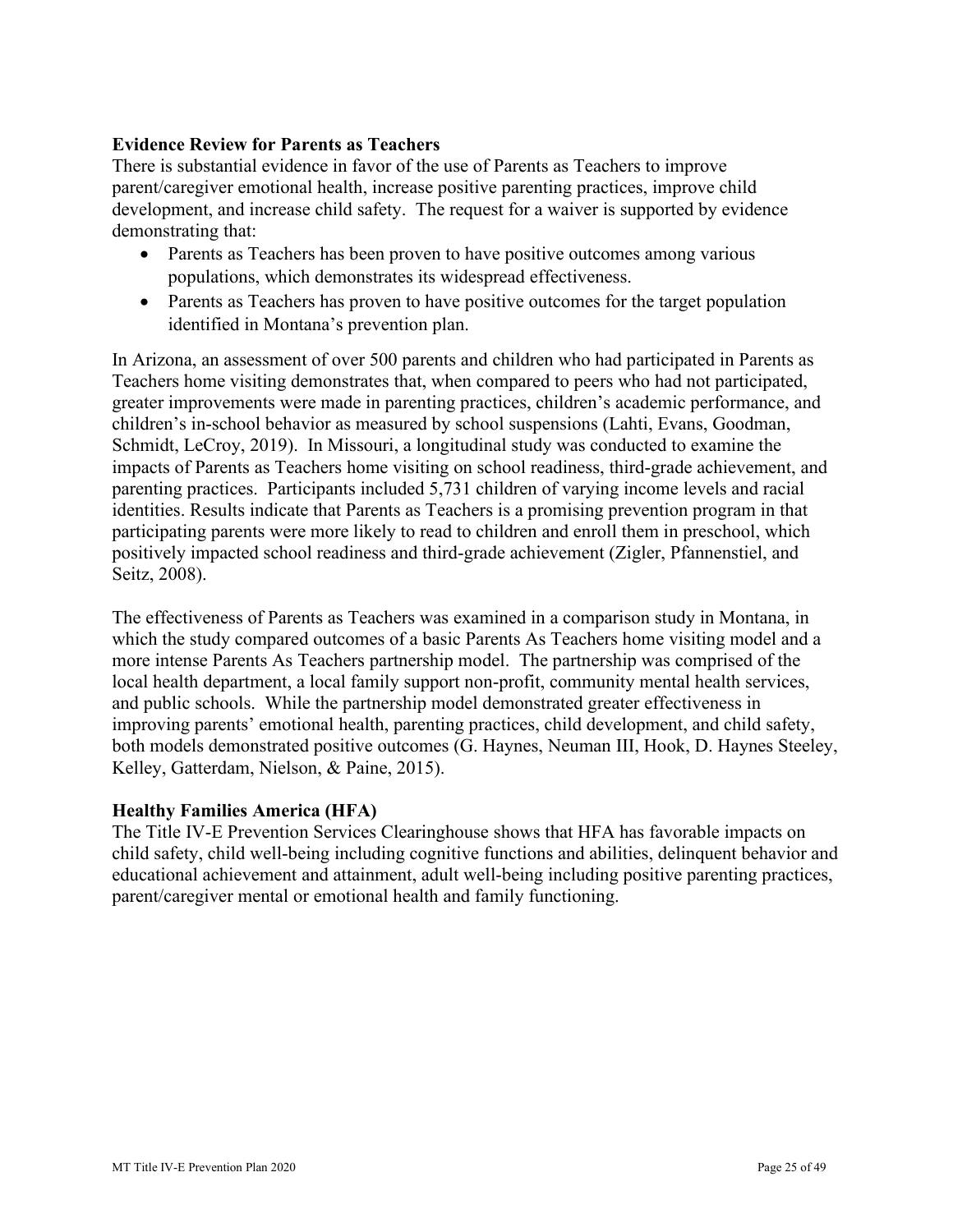#### **Evidence Review for Parents as Teachers**

 There is substantial evidence in favor of the use of Parents as Teachers to improve parent/caregiver emotional health, increase positive parenting practices, improve child development, and increase child safety. The request for a waiver is supported by evidence demonstrating that:

- • Parents as Teachers has been proven to have positive outcomes among various populations, which demonstrates its widespread effectiveness.
- Parents as Teachers has proven to have positive outcomes for the target population identified in Montana's prevention plan.

In Arizona, an assessment of over 500 parents and children who had participated in Parents as Teachers home visiting demonstrates that, when compared to peers who had not participated, greater improvements were made in parenting practices, children's academic performance, and children's in-school behavior as measured by school suspensions (Lahti, Evans, Goodman, Schmidt, LeCroy, 2019). In Missouri, a longitudinal study was conducted to examine the impacts of Parents as Teachers home visiting on school readiness, third-grade achievement, and parenting practices. Participants included 5,731 children of varying income levels and racial identities. Results indicate that Parents as Teachers is a promising prevention program in that participating parents were more likely to read to children and enroll them in preschool, which positively impacted school readiness and third-grade achievement (Zigler, Pfannenstiel, and Seitz, 2008).

 Kelley, Gatterdam, Nielson, & Paine, 2015). The effectiveness of Parents as Teachers was examined in a comparison study in Montana, in which the study compared outcomes of a basic Parents As Teachers home visiting model and a more intense Parents As Teachers partnership model. The partnership was comprised of the local health department, a local family support non-profit, community mental health services, and public schools. While the partnership model demonstrated greater effectiveness in improving parents' emotional health, parenting practices, child development, and child safety, both models demonstrated positive outcomes (G. Haynes, Neuman III, Hook, D. Haynes Steeley,

#### **Healthy Families America (HFA)**

The Title IV-E Prevention Services Clearinghouse shows that HFA has favorable impacts on child safety, child well-being including cognitive functions and abilities, delinquent behavior and educational achievement and attainment, adult well-being including positive parenting practices, parent/caregiver mental or emotional health and family functioning.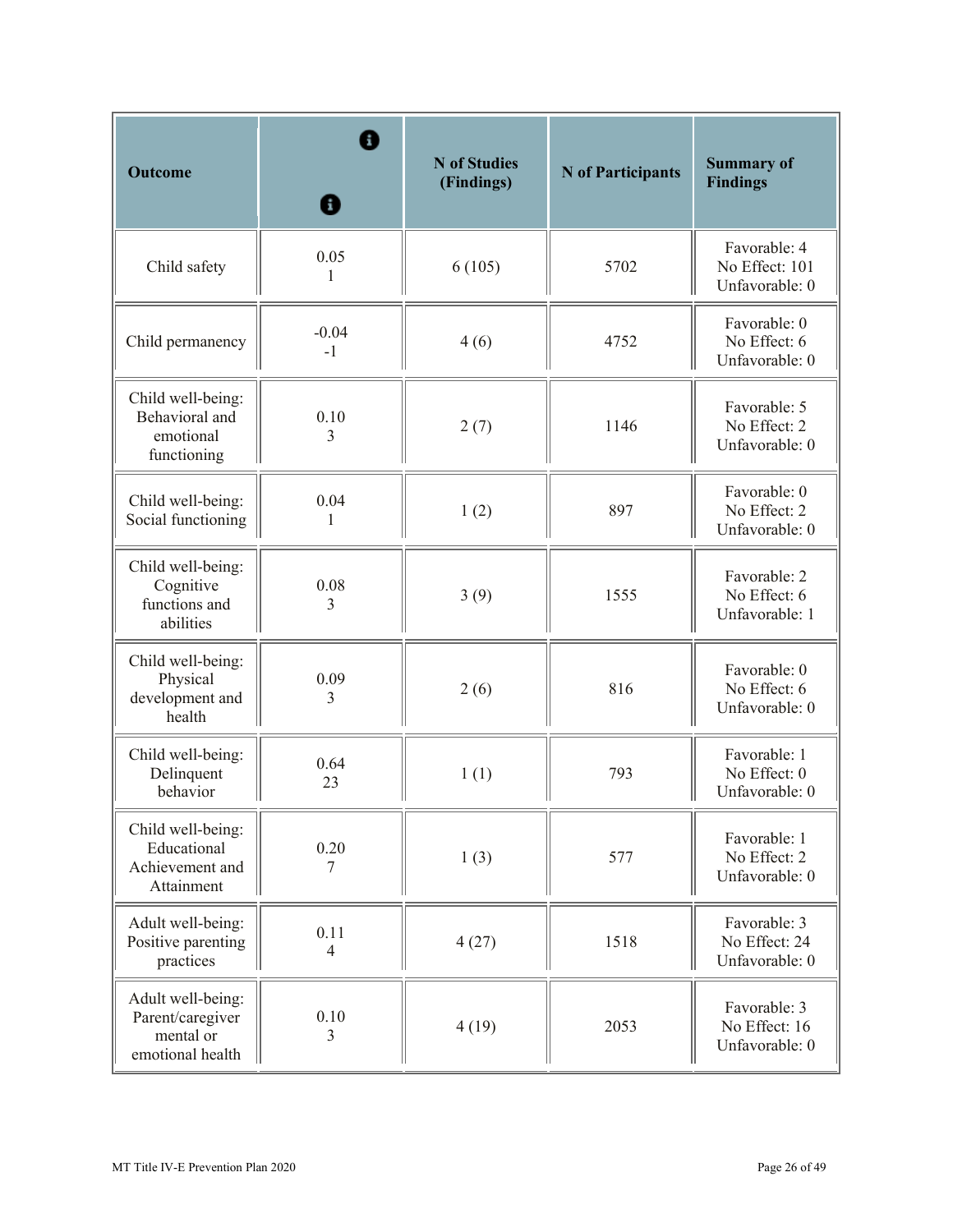| <b>Outcome</b>                                                         | н                      | <b>N</b> of Studies<br>(Findings) | <b>N</b> of Participants | <b>Summary of</b><br><b>Findings</b>             |
|------------------------------------------------------------------------|------------------------|-----------------------------------|--------------------------|--------------------------------------------------|
| Child safety                                                           | 0.05<br>1              | 6(105)                            | 5702                     | Favorable: 4<br>No Effect: 101<br>Unfavorable: 0 |
| Child permanency                                                       | $-0.04$<br>$-1$        | 4(6)                              | 4752                     | Favorable: 0<br>No Effect: 6<br>Unfavorable: 0   |
| Child well-being:<br>Behavioral and<br>emotional<br>functioning        | 0.10<br>3              | 2(7)                              | 1146                     | Favorable: 5<br>No Effect: 2<br>Unfavorable: 0   |
| Child well-being:<br>Social functioning                                | 0.04<br>1              | 1(2)                              | 897                      | Favorable: 0<br>No Effect: 2<br>Unfavorable: 0   |
| Child well-being:<br>Cognitive<br>functions and<br>abilities           | 0.08<br>3              | 3(9)                              | 1555                     | Favorable: 2<br>No Effect: 6<br>Unfavorable: 1   |
| Child well-being:<br>Physical<br>development and<br>health             | 0.09<br>3              | 2(6)                              | 816                      | Favorable: 0<br>No Effect: 6<br>Unfavorable: 0   |
| Child well-being:<br>Delinquent<br>behavior                            | 0.64<br>23             | 1(1)                              | 793                      | Favorable: 1<br>No Effect: 0<br>Unfavorable: 0   |
| Child well-being:<br>Educational<br>Achievement and<br>Attainment      | 0.20<br>7              | 1(3)                              | 577                      | Favorable: 1<br>No Effect: 2<br>Unfavorable: 0   |
| Adult well-being:<br>Positive parenting<br>practices                   | 0.11<br>$\overline{4}$ | 4(27)                             | 1518                     | Favorable: 3<br>No Effect: 24<br>Unfavorable: 0  |
| Adult well-being:<br>Parent/caregiver<br>mental or<br>emotional health | 0.10<br>3              | 4(19)                             | 2053                     | Favorable: 3<br>No Effect: 16<br>Unfavorable: 0  |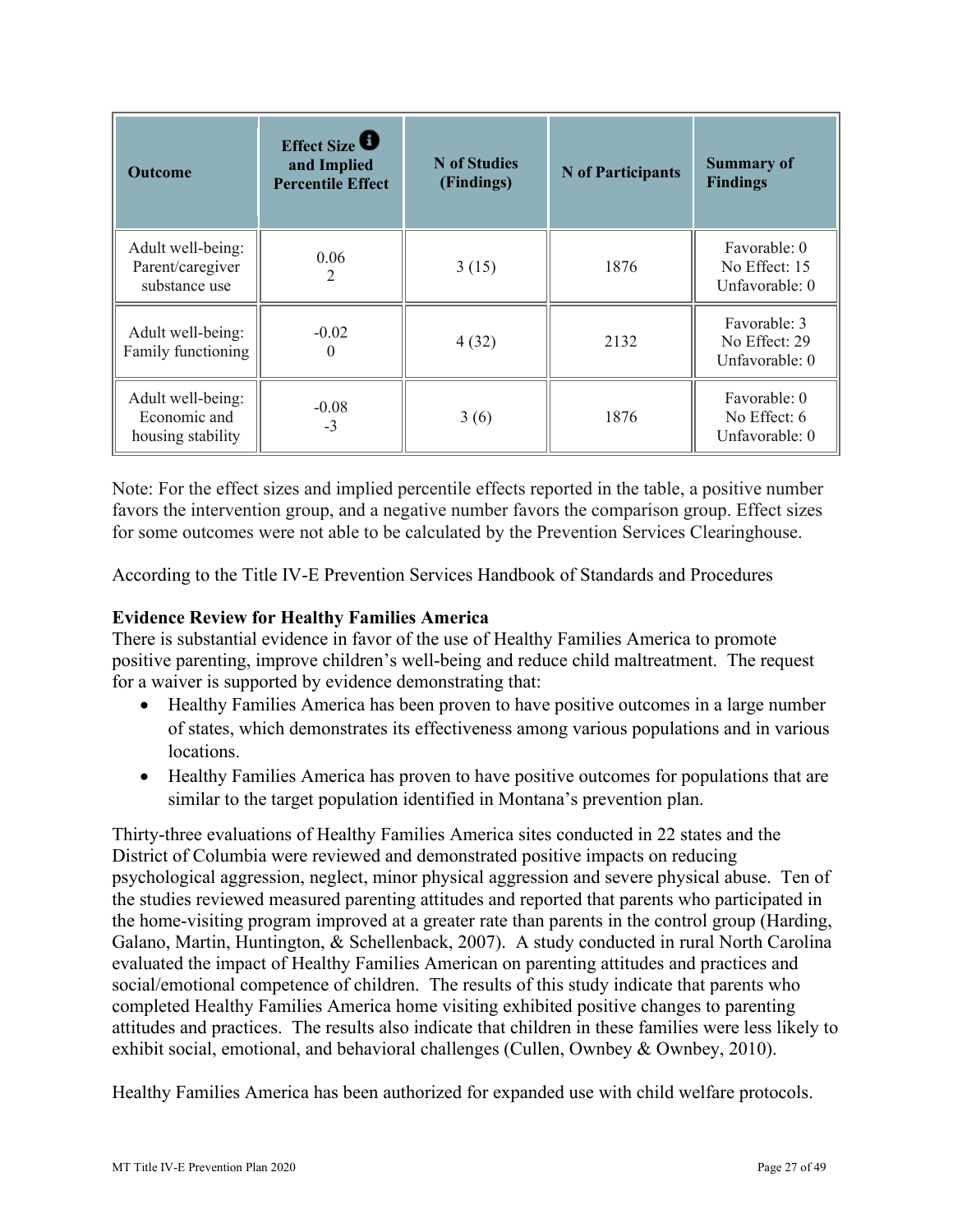| <b>Outcome</b>                                         | Effect Size<br>and Implied<br><b>Percentile Effect</b> | N of Studies<br>(Findings) | N of Participants | <b>Summary of</b><br><b>Findings</b>            |
|--------------------------------------------------------|--------------------------------------------------------|----------------------------|-------------------|-------------------------------------------------|
| Adult well-being:<br>Parent/caregiver<br>substance use | 0.06<br>2                                              | 3(15)                      | 1876              | Favorable: 0<br>No Effect: 15<br>Unfavorable: 0 |
| Adult well-being:<br>Family functioning                | $-0.02$<br>0                                           | 4(32)                      | 2132              | Favorable: 3<br>No Effect: 29<br>Unfavorable: 0 |
| Adult well-being:<br>Economic and<br>housing stability | $-0.08$<br>$-3$                                        | 3(6)                       | 1876              | Favorable: 0<br>No Effect: 6<br>Unfavorable: 0  |

Note: For the effect sizes and implied percentile effects reported in the table, a positive number favors the intervention group, and a negative number favors the comparison group. Effect sizes for some outcomes were not able to be calculated by the Prevention Services Clearinghouse.

According to the Title IV-E Prevention Services Handbook of Standards and Procedures

#### **Evidence Review for Healthy Families America**

There is substantial evidence in favor of the use of Healthy Families America to promote positive parenting, improve children's well-being and reduce child maltreatment. The request for a waiver is supported by evidence demonstrating that:

- Healthy Families America has been proven to have positive outcomes in a large number of states, which demonstrates its effectiveness among various populations and in various locations.
- Healthy Families America has proven to have positive outcomes for populations that are similar to the target population identified in Montana's prevention plan.

 Thirty-three evaluations of Healthy Families America sites conducted in 22 states and the attitudes and practices. The results also indicate that children in these families were less likely to District of Columbia were reviewed and demonstrated positive impacts on reducing psychological aggression, neglect, minor physical aggression and severe physical abuse. Ten of the studies reviewed measured parenting attitudes and reported that parents who participated in the home-visiting program improved at a greater rate than parents in the control group (Harding, Galano, Martin, Huntington, & Schellenback, 2007). A study conducted in rural North Carolina evaluated the impact of Healthy Families American on parenting attitudes and practices and social/emotional competence of children. The results of this study indicate that parents who completed Healthy Families America home visiting exhibited positive changes to parenting exhibit social, emotional, and behavioral challenges (Cullen, Ownbey & Ownbey, 2010).

Healthy Families America has been authorized for expanded use with child welfare protocols.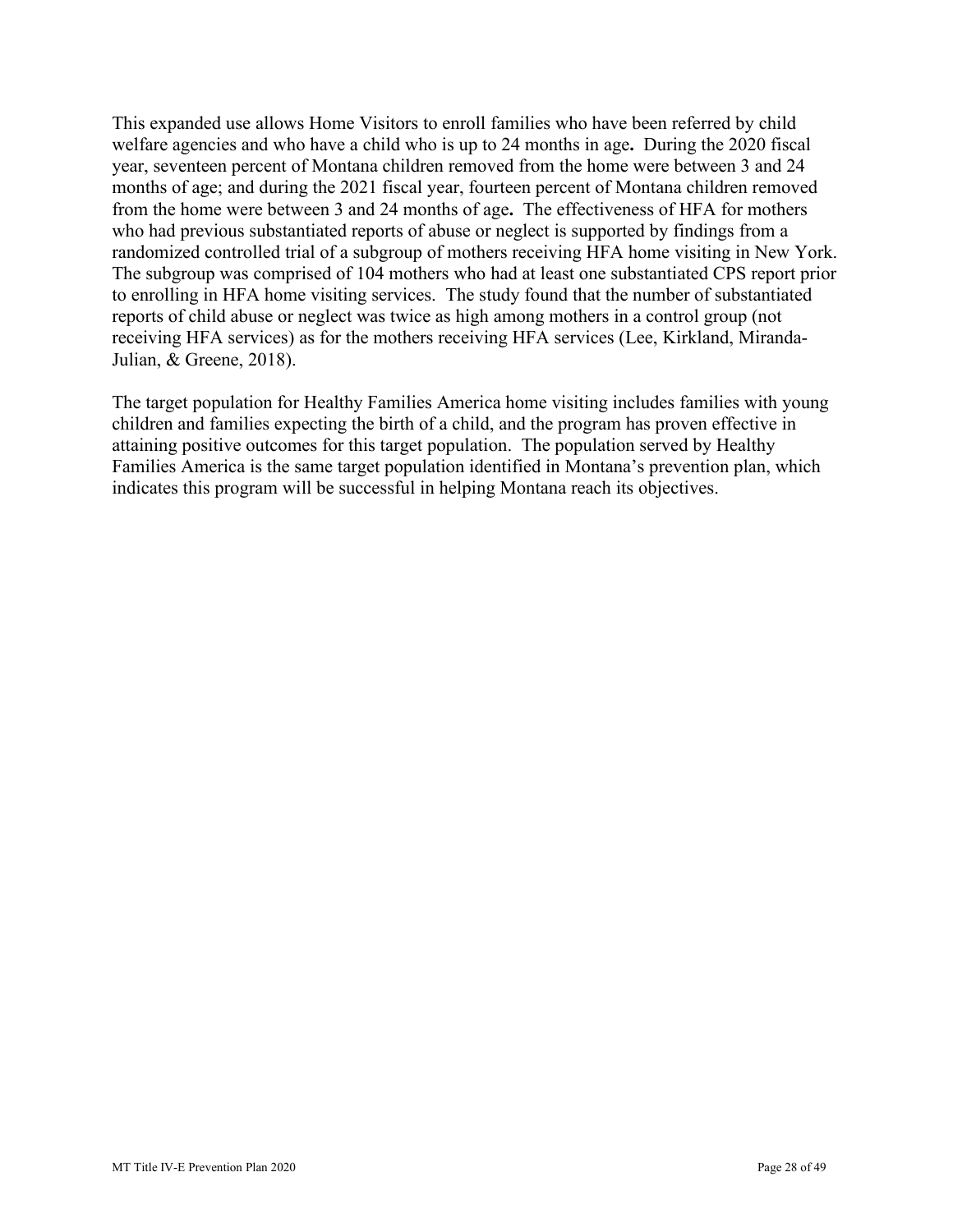from the home were between 3 and 24 months of age**.** The effectiveness of HFA for mothers This expanded use allows Home Visitors to enroll families who have been referred by child welfare agencies and who have a child who is up to 24 months in age**.** During the 2020 fiscal year, seventeen percent of Montana children removed from the home were between 3 and 24 months of age; and during the 2021 fiscal year, fourteen percent of Montana children removed who had previous substantiated reports of abuse or neglect is supported by findings from a randomized controlled trial of a subgroup of mothers receiving HFA home visiting in New York. The subgroup was comprised of 104 mothers who had at least one substantiated CPS report prior to enrolling in HFA home visiting services. The study found that the number of substantiated reports of child abuse or neglect was twice as high among mothers in a control group (not receiving HFA services) as for the mothers receiving HFA services (Lee, Kirkland, Miranda-Julian, & Greene, 2018).

The target population for Healthy Families America home visiting includes families with young children and families expecting the birth of a child, and the program has proven effective in attaining positive outcomes for this target population. The population served by Healthy Families America is the same target population identified in Montana's prevention plan, which indicates this program will be successful in helping Montana reach its objectives.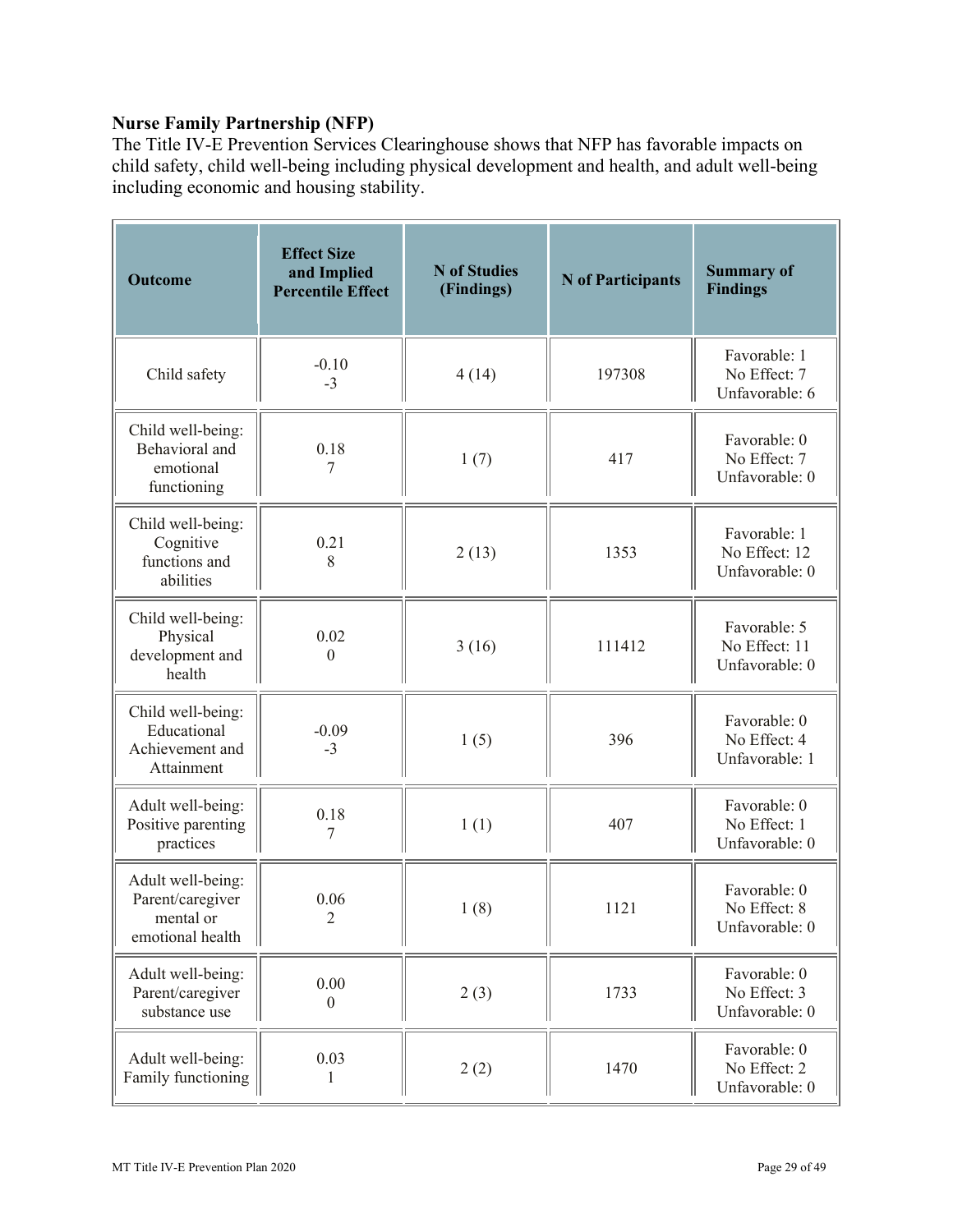# **Nurse Family Partnership (NFP)**

The Title IV-E Prevention Services Clearinghouse shows that NFP has favorable impacts on child safety, child well-being including physical development and health, and adult well-being including economic and housing stability.

| <b>Outcome</b>                                                         | <b>Effect Size</b><br>and Implied<br><b>Percentile Effect</b> | <b>N</b> of Studies<br>(Findings) | <b>N</b> of Participants | <b>Summary of</b><br><b>Findings</b>            |
|------------------------------------------------------------------------|---------------------------------------------------------------|-----------------------------------|--------------------------|-------------------------------------------------|
| Child safety                                                           | $-0.10$<br>$-3$                                               | 4(14)                             | 197308                   | Favorable: 1<br>No Effect: 7<br>Unfavorable: 6  |
| Child well-being:<br>Behavioral and<br>emotional<br>functioning        | 0.18<br>7                                                     | 1(7)                              | 417                      | Favorable: 0<br>No Effect: 7<br>Unfavorable: 0  |
| Child well-being:<br>Cognitive<br>functions and<br>abilities           | 0.21<br>8                                                     | 2(13)                             | 1353                     | Favorable: 1<br>No Effect: 12<br>Unfavorable: 0 |
| Child well-being:<br>Physical<br>development and<br>health             | 0.02<br>$\boldsymbol{0}$                                      | 3(16)                             | 111412                   | Favorable: 5<br>No Effect: 11<br>Unfavorable: 0 |
| Child well-being:<br>Educational<br>Achievement and<br>Attainment      | $-0.09$<br>$-3$                                               | 1(5)                              | 396                      | Favorable: 0<br>No Effect: 4<br>Unfavorable: 1  |
| Adult well-being:<br>Positive parenting<br>practices                   | 0.18<br>7                                                     | 1(1)                              | 407                      | Favorable: 0<br>No Effect: 1<br>Unfavorable: 0  |
| Adult well-being:<br>Parent/caregiver<br>mental or<br>emotional health | 0.06<br>$\overline{2}$                                        | 1(8)                              | 1121                     | Favorable: 0<br>No Effect: 8<br>Unfavorable: 0  |
| Adult well-being:<br>Parent/caregiver<br>substance use                 | 0.00<br>$\theta$                                              | 2(3)                              | 1733                     | Favorable: 0<br>No Effect: 3<br>Unfavorable: 0  |
| Adult well-being:<br>Family functioning                                | 0.03<br>1                                                     | 2(2)                              | 1470                     | Favorable: 0<br>No Effect: 2<br>Unfavorable: 0  |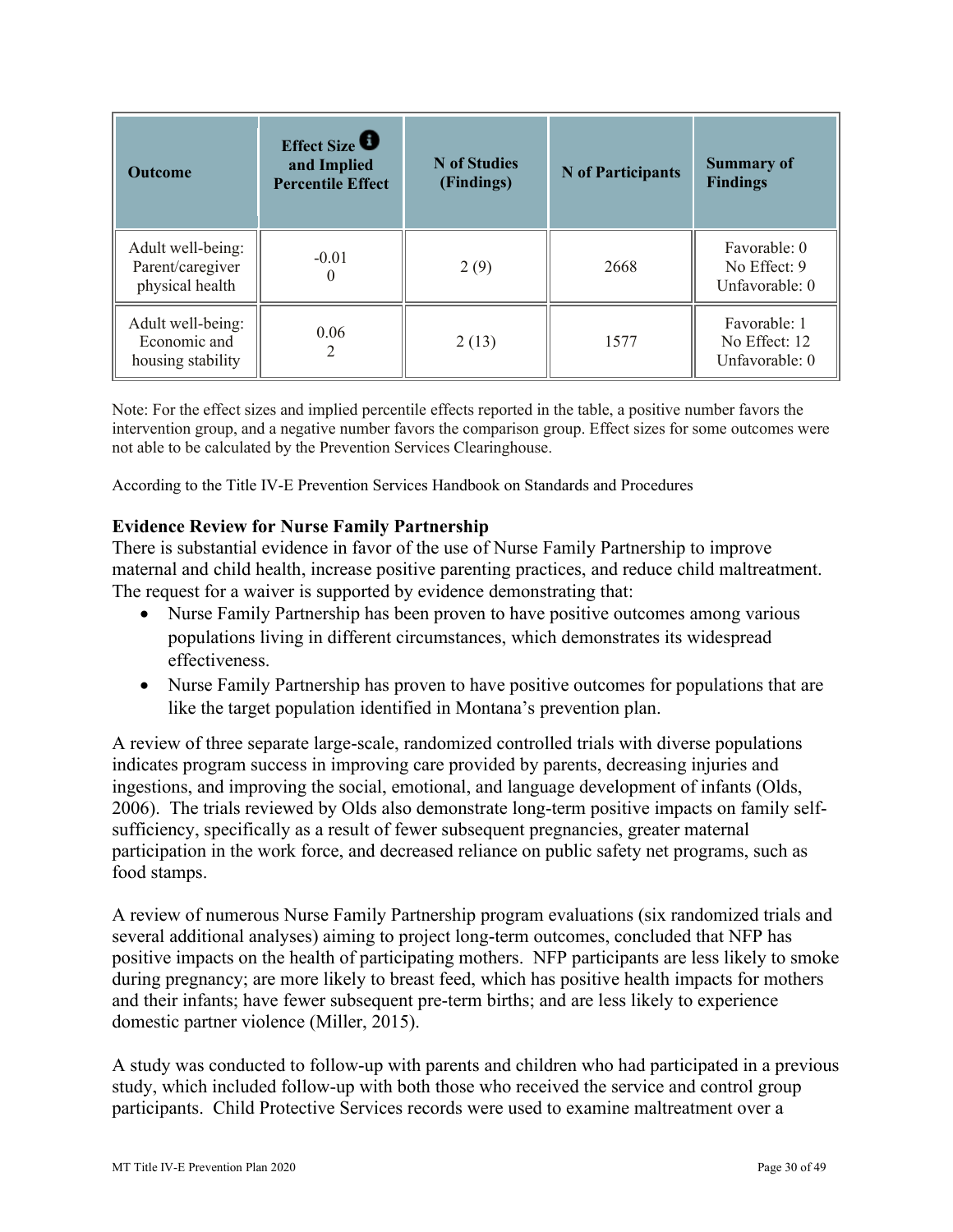| <b>Outcome</b>                                           | Effect Size<br>and Implied<br><b>Percentile Effect</b> | N of Studies<br>(Findings) | N of Participants | <b>Summary of</b><br><b>Findings</b>            |
|----------------------------------------------------------|--------------------------------------------------------|----------------------------|-------------------|-------------------------------------------------|
| Adult well-being:<br>Parent/caregiver<br>physical health | $-0.01$<br>$\theta$                                    | 2(9)                       | 2668              | Favorable: 0<br>No Effect: 9<br>Unfavorable: 0  |
| Adult well-being:<br>Economic and<br>housing stability   | 0.06<br>2                                              | 2(13)                      | 1577              | Favorable: 1<br>No Effect: 12<br>Unfavorable: 0 |

 intervention group, and a negative number favors the comparison group. Effect sizes for some outcomes were Note: For the effect sizes and implied percentile effects reported in the table, a positive number favors the not able to be calculated by the Prevention Services Clearinghouse.

According to the Title IV-E Prevention Services Handbook on Standards and Procedures

#### **Evidence Review for Nurse Family Partnership**

 maternal and child health, increase positive parenting practices, and reduce child maltreatment. The request for a waiver is supported by evidence demonstrating that: There is substantial evidence in favor of the use of Nurse Family Partnership to improve

- Nurse Family Partnership has been proven to have positive outcomes among various populations living in different circumstances, which demonstrates its widespread effectiveness.
- Nurse Family Partnership has proven to have positive outcomes for populations that are like the target population identified in Montana's prevention plan.

A review of three separate large-scale, randomized controlled trials with diverse populations indicates program success in improving care provided by parents, decreasing injuries and ingestions, and improving the social, emotional, and language development of infants (Olds, 2006). The trials reviewed by Olds also demonstrate long-term positive impacts on family selfsufficiency, specifically as a result of fewer subsequent pregnancies, greater maternal participation in the work force, and decreased reliance on public safety net programs, such as food stamps.

A review of numerous Nurse Family Partnership program evaluations (six randomized trials and several additional analyses) aiming to project long-term outcomes, concluded that NFP has positive impacts on the health of participating mothers. NFP participants are less likely to smoke during pregnancy; are more likely to breast feed, which has positive health impacts for mothers and their infants; have fewer subsequent pre-term births; and are less likely to experience domestic partner violence (Miller, 2015).

A study was conducted to follow-up with parents and children who had participated in a previous study, which included follow-up with both those who received the service and control group participants. Child Protective Services records were used to examine maltreatment over a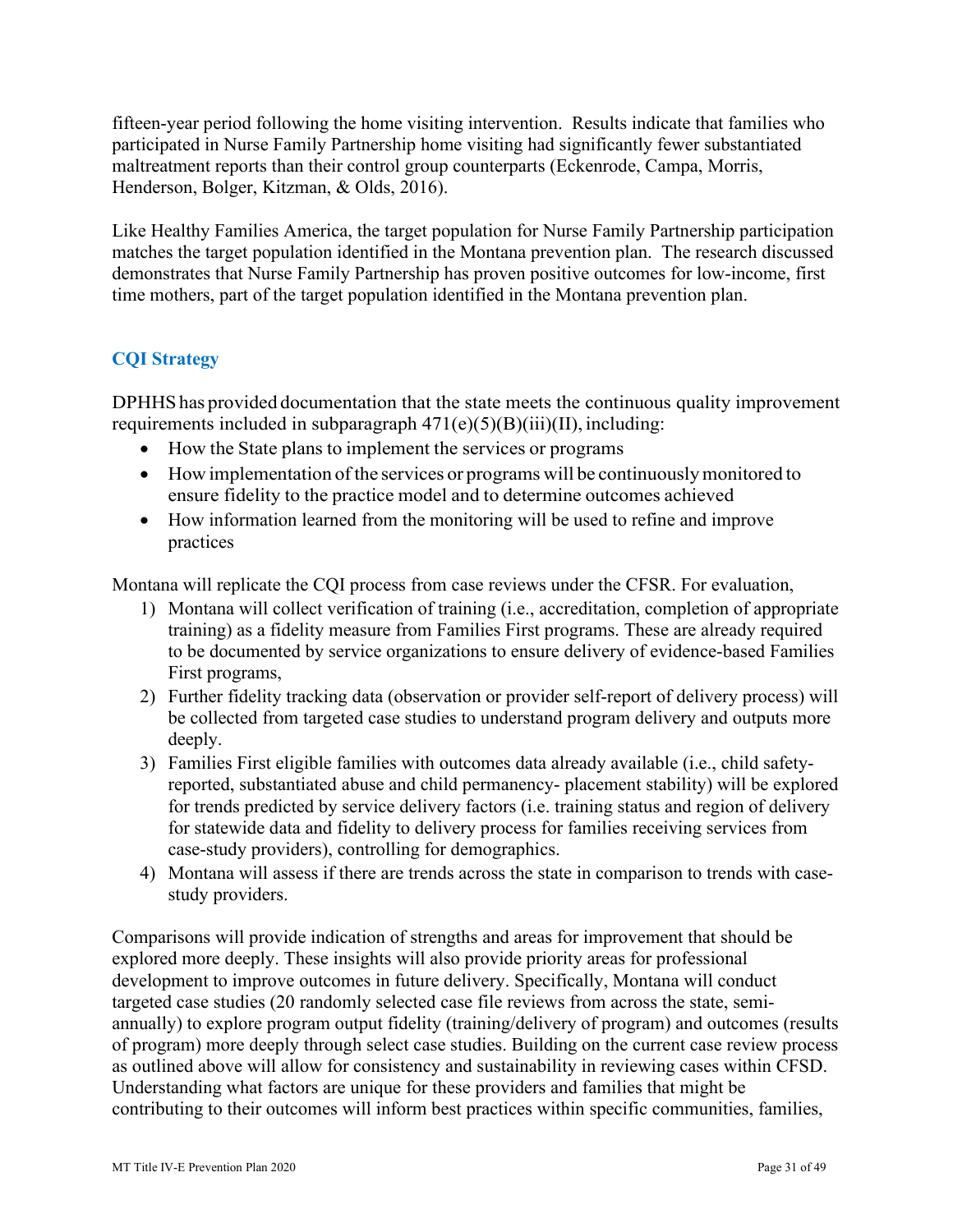fifteen-year period following the home visiting intervention. Results indicate that families who participated in Nurse Family Partnership home visiting had significantly fewer substantiated maltreatment reports than their control group counterparts (Eckenrode, Campa, Morris, Henderson, Bolger, Kitzman, & Olds, 2016).

Like Healthy Families America, the target population for Nurse Family Partnership participation matches the target population identified in the Montana prevention plan. The research discussed demonstrates that Nurse Family Partnership has proven positive outcomes for low-income, first time mothers, part of the target population identified in the Montana prevention plan.

# **CQI Strategy**

 DPHHS has provided documentation that the state meets the continuous quality improvement requirements included in subparagraph  $471(e)(5)(B)(iii)(II)$ , including:

- How the State plans to implement the services or programs
- • How implementation of the services or programs will be continuously monitored to ensure fidelity to the practice model and to determine outcomes achieved
- How information learned from the monitoring will be used to refine and improve practices

Montana will replicate the CQI process from case reviews under the CFSR. For evaluation,

- 1) Montana will collect verification of training (i.e., accreditation, completion of appropriate training) as a fidelity measure from Families First programs. These are already required to be documented by service organizations to ensure delivery of evidence-based Families First programs,
- 2) Further fidelity tracking data (observation or provider self-report of delivery process) will be collected from targeted case studies to understand program delivery and outputs more deeply.
- 3) Families First eligible families with outcomes data already available (i.e., child safetyreported, substantiated abuse and child permanency- placement stability) will be explored for trends predicted by service delivery factors (i.e. training status and region of delivery for statewide data and fidelity to delivery process for families receiving services from case-study providers), controlling for demographics.
- 4) Montana will assess if there are trends across the state in comparison to trends with casestudy providers.

Comparisons will provide indication of strengths and areas for improvement that should be explored more deeply. These insights will also provide priority areas for professional development to improve outcomes in future delivery. Specifically, Montana will conduct targeted case studies (20 randomly selected case file reviews from across the state, semiannually) to explore program output fidelity (training/delivery of program) and outcomes (results of program) more deeply through select case studies. Building on the current case review process as outlined above will allow for consistency and sustainability in reviewing cases within CFSD. Understanding what factors are unique for these providers and families that might be contributing to their outcomes will inform best practices within specific communities, families,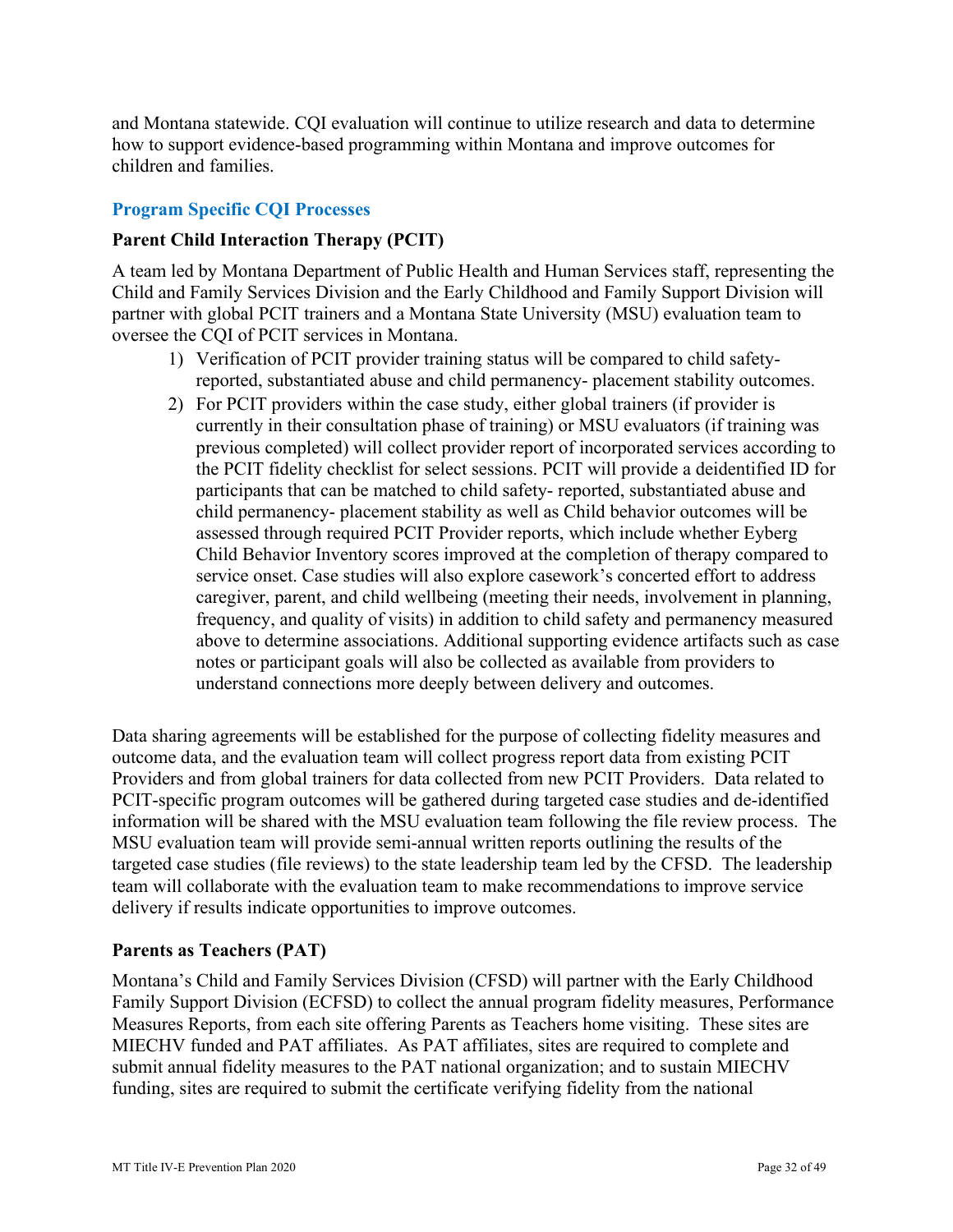and Montana statewide. CQI evaluation will continue to utilize research and data to determine how to support evidence-based programming within Montana and improve outcomes for children and families.

#### **Program Specific CQI Processes**

#### **Parent Child Interaction Therapy (PCIT)**

 A team led by Montana Department of Public Health and Human Services staff, representing the Child and Family Services Division and the Early Childhood and Family Support Division will partner with global PCIT trainers and a Montana State University (MSU) evaluation team to oversee the CQI of PCIT services in Montana.

- reported, substantiated abuse and child permanency- placement stability outcomes. 1) Verification of PCIT provider training status will be compared to child safety-
- 2) For PCIT providers within the case study, either global trainers (if provider is frequency, and quality of visits) in addition to child safety and permanency measured currently in their consultation phase of training) or MSU evaluators (if training was previous completed) will collect provider report of incorporated services according to the PCIT fidelity checklist for select sessions. PCIT will provide a deidentified ID for participants that can be matched to child safety- reported, substantiated abuse and child permanency- placement stability as well as Child behavior outcomes will be assessed through required PCIT Provider reports, which include whether Eyberg Child Behavior Inventory scores improved at the completion of therapy compared to service onset. Case studies will also explore casework's concerted effort to address caregiver, parent, and child wellbeing (meeting their needs, involvement in planning, above to determine associations. Additional supporting evidence artifacts such as case notes or participant goals will also be collected as available from providers to understand connections more deeply between delivery and outcomes.

Data sharing agreements will be established for the purpose of collecting fidelity measures and outcome data, and the evaluation team will collect progress report data from existing PCIT Providers and from global trainers for data collected from new PCIT Providers. Data related to PCIT-specific program outcomes will be gathered during targeted case studies and de-identified information will be shared with the MSU evaluation team following the file review process. The MSU evaluation team will provide semi-annual written reports outlining the results of the targeted case studies (file reviews) to the state leadership team led by the CFSD. The leadership team will collaborate with the evaluation team to make recommendations to improve service delivery if results indicate opportunities to improve outcomes.

#### **Parents as Teachers (PAT)**

 MIECHV funded and PAT affiliates. As PAT affiliates, sites are required to complete and funding, sites are required to submit the certificate verifying fidelity from the national Montana's Child and Family Services Division (CFSD) will partner with the Early Childhood Family Support Division (ECFSD) to collect the annual program fidelity measures, Performance Measures Reports, from each site offering Parents as Teachers home visiting. These sites are submit annual fidelity measures to the PAT national organization; and to sustain MIECHV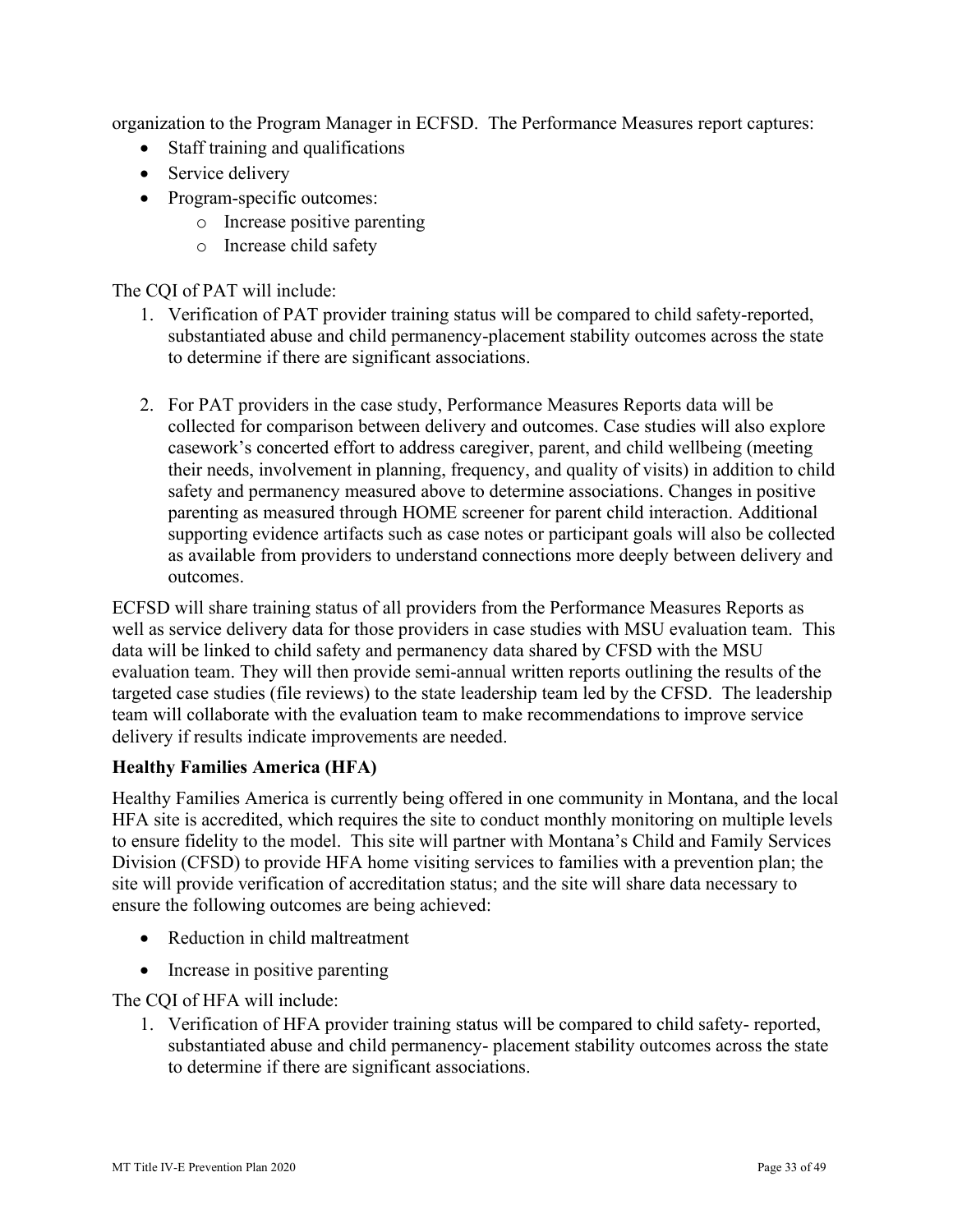organization to the Program Manager in ECFSD. The Performance Measures report captures:

- Staff training and qualifications
- Service delivery
- Program-specific outcomes:
	- o Increase positive parenting
	- o Increase child safety

The CQI of PAT will include:

- 1. Verification of PAT provider training status will be compared to child safety-reported, substantiated abuse and child permanency-placement stability outcomes across the state to determine if there are significant associations.
- safety and permanency measured above to determine associations. Changes in positive parenting as measured through HOME screener for parent child interaction. Additional 2. For PAT providers in the case study, Performance Measures Reports data will be collected for comparison between delivery and outcomes. Case studies will also explore casework's concerted effort to address caregiver, parent, and child wellbeing (meeting their needs, involvement in planning, frequency, and quality of visits) in addition to child supporting evidence artifacts such as case notes or participant goals will also be collected as available from providers to understand connections more deeply between delivery and outcomes.

ECFSD will share training status of all providers from the Performance Measures Reports as well as service delivery data for those providers in case studies with MSU evaluation team. This data will be linked to child safety and permanency data shared by CFSD with the MSU evaluation team. They will then provide semi-annual written reports outlining the results of the targeted case studies (file reviews) to the state leadership team led by the CFSD. The leadership team will collaborate with the evaluation team to make recommendations to improve service delivery if results indicate improvements are needed.

#### **Healthy Families America (HFA)**

Healthy Families America is currently being offered in one community in Montana, and the local HFA site is accredited, which requires the site to conduct monthly monitoring on multiple levels to ensure fidelity to the model. This site will partner with Montana's Child and Family Services Division (CFSD) to provide HFA home visiting services to families with a prevention plan; the site will provide verification of accreditation status; and the site will share data necessary to ensure the following outcomes are being achieved:

- Reduction in child maltreatment
- Increase in positive parenting

The CQI of HFA will include:

to determine if there are significant associations. 1. Verification of HFA provider training status will be compared to child safety- reported, substantiated abuse and child permanency- placement stability outcomes across the state to determine if there are significant associations.<br>MT Title IV-E Prevention Plan 2020 Page 33 of 49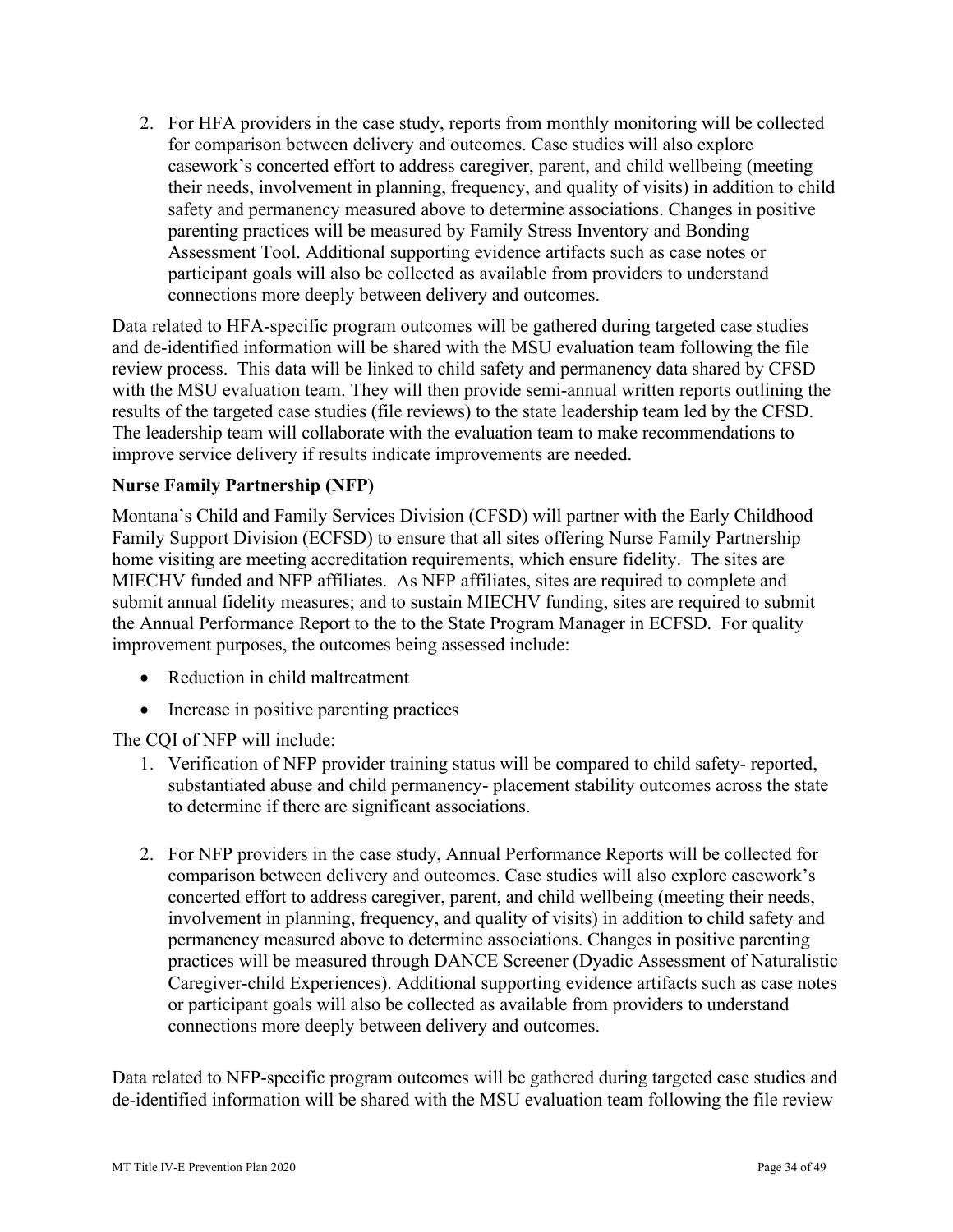2. For HFA providers in the case study, reports from monthly monitoring will be collected connections more deeply between delivery and outcomes. for comparison between delivery and outcomes. Case studies will also explore casework's concerted effort to address caregiver, parent, and child wellbeing (meeting their needs, involvement in planning, frequency, and quality of visits) in addition to child safety and permanency measured above to determine associations. Changes in positive parenting practices will be measured by Family Stress Inventory and Bonding Assessment Tool. Additional supporting evidence artifacts such as case notes or participant goals will also be collected as available from providers to understand

results of the targeted case studies (file reviews) to the state leadership team led by the CFSD. Data related to HFA-specific program outcomes will be gathered during targeted case studies and de-identified information will be shared with the MSU evaluation team following the file review process. This data will be linked to child safety and permanency data shared by CFSD with the MSU evaluation team. They will then provide semi-annual written reports outlining the The leadership team will collaborate with the evaluation team to make recommendations to improve service delivery if results indicate improvements are needed.

#### **Nurse Family Partnership (NFP)**

 MIECHV funded and NFP affiliates. As NFP affiliates, sites are required to complete and Montana's Child and Family Services Division (CFSD) will partner with the Early Childhood Family Support Division (ECFSD) to ensure that all sites offering Nurse Family Partnership home visiting are meeting accreditation requirements, which ensure fidelity. The sites are submit annual fidelity measures; and to sustain MIECHV funding, sites are required to submit the Annual Performance Report to the to the State Program Manager in ECFSD. For quality improvement purposes, the outcomes being assessed include:

- Reduction in child maltreatment
- Increase in positive parenting practices

The CQI of NFP will include:

- to determine if there are significant associations. 1. Verification of NFP provider training status will be compared to child safety- reported, substantiated abuse and child permanency- placement stability outcomes across the state
- connections more deeply between delivery and outcomes. 2. For NFP providers in the case study, Annual Performance Reports will be collected for comparison between delivery and outcomes. Case studies will also explore casework's concerted effort to address caregiver, parent, and child wellbeing (meeting their needs, involvement in planning, frequency, and quality of visits) in addition to child safety and permanency measured above to determine associations. Changes in positive parenting practices will be measured through DANCE Screener (Dyadic Assessment of Naturalistic Caregiver-child Experiences). Additional supporting evidence artifacts such as case notes or participant goals will also be collected as available from providers to understand

Data related to NFP-specific program outcomes will be gathered during targeted case studies and de-identified information will be shared with the MSU evaluation team following the file review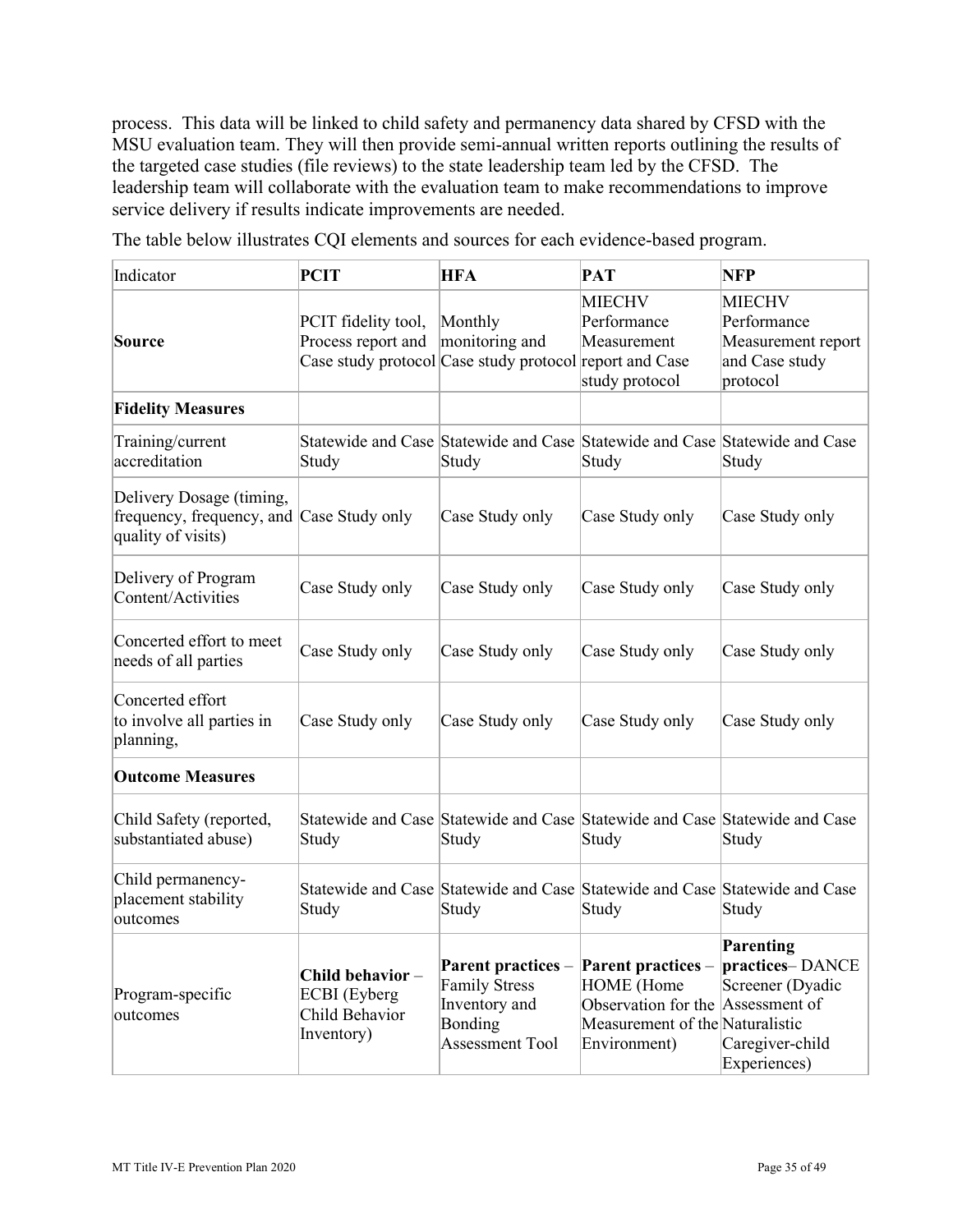the targeted case studies (file reviews) to the state leadership team led by the CFSD. The process. This data will be linked to child safety and permanency data shared by CFSD with the MSU evaluation team. They will then provide semi-annual written reports outlining the results of leadership team will collaborate with the evaluation team to make recommendations to improve service delivery if results indicate improvements are needed.

The table below illustrates CQI elements and sources for each evidence-based program.

| Indicator                                                                                   | <b>PCIT</b>                                                     | <b>HFA</b>                                                                                       | <b>PAT</b>                                                                                                        | <b>NFP</b>                                                                                           |
|---------------------------------------------------------------------------------------------|-----------------------------------------------------------------|--------------------------------------------------------------------------------------------------|-------------------------------------------------------------------------------------------------------------------|------------------------------------------------------------------------------------------------------|
| Source                                                                                      | PCIT fidelity tool,<br>Process report and                       | Monthly<br>monitoring and<br>Case study protocol Case study protocol report and Case             | <b>MIECHV</b><br>Performance<br>Measurement<br>study protocol                                                     | <b>MIECHV</b><br>Performance<br>Measurement report<br>and Case study<br>protocol                     |
| <b>Fidelity Measures</b>                                                                    |                                                                 |                                                                                                  |                                                                                                                   |                                                                                                      |
| Training/current<br>accreditation                                                           | Study                                                           | Statewide and Case Statewide and Case Statewide and Case Statewide and Case<br>Study             | Study                                                                                                             | Study                                                                                                |
| Delivery Dosage (timing,<br>frequency, frequency, and Case Study only<br>quality of visits) |                                                                 | Case Study only                                                                                  | Case Study only                                                                                                   | Case Study only                                                                                      |
| Delivery of Program<br>Content/Activities                                                   | Case Study only                                                 | Case Study only                                                                                  | Case Study only                                                                                                   | Case Study only                                                                                      |
| Concerted effort to meet<br>needs of all parties                                            | Case Study only                                                 | Case Study only                                                                                  | Case Study only                                                                                                   | Case Study only                                                                                      |
| Concerted effort<br>to involve all parties in<br>planning,                                  | Case Study only                                                 | Case Study only                                                                                  | Case Study only                                                                                                   | Case Study only                                                                                      |
| <b>Outcome Measures</b>                                                                     |                                                                 |                                                                                                  |                                                                                                                   |                                                                                                      |
| Child Safety (reported,<br>substantiated abuse)                                             | Study                                                           | Statewide and Case Statewide and Case Statewide and Case Statewide and Case<br>Study             | Study                                                                                                             | Study                                                                                                |
| Child permanency-<br>placement stability<br>outcomes                                        | Study                                                           | Statewide and Case Statewide and Case Statewide and Case Statewide and Case<br>Study             | Study                                                                                                             | Study                                                                                                |
| Program-specific<br>outcomes                                                                | Child behavior-<br>ECBI (Eyberg<br>Child Behavior<br>Inventory) | Parent practices –<br><b>Family Stress</b><br>Inventory and<br>Bonding<br><b>Assessment Tool</b> | <b>Parent practices</b> –<br>HOME (Home<br>Observation for the<br>Measurement of the Naturalistic<br>Environment) | Parenting<br>practices-DANCE<br>Screener (Dyadic<br>Assessment of<br>Caregiver-child<br>Experiences) |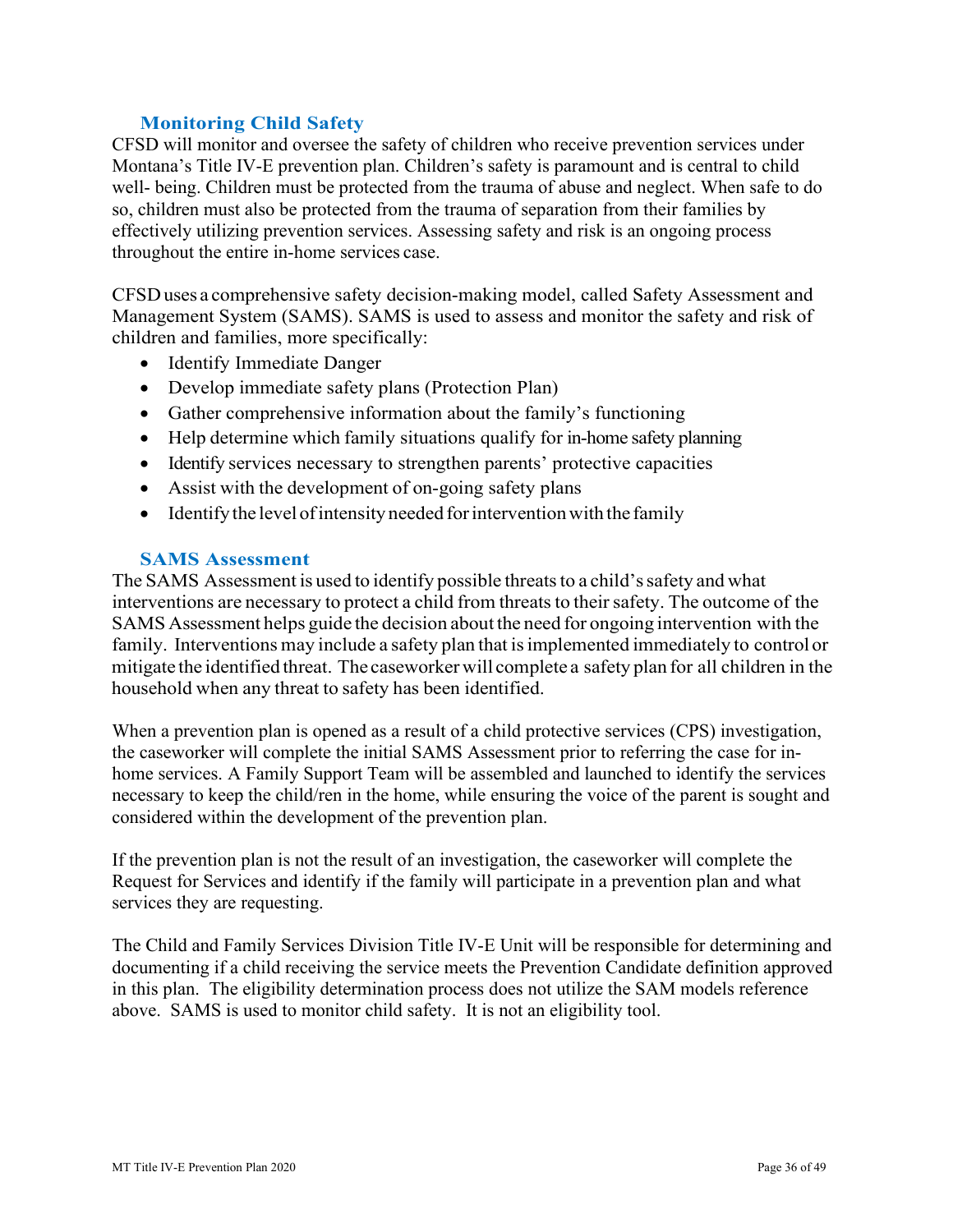#### **Monitoring Child Safety**

<span id="page-35-0"></span> throughout the entire in-home services case. CFSD will monitor and oversee the safety of children who receive prevention services under Montana's Title IV-E prevention plan. Children's safety is paramount and is central to child well- being. Children must be protected from the trauma of abuse and neglect. When safe to do so, children must also be protected from the trauma of separation from their families by effectively utilizing prevention services. Assessing safety and risk is an ongoing process

 CFSD uses a comprehensive safety decision-making model, called Safety Assessment and Management System (SAMS). SAMS is used to assess and monitor the safety and risk of children and families, more specifically:

- Identify Immediate Danger
- Develop immediate safety plans (Protection Plan)
- Gather comprehensive information about the family's functioning
- Help determine which family situations qualify for in-home safety planning
- Identify services necessary to strengthen parents' protective capacities
- Assist with the development of on-going safety plans
- Identify the level of intensity needed for intervention with the family

#### **SAMS Assessment**

<span id="page-35-1"></span> The SAMS Assessment is used to identify possible threats to a child's safety and what interventions are necessary to protect a child from threats to their safety. The outcome of the SAMS Assessment helps guide the decision about the need for ongoing intervention with the family. Interventions may include a safety plan that is implemented immediately to control or mitigate the identified threat. The caseworker will complete a safety plan for all children in the household when any threat to safety has been identified.

 When a prevention plan is opened as a result of a child protective services (CPS) investigation, home services. A Family Support Team will be assembled and launched to identify the services necessary to keep the child/ren in the home, while ensuring the voice of the parent is sought and the caseworker will complete the initial SAMS Assessment prior to referring the case for inconsidered within the development of the prevention plan.

If the prevention plan is not the result of an investigation, the caseworker will complete the Request for Services and identify if the family will participate in a prevention plan and what services they are requesting.

 documenting if a child receiving the service meets the Prevention Candidate definition approved The Child and Family Services Division Title IV-E Unit will be responsible for determining and in this plan. The eligibility determination process does not utilize the SAM models reference above. SAMS is used to monitor child safety. It is not an eligibility tool.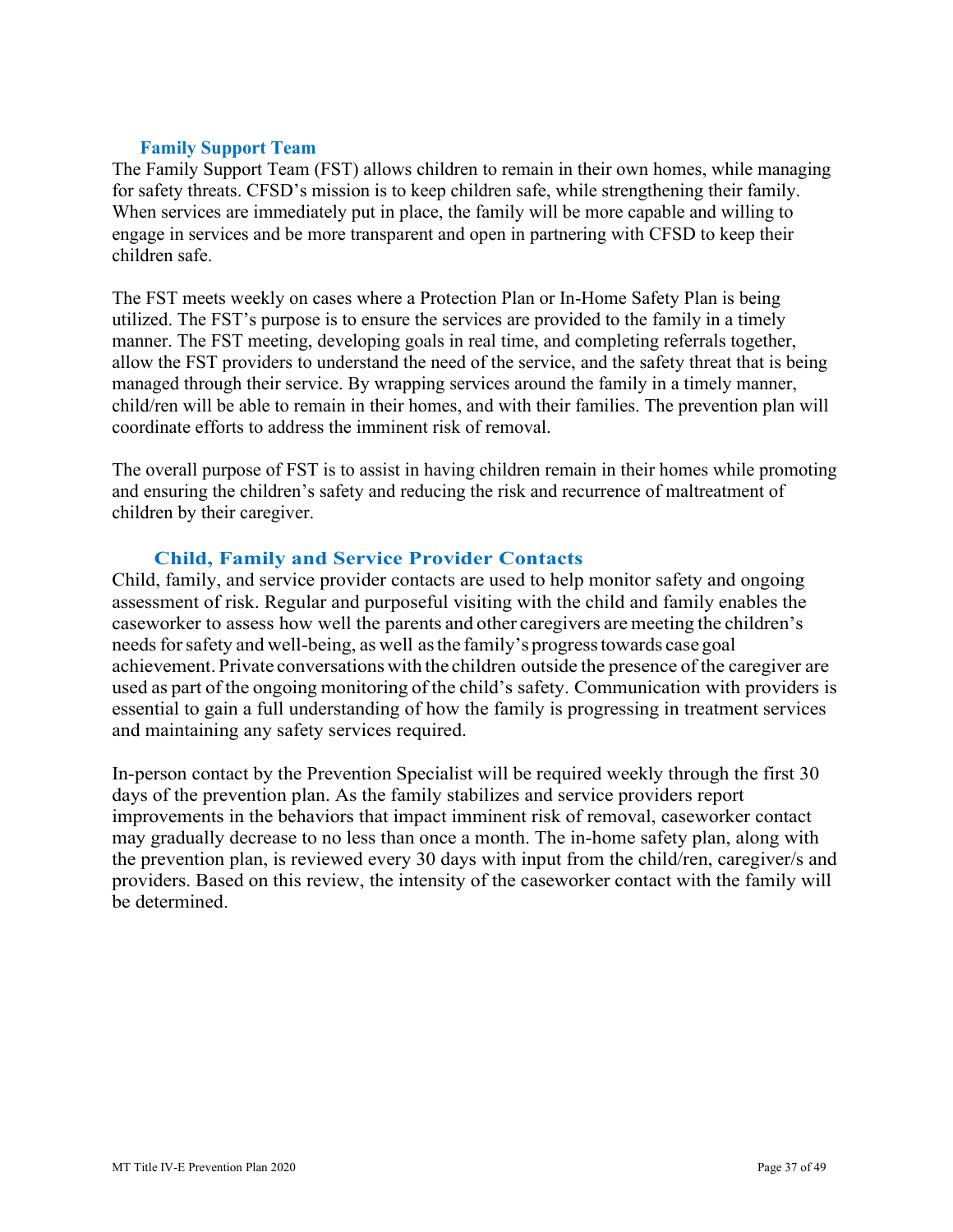#### **Family Support Team**

<span id="page-36-0"></span> for safety threats. CFSD's mission is to keep children safe, while strengthening their family. The Family Support Team (FST) allows children to remain in their own homes, while managing When services are immediately put in place, the family will be more capable and willing to engage in services and be more transparent and open in partnering with CFSD to keep their children safe.

 The FST meets weekly on cases where a Protection Plan or In-Home Safety Plan is being allow the FST providers to understand the need of the service, and the safety threat that is being utilized. The FST's purpose is to ensure the services are provided to the family in a timely manner. The FST meeting, developing goals in real time, and completing referrals together, managed through their service. By wrapping services around the family in a timely manner, child/ren will be able to remain in their homes, and with their families. The prevention plan will coordinate efforts to address the imminent risk of removal.

The overall purpose of FST is to assist in having children remain in their homes while promoting and ensuring the children's safety and reducing the risk and recurrence of maltreatment of children by their caregiver.

# **Child, Family and Service Provider Contacts**

<span id="page-36-1"></span> caseworker to assess how well the parents and other caregivers are meeting the children's needs for safety and well-being, as well as the family's progress towards case goal achievement. Private conversations with the children outside the presence of the caregiver are used as part of the ongoing monitoring of the child's safety. Communication with providers is essential to gain a full understanding of how the family is progressing in treatment services Child, family, and service provider contacts are used to help monitor safety and ongoing assessment of risk. Regular and purposeful visiting with the child and family enables the and maintaining any safety services required.

 improvements in the behaviors that impact imminent risk of removal, caseworker contact the prevention plan, is reviewed every 30 days with input from the child/ren, caregiver/s and providers. Based on this review, the intensity of the caseworker contact with the family will In-person contact by the Prevention Specialist will be required weekly through the first 30 days of the prevention plan. As the family stabilizes and service providers report may gradually decrease to no less than once a month. The in-home safety plan, along with be determined.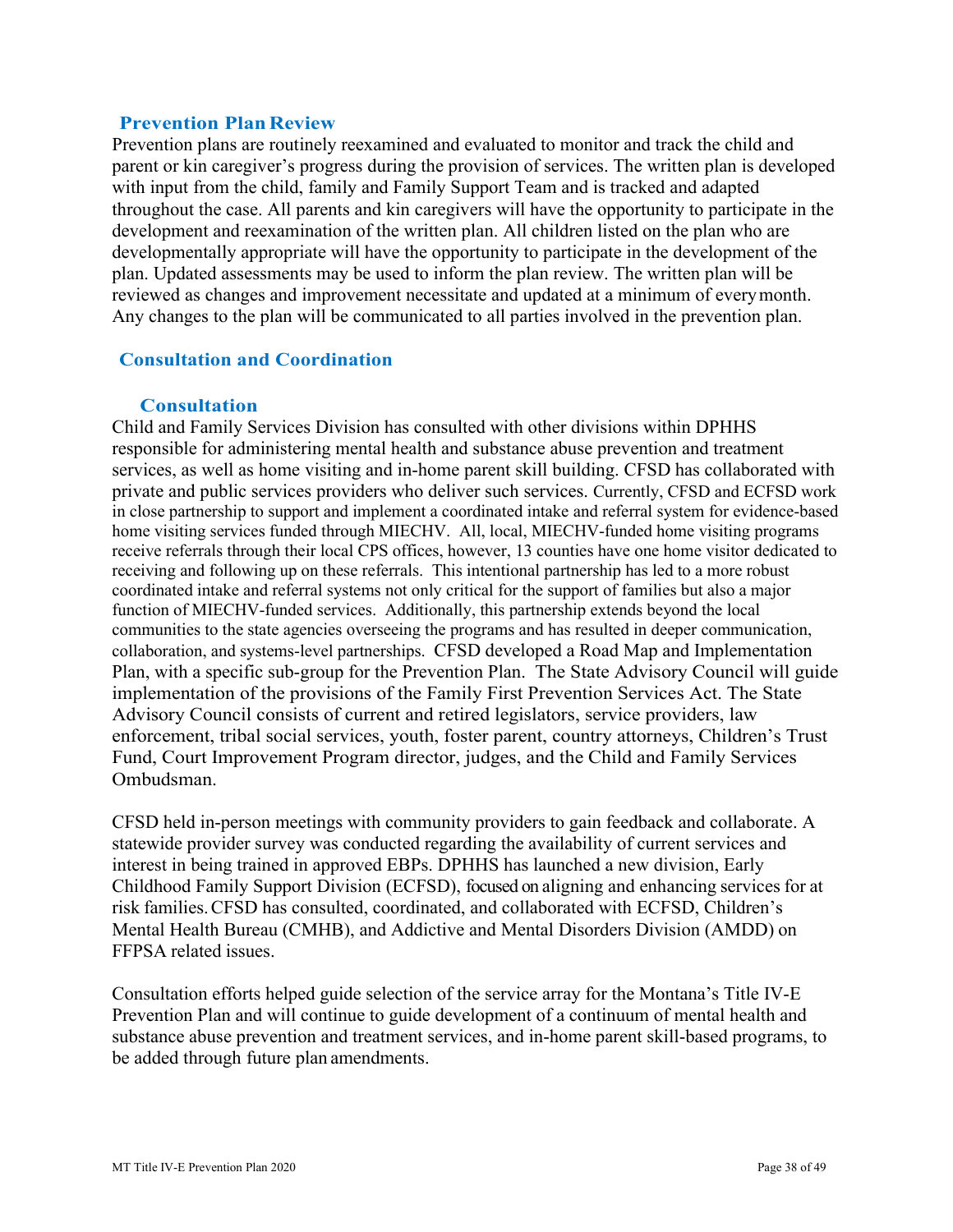#### **Prevention Plan Review**

 with input from the child, family and Family Support Team and is tracked and adapted reviewed as changes and improvement necessitate and updated at a minimum of everymonth. Prevention plans are routinely reexamined and evaluated to monitor and track the child and parent or kin caregiver's progress during the provision of services. The written plan is developed throughout the case. All parents and kin caregivers will have the opportunity to participate in the development and reexamination of the written plan. All children listed on the plan who are developmentally appropriate will have the opportunity to participate in the development of the plan. Updated assessments may be used to inform the plan review. The written plan will be Any changes to the plan will be communicated to all parties involved in the prevention plan.

#### **Consultation and Coordination**

#### **Consultation**

<span id="page-37-0"></span> receive referrals through their local CPS offices, however, 13 counties have one home visitor dedicated to receiving and following up on these referrals. This intentional partnership has led to a more robust coordinated intake and referral systems not only critical for the support of families but also a major Plan, with a specific sub-group for the Prevention Plan. The State Advisory Council will guide implementation of the provisions of the Family First Prevention Services Act. The State Child and Family Services Division has consulted with other divisions within DPHHS responsible for administering mental health and substance abuse prevention and treatment services, as well as home visiting and in-home parent skill building. CFSD has collaborated with private and public services providers who deliver such services. Currently, CFSD and ECFSD work in close partnership to support and implement a coordinated intake and referral system for evidence-based home visiting services funded through MIECHV. All, local, MIECHV-funded home visiting programs function of MIECHV-funded services. Additionally, this partnership extends beyond the local communities to the state agencies overseeing the programs and has resulted in deeper communication, collaboration, and systems-level partnerships. CFSD developed a Road Map and Implementation Advisory Council consists of current and retired legislators, service providers, law enforcement, tribal social services, youth, foster parent, country attorneys, Children's Trust Fund, Court Improvement Program director, judges, and the Child and Family Services Ombudsman.

 statewide provider survey was conducted regarding the availability of current services and interest in being trained in approved EBPs. DPHHS has launched a new division, Early Childhood Family Support Division (ECFSD), focused on aligning and enhancing services for at Mental Health Bureau (CMHB), and Addictive and Mental Disorders Division (AMDD) on FFPSA related issues. CFSD held in-person meetings with community providers to gain feedback and collaborate. A risk families. CFSD has consulted, coordinated, and collaborated with ECFSD, Children's

 Consultation efforts helped guide selection of the service array for the Montana's Title IV-E be added through future plan amendments. Prevention Plan and will continue to guide development of a continuum of mental health and substance abuse prevention and treatment services, and in-home parent skill-based programs, to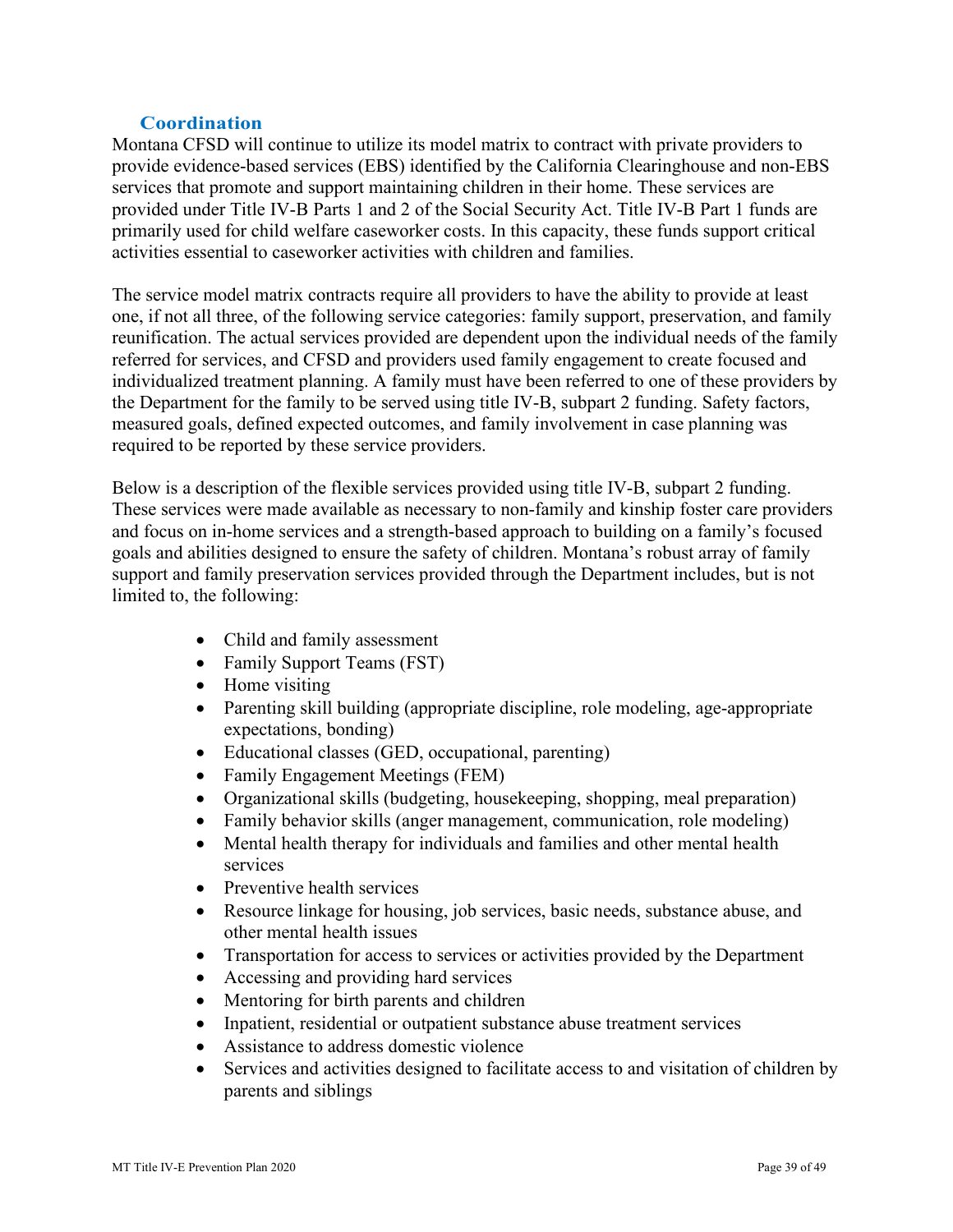#### **Coordination**

<span id="page-38-0"></span> Montana CFSD will continue to utilize its model matrix to contract with private providers to services that promote and support maintaining children in their home. These services are provide evidence-based services (EBS) identified by the California Clearinghouse and non-EBS provided under Title IV-B Parts 1 and 2 of the Social Security Act. Title IV-B Part 1 funds are primarily used for child welfare caseworker costs. In this capacity, these funds support critical activities essential to caseworker activities with children and families.

 reunification. The actual services provided are dependent upon the individual needs of the family referred for services, and CFSD and providers used family engagement to create focused and The service model matrix contracts require all providers to have the ability to provide at least one, if not all three, of the following service categories: family support, preservation, and family individualized treatment planning. A family must have been referred to one of these providers by the Department for the family to be served using title IV-B, subpart 2 funding. Safety factors, measured goals, defined expected outcomes, and family involvement in case planning was required to be reported by these service providers.

 support and family preservation services provided through the Department includes, but is not Below is a description of the flexible services provided using title IV-B, subpart 2 funding. These services were made available as necessary to non-family and kinship foster care providers and focus on in-home services and a strength-based approach to building on a family's focused goals and abilities designed to ensure the safety of children. Montana's robust array of family limited to, the following:

- Child and family assessment
- Family Support Teams (FST)
- Home visiting
- Parenting skill building (appropriate discipline, role modeling, age-appropriate expectations, bonding)
- Educational classes (GED, occupational, parenting)
- Family Engagement Meetings (FEM)
- Organizational skills (budgeting, housekeeping, shopping, meal preparation)
- Family behavior skills (anger management, communication, role modeling)
- Mental health therapy for individuals and families and other mental health services
- Preventive health services
- • Resource linkage for housing, job services, basic needs, substance abuse, and other mental health issues
- Transportation for access to services or activities provided by the Department
- Accessing and providing hard services
- Mentoring for birth parents and children
- Inpatient, residential or outpatient substance abuse treatment services
- Assistance to address domestic violence
- Services and activities designed to facilitate access to and visitation of children by parents and siblings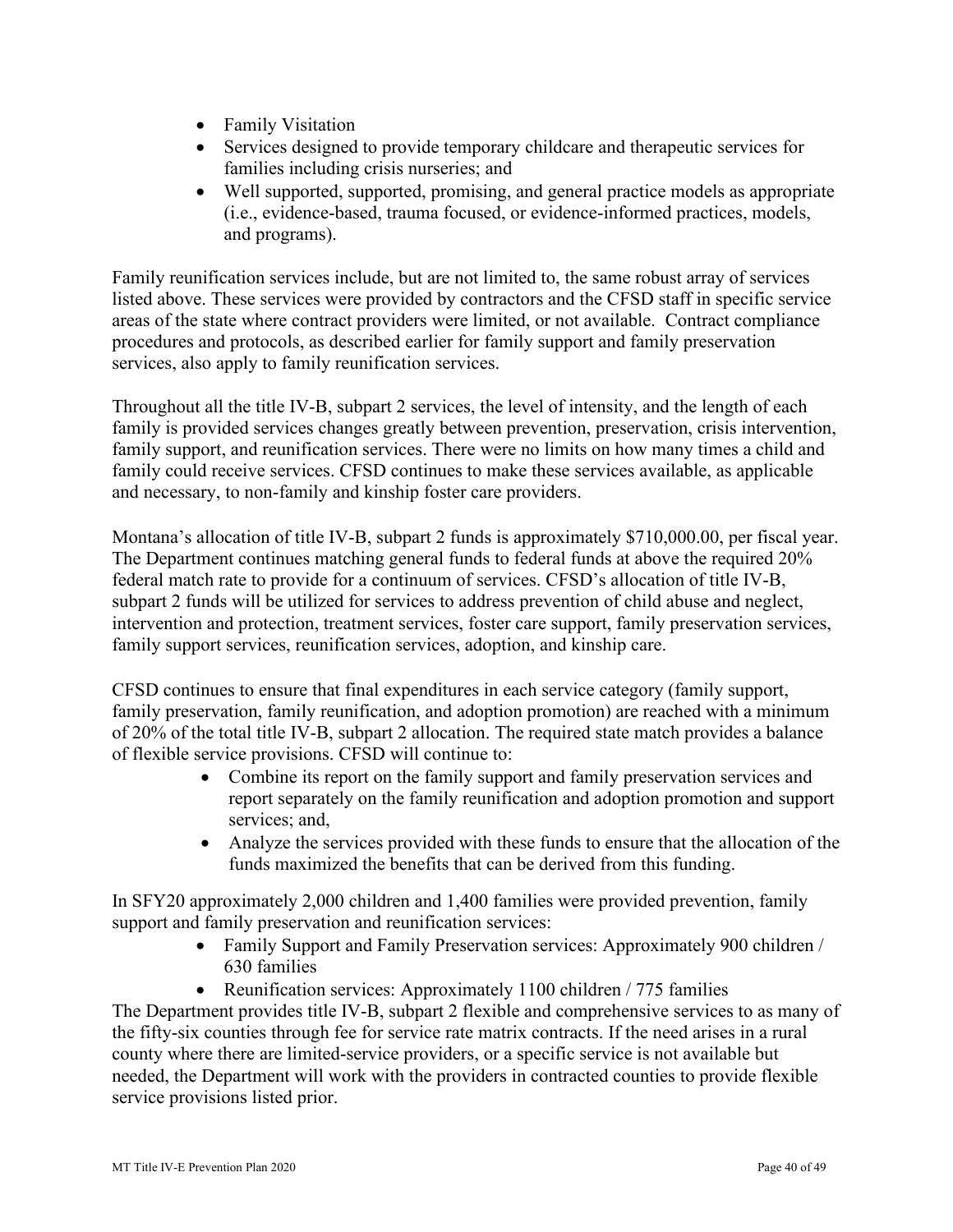- Family Visitation
- Services designed to provide temporary childcare and therapeutic services for families including crisis nurseries; and
- Well supported, supported, promising, and general practice models as appropriate (i.e., evidence-based, trauma focused, or evidence-informed practices, models, and programs).

 areas of the state where contract providers were limited, or not available. Contract compliance services, also apply to family reunification services. Family reunification services include, but are not limited to, the same robust array of services listed above. These services were provided by contractors and the CFSD staff in specific service procedures and protocols, as described earlier for family support and family preservation

 Throughout all the title IV-B, subpart 2 services, the level of intensity, and the length of each family is provided services changes greatly between prevention, preservation, crisis intervention, family support, and reunification services. There were no limits on how many times a child and family could receive services. CFSD continues to make these services available, as applicable and necessary, to non-family and kinship foster care providers.

 federal match rate to provide for a continuum of services. CFSD's allocation of title IV-B, family support services, reunification services, adoption, and kinship care. Montana's allocation of title IV-B, subpart 2 funds is approximately [\\$710,000.00](https://710,000.00), per fiscal year. The Department continues matching general funds to federal funds at above the required 20% subpart 2 funds will be utilized for services to address prevention of child abuse and neglect, intervention and protection, treatment services, foster care support, family preservation services,

 family preservation, family reunification, and adoption promotion) are reached with a minimum  $CFSD$  continues to ensure that final expenditures in each service category (family support, of 20% of the total title IV-B, subpart 2 allocation. The required state match provides a balance of flexible service provisions. CFSD will continue to:

- Combine its report on the family support and family preservation services and report separately on the family reunification and adoption promotion and support services; and,
- Analyze the services provided with these funds to ensure that the allocation of the funds maximized the benefits that can be derived from this funding.

In SFY20 approximately 2,000 children and 1,400 families were provided prevention, family support and family preservation and reunification services:

- Family Support and Family Preservation services: Approximately 900 children / 630 families
- Reunification services: Approximately 1100 children / 775 families

 needed, the Department will work with the providers in contracted counties to provide flexible The Department provides title IV-B, subpart 2 flexible and comprehensive services to as many of the fifty-six counties through fee for service rate matrix contracts. If the need arises in a rural county where there are limited-service providers, or a specific service is not available but service provisions listed prior.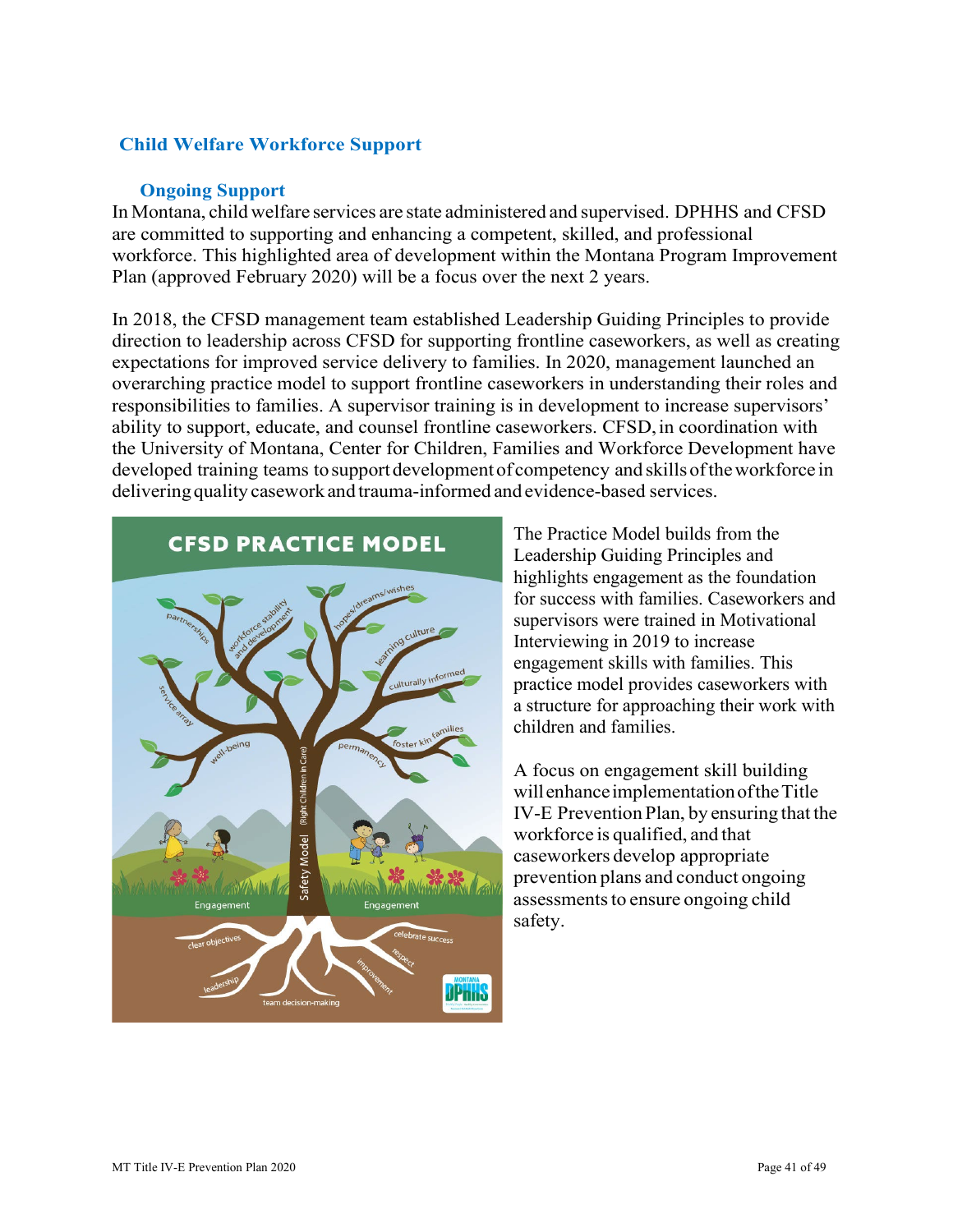# **Child Welfare Workforce Support**

#### **Ongoing Support**

<span id="page-40-0"></span> In Montana, child welfare services are state administered and supervised. DPHHS and CFSD are committed to supporting and enhancing a competent, skilled, and professional Plan (approved February 2020) will be a focus over the next 2 years. workforce. This highlighted area of development within the Montana Program Improvement

 expectations for improved service delivery to families. In 2020, management launched an overarching practice model to support frontline caseworkers in understanding their roles and developed training teams to support development of competency and skills of the workforce in delivering quality casework and trauma-informed and evidence-based services. In 2018, the CFSD management team established Leadership Guiding Principles to provide direction to leadership across CFSD for supporting frontline caseworkers, as well as creating responsibilities to families. A supervisor training is in development to increase supervisors' ability to support, educate, and counsel frontline caseworkers. CFSD, in coordination with the University of Montana, Center for Children, Families and Workforce Development have



 practice model provides caseworkers with The Practice Model builds from the Leadership Guiding Principles and highlights engagement as the foundation for success with families. Caseworkers and supervisors were trained in Motivational Interviewing in 2019 to increase engagement skills with families. This a structure for approaching their work with children and families.

 A focus on engagement skill building willenhanceimplementationoftheTitle IV-E Prevention Plan, by ensuring that the workforce is qualified, and that prevention plans and conduct ongoing assessments to ensure ongoing child caseworkers develop appropriate safety.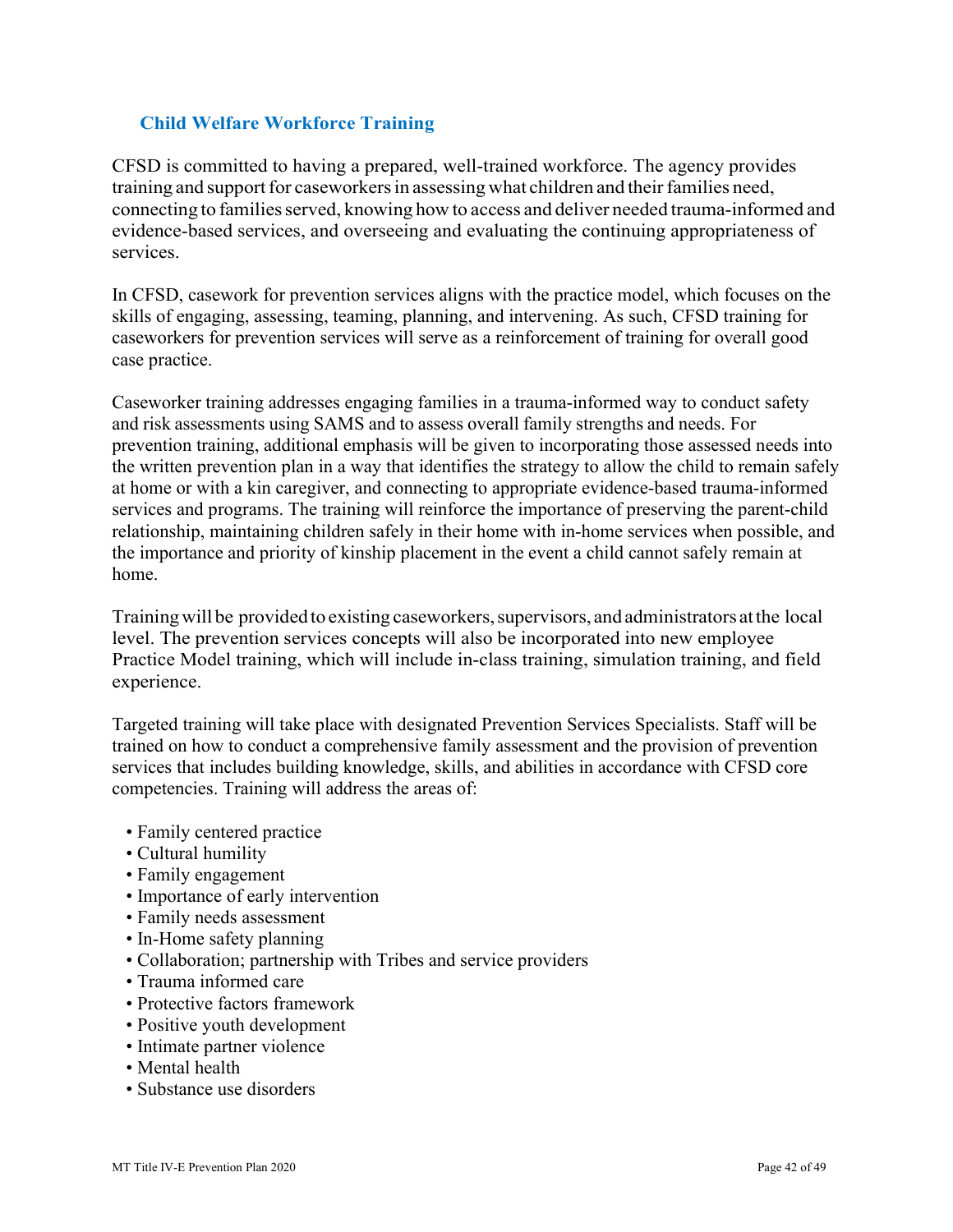# <span id="page-41-0"></span>**Child Welfare Workforce Training**

 CFSD is committed to having a prepared, well-trained workforce. The agency provides training and support for caseworkers in assessing what children and their families need, connecting to families served, knowing how to access and deliver needed trauma-informed and evidence-based services, and overseeing and evaluating the continuing appropriateness of services.

 skills of engaging, assessing, teaming, planning, and intervening. As such, CFSD training for In CFSD, casework for prevention services aligns with the practice model, which focuses on the caseworkers for prevention services will serve as a reinforcement of training for overall good case practice.

 and risk assessments using SAMS and to assess overall family strengths and needs. For Caseworker training addresses engaging families in a trauma-informed way to conduct safety prevention training, additional emphasis will be given to incorporating those assessed needs into the written prevention plan in a way that identifies the strategy to allow the child to remain safely at home or with a kin caregiver, and connecting to appropriate evidence-based trauma-informed services and programs. The training will reinforce the importance of preserving the parent-child relationship, maintaining children safely in their home with in-home services when possible, and the importance and priority of kinship placement in the event a child cannot safely remain at home.

 Training will be provided to existing caseworkers, supervisors, and administrators at the local level. The prevention services concepts will also be incorporated into new employee Practice Model training, which will include in-class training, simulation training, and field experience.

 Targeted training will take place with designated Prevention Services Specialists. Staff will be competencies. Training will address the areas of: trained on how to conduct a comprehensive family assessment and the provision of prevention services that includes building knowledge, skills, and abilities in accordance with CFSD core

- Family centered practice
- Cultural humility
- Family engagement
- Importance of early intervention
- Family needs assessment
- In-Home safety planning
- Collaboration; partnership with Tribes and service providers
- Trauma informed care
- Protective factors framework
- Positive youth development
- Intimate partner violence
- Mental health
- Substance use disorders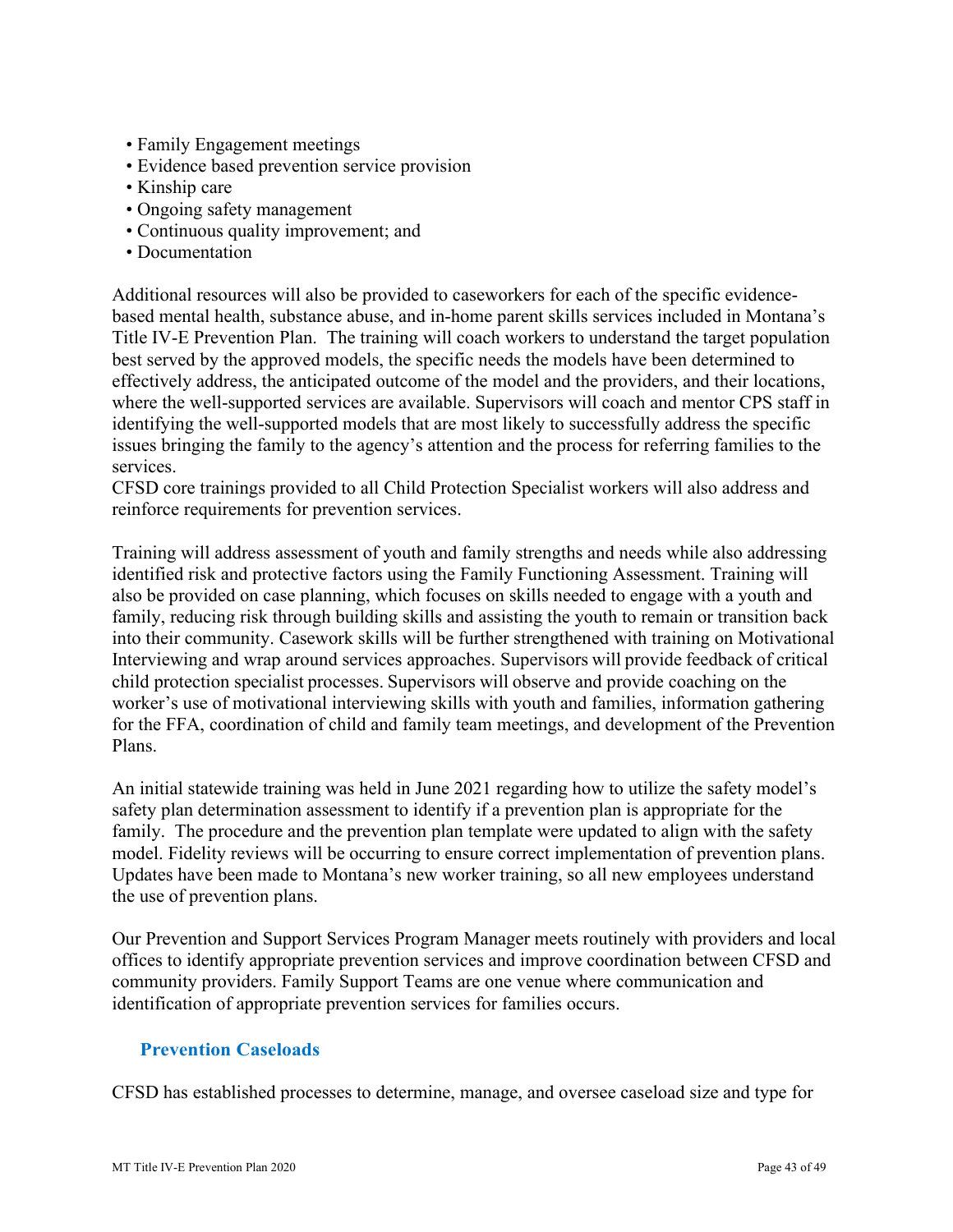- Family Engagement meetings
- Evidence based prevention service provision
- Kinship care
- Ongoing safety management
- Continuous quality improvement; and
- Documentation

Additional resources will also be provided to caseworkers for each of the specific evidencebased mental health, substance abuse, and in-home parent skills services included in Montana's Title IV-E Prevention Plan. The training will coach workers to understand the target population best served by the approved models, the specific needs the models have been determined to effectively address, the anticipated outcome of the model and the providers, and their locations, where the well-supported services are available. Supervisors will coach and mentor CPS staff in identifying the well-supported models that are most likely to successfully address the specific issues bringing the family to the agency's attention and the process for referring families to the services.

reinforce requirements for prevention services. CFSD core trainings provided to all Child Protection Specialist workers will also address and

reinforce requirements for prevention services.<br>Training will address assessment of youth and family strengths and needs while also addressing Interviewing and wrap around services approaches. Supervisors will provide feedback of critical child protection specialist processes. Supervisors will observe and provide coaching on the for the FFA, coordination of child and family team meetings, and development of the Prevention identified risk and protective factors using the Family Functioning Assessment. Training will also be provided on case planning, which focuses on skills needed to engage with a youth and family, reducing risk through building skills and assisting the youth to remain or transition back into their community. Casework skills will be further strengthened with training on Motivational worker's use of motivational interviewing skills with youth and families, information gathering Plans.

 family. The procedure and the prevention plan template were updated to align with the safety Updates have been made to Montana's new worker training, so all new employees understand An initial statewide training was held in June 2021 regarding how to utilize the safety model's safety plan determination assessment to identify if a prevention plan is appropriate for the model. Fidelity reviews will be occurring to ensure correct implementation of prevention plans. the use of prevention plans.

Our Prevention and Support Services Program Manager meets routinely with providers and local offices to identify appropriate prevention services and improve coordination between CFSD and community providers. Family Support Teams are one venue where communication and identification of appropriate prevention services for families occurs.

# <span id="page-42-0"></span>**Prevention Caseloads**

CFSD has established processes to determine, manage, and oversee caseload size and type for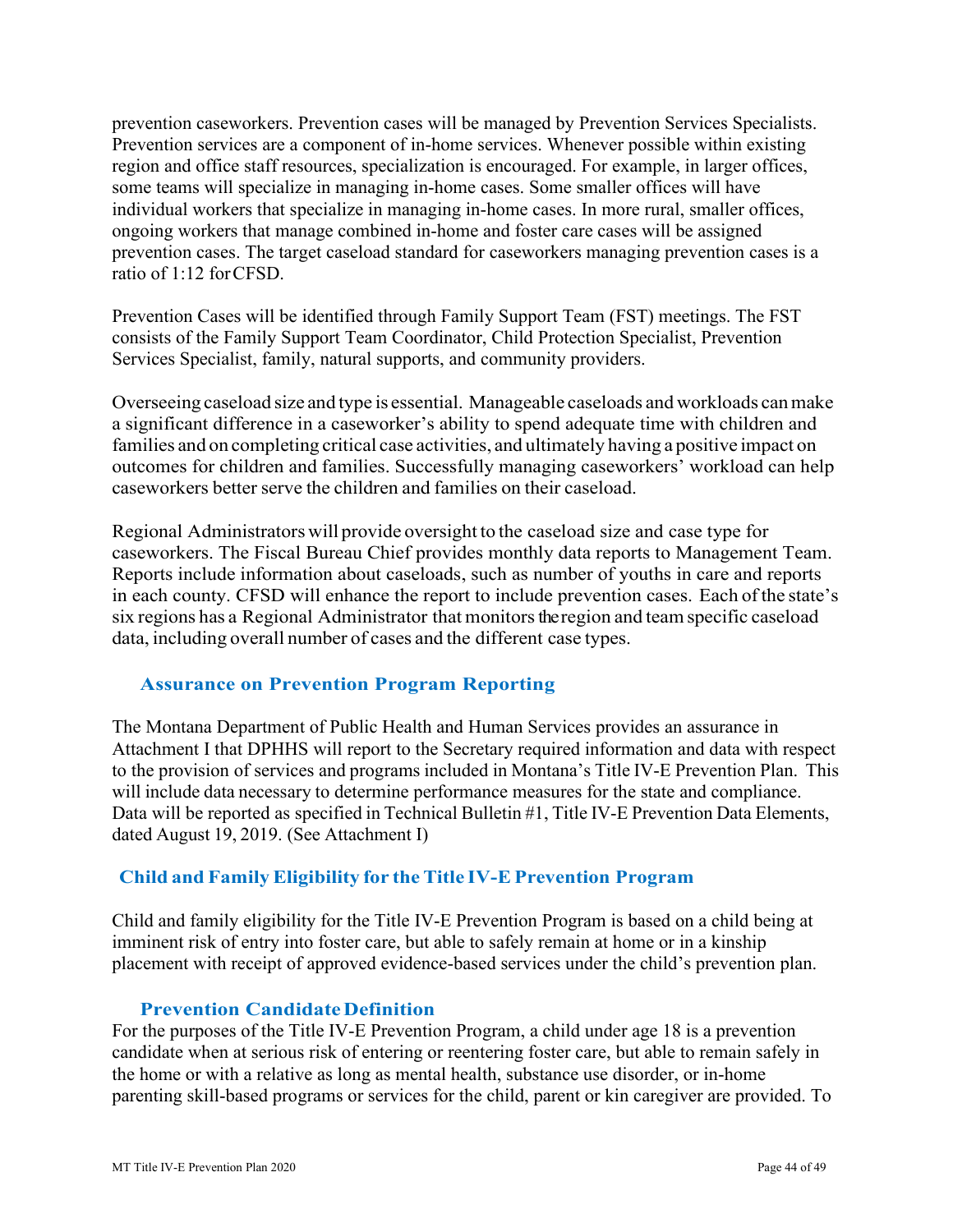Prevention services are a component of in-home services. Whenever possible within existing prevention cases. The target caseload standard for caseworkers managing prevention cases is a ratio of 1:12 forCFSD. prevention caseworkers. Prevention cases will be managed by Prevention Services Specialists. region and office staff resources, specialization is encouraged. For example, in larger offices, some teams will specialize in managing in-home cases. Some smaller offices will have individual workers that specialize in managing in-home cases. In more rural, smaller offices, ongoing workers that manage combined in-home and foster care cases will be assigned

 Prevention Cases will be identified through Family Support Team (FST) meetings. The FST Services Specialist, family, natural supports, and community providers. consists of the Family Support Team Coordinator, Child Protection Specialist, Prevention

 Overseeing caseload size and type is essential. Manageable caseloads and workloads can make families and on completing critical case activities, and ultimately having a positive impact on caseworkers better serve the children and families on their caseload. a significant difference in a caseworker's ability to spend adequate time with children and outcomes for children and families. Successfully managing caseworkers' workload can help

 Regional Administrators will provide oversight to the caseload size and case type for Reports include information about caseloads, such as number of youths in care and reports in each county. CFSD will enhance the report to include prevention cases. Each of the state's six regions has a Regional Administrator that monitors the region and team specific caseload data, including overall number of cases and the different case types. caseworkers. The Fiscal Bureau Chief provides monthly data reports to Management Team.

# <span id="page-43-0"></span>**Assurance on Prevention Program Reporting**

 The Montana Department of Public Health and Human Services provides an assurance in to the provision of services and programs included in Montana's Title IV-E Prevention Plan. This will include data necessary to determine performance measures for the state and compliance. Data will be reported as specified in Technical Bulletin #1, Title IV-E Prevention Data Elements, dated August 19, 2019. (See Attachment I) Attachment I that DPHHS will report to the Secretary required information and data with respect

# **Child and Family Eligibility for the Title IV-E Prevention Program**

Child and family eligibility for the Title IV-E Prevention Program is based on a child being at imminent risk of entry into foster care, but able to safely remain at home or in a kinship placement with receipt of approved evidence-based services under the child's prevention plan.

#### **Prevention Candidate Definition**

<span id="page-43-1"></span>For the purposes of the Title IV-E Prevention Program, a child under age 18 is a prevention candidate when at serious risk of entering or reentering foster care, but able to remain safely in the home or with a relative as long as mental health, substance use disorder, or in-home parenting skill-based programs or services for the child, parent or kin caregiver are provided. To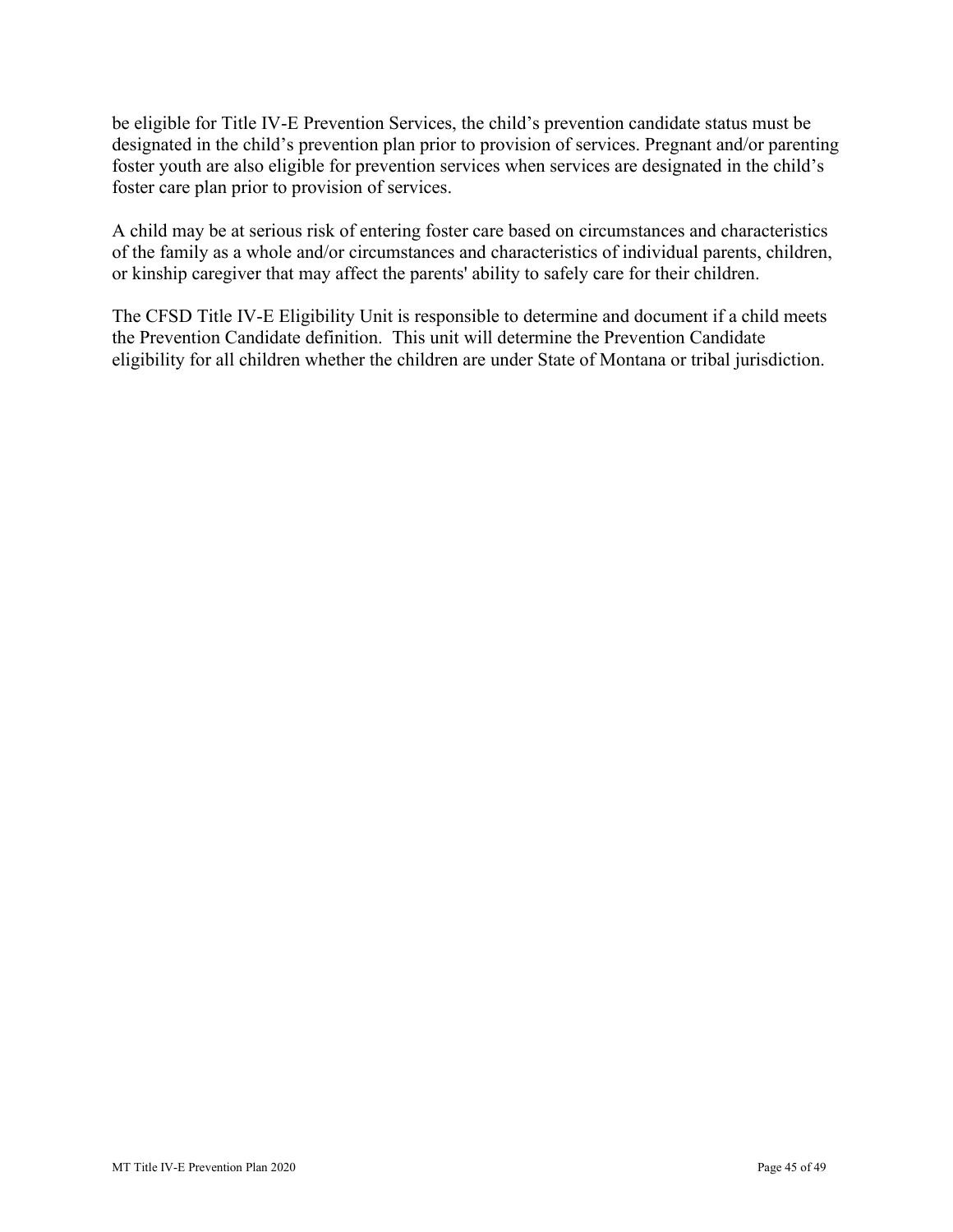foster care plan prior to provision of services. be eligible for Title IV-E Prevention Services, the child's prevention candidate status must be designated in the child's prevention plan prior to provision of services. Pregnant and/or parenting foster youth are also eligible for prevention services when services are designated in the child's

A child may be at serious risk of entering foster care based on circumstances and characteristics of the family as a whole and/or circumstances and characteristics of individual parents, children, or kinship caregiver that may affect the parents' ability to safely care for their children.

 eligibility for all children whether the children are under State of Montana or tribal jurisdiction. The CFSD Title IV-E Eligibility Unit is responsible to determine and document if a child meets the Prevention Candidate definition. This unit will determine the Prevention Candidate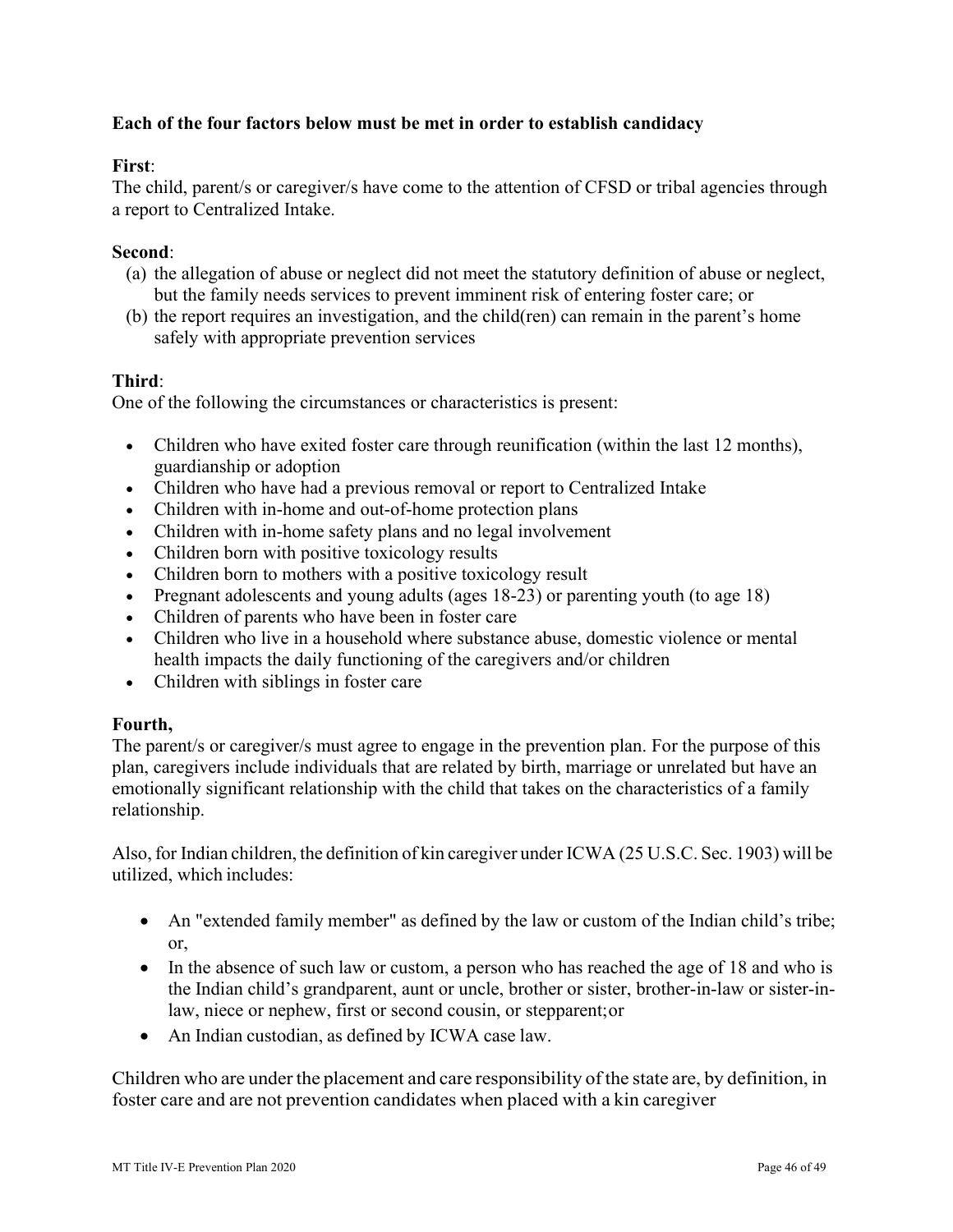# **Each of the four factors below must be met in order to establish candidacy**

#### **First**:

 a report to Centralized Intake. The child, parent/s or caregiver/s have come to the attention of CFSD or tribal agencies through

#### **Second**:

- but the family needs services to prevent imminent risk of entering foster care; or (a) the allegation of abuse or neglect did not meet the statutory definition of abuse or neglect,
- (b) the report requires an investigation, and the child(ren) can remain in the parent's home safely with appropriate prevention services

#### **Third**:

One of the following the circumstances or characteristics is present:

- Children who have exited foster care through reunification (within the last 12 months), guardianship or adoption
- Children who have had a previous removal or report to Centralized Intake
- Children with in-home and out-of-home protection plans
- Children with in-home safety plans and no legal involvement
- Children born with positive toxicology results
- Children born to mothers with a positive toxicology result
- Pregnant adolescents and young adults (ages 18-23) or parenting youth (to age 18)
- Children of parents who have been in foster care
- • Children who live in a household where substance abuse, domestic violence or mental health impacts the daily functioning of the caregivers and/or children
- Children with siblings in foster care

#### **Fourth,**

The parent/s or caregiver/s must agree to engage in the prevention plan. For the purpose of this plan, caregivers include individuals that are related by birth, marriage or unrelated but have an emotionally significant relationship with the child that takes on the characteristics of a family relationship.

 Also, for Indian children, the definition of kin caregiver under ICWA (25 U.S.C. Sec. 1903) will be utilized, which includes:

- • An "extended family member" as defined by the law or custom of the Indian child's tribe; or,
- In the absence of such law or custom, a person who has reached the age of 18 and who is the Indian child's grandparent, aunt or uncle, brother or sister, brother-in-law or sister-inlaw, niece or nephew, first or second cousin, or stepparent; or
- An Indian custodian, as defined by ICWA case law.

 Children who are under the placement and care responsibility of the state are, by definition, in foster care and are not prevention candidates when placed with a kin caregiver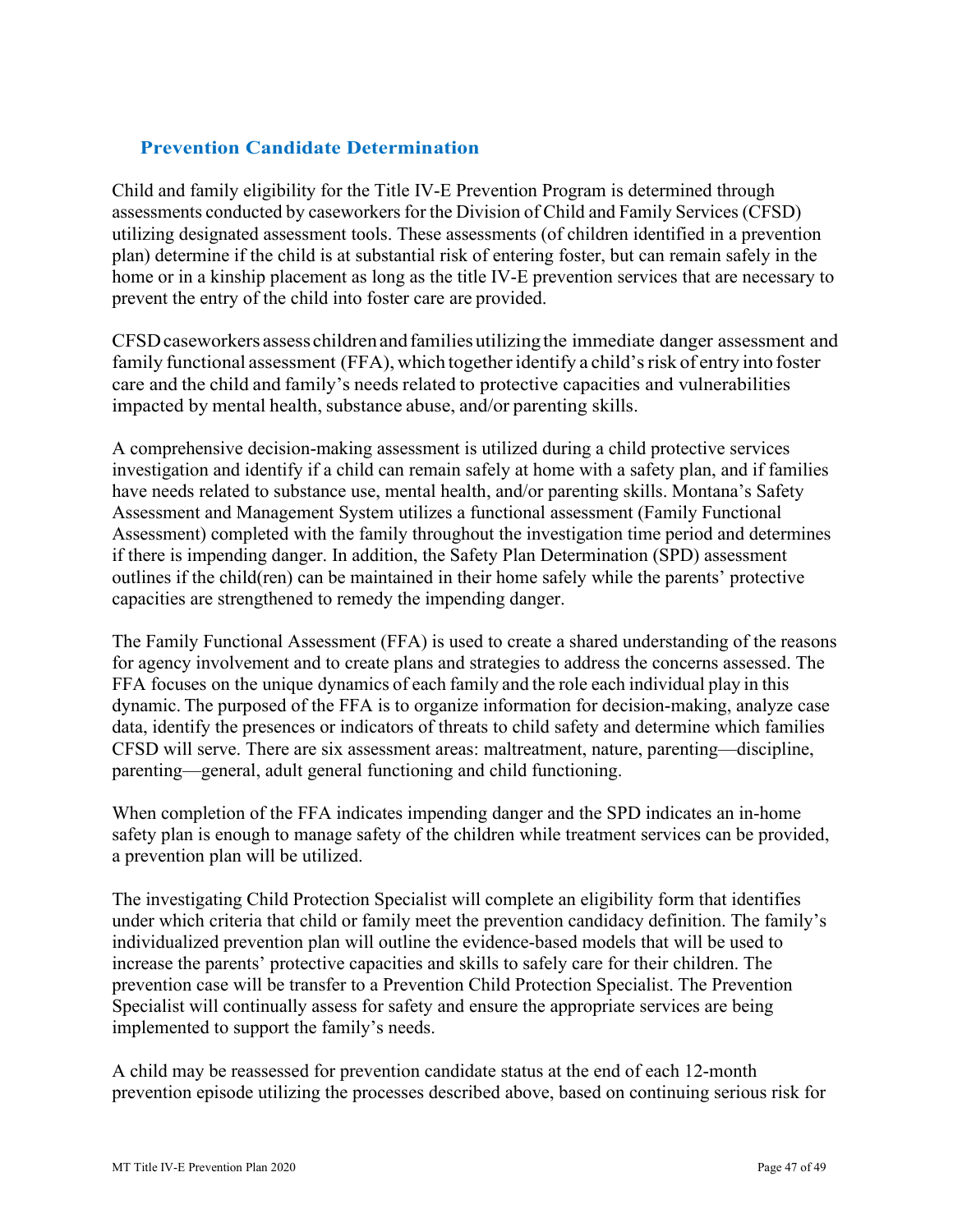# <span id="page-46-0"></span> **Prevention Candidate Determination**

 assessments conducted by caseworkers for the Division of Child and Family Services (CFSD) prevent the entry of the child into foster care are provided. Child and family eligibility for the Title IV-E Prevention Program is determined through utilizing designated assessment tools. These assessments (of children identified in a prevention plan) determine if the child is at substantial risk of entering foster, but can remain safely in the home or in a kinship placement as long as the title IV-E prevention services that are necessary to

 CFSD caseworkers assess children and families utilizing the immediate danger assessment and family functional assessment (FFA), which together identify a child's risk of entry into foster care and the child and family's needs related to protective capacities and vulnerabilities impacted by mental health, substance abuse, and/or parenting skills.

 have needs related to substance use, mental health, and/or parenting skills. Montana's Safety Assessment and Management System utilizes a functional assessment (Family Functional if there is impending danger. In addition, the Safety Plan Determination (SPD) assessment A comprehensive decision-making assessment is utilized during a child protective services investigation and identify if a child can remain safely at home with a safety plan, and if families Assessment) completed with the family throughout the investigation time period and determines outlines if the child(ren) can be maintained in their home safely while the parents' protective capacities are strengthened to remedy the impending danger.

 FFA focuses on the unique dynamics of each family and the role each individual play in this dynamic. The purposed of the FFA is to organize information for decision-making, analyze case The Family Functional Assessment (FFA) is used to create a shared understanding of the reasons for agency involvement and to create plans and strategies to address the concerns assessed. The data, identify the presences or indicators of threats to child safety and determine which families CFSD will serve. There are six assessment areas: maltreatment, nature, parenting—discipline, parenting—general, adult general functioning and child functioning.

 a prevention plan will be utilized. When completion of the FFA indicates impending danger and the SPD indicates an in-home safety plan is enough to manage safety of the children while treatment services can be provided,

The investigating Child Protection Specialist will complete an eligibility form that identifies under which criteria that child or family meet the prevention candidacy definition. The family's individualized prevention plan will outline the evidence-based models that will be used to increase the parents' protective capacities and skills to safely care for their children. The prevention case will be transfer to a Prevention Child Protection Specialist. The Prevention Specialist will continually assess for safety and ensure the appropriate services are being implemented to support the family's needs.

A child may be reassessed for prevention candidate status at the end of each 12-month prevention episode utilizing the processes described above, based on continuing serious risk for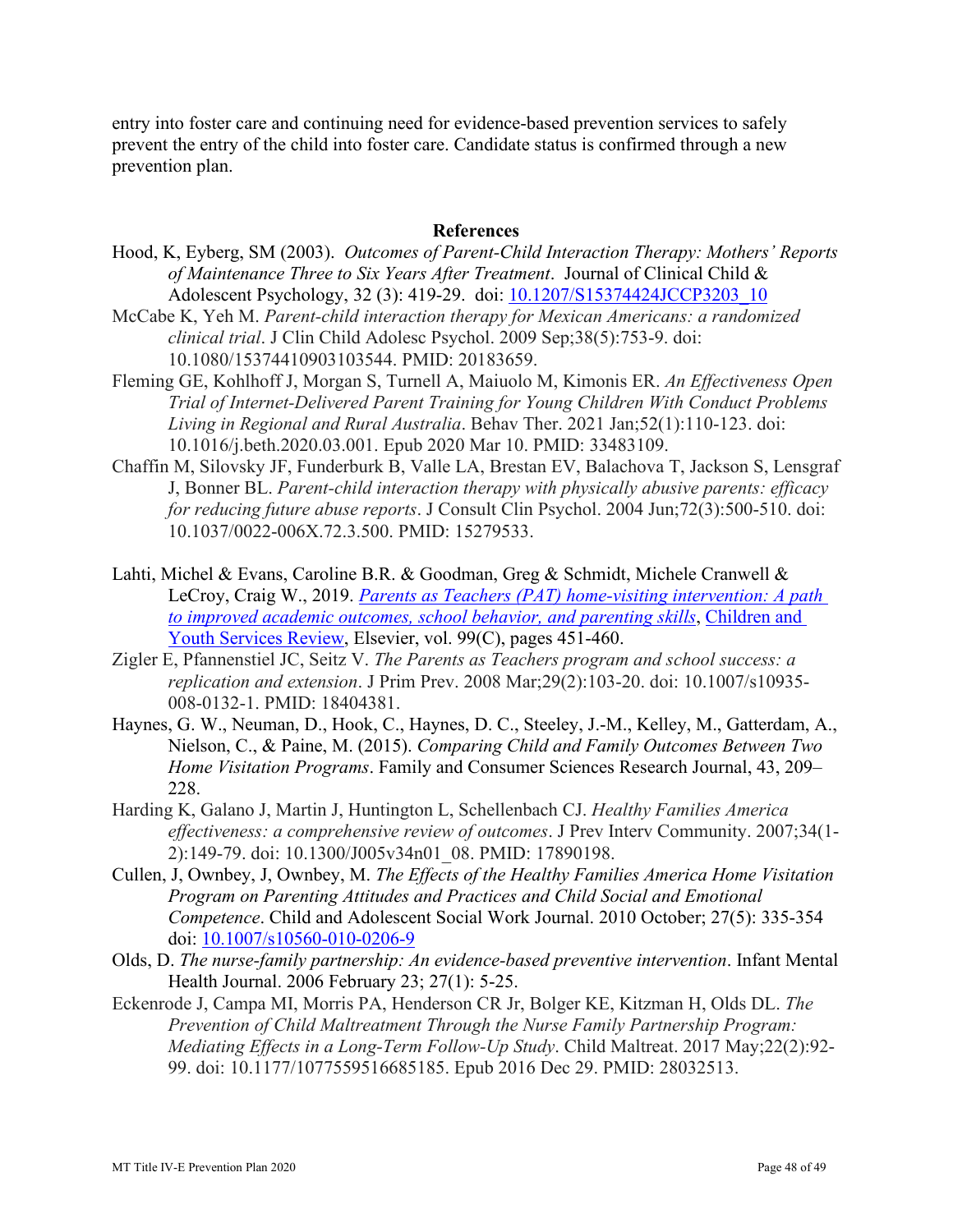entry into foster care and continuing need for evidence-based prevention services to safely prevent the entry of the child into foster care. Candidate status is confirmed through a new prevention plan.

#### **References**

- Hood, K, Eyberg, SM (2003). *Outcomes of Parent-Child Interaction Therapy: Mothers' Reports of Maintenance Three to Six Years After Treatment*. Journal of Clinical Child & Adolescent Psychology, 32 (3): 419-29. doi: 10.1207/S15374424JCCP3203\_10
- McCabe K, Yeh M. *Parent-child interaction therapy for Mexican Americans: a randomized clinical trial*. J Clin Child Adolesc Psychol. 2009 Sep;38(5):753-9. doi: 10.1080/15374410903103544. PMID: 20183659.
- Fleming GE, Kohlhoff J, Morgan S, Turnell A, Maiuolo M, Kimonis ER. *An Effectiveness Open Trial of Internet-Delivered Parent Training for Young Children With Conduct Problems Living in Regional and Rural Australia*. Behav Ther. 2021 Jan;52(1):110-123. doi: 10.1016/j.beth.2020.03.001. Epub 2020 Mar 10. PMID: 33483109.
- Chaffin M, Silovsky JF, Funderburk B, Valle LA, Brestan EV, Balachova T, Jackson S, Lensgraf J, Bonner BL. *Parent-child interaction therapy with physically abusive parents: efficacy for reducing future abuse reports*. J Consult Clin Psychol. 2004 Jun;72(3):500-510. doi: 10.1037/0022-006X.72.3.500. PMID: 15279533.
- Lahti, Michel & Evans, Caroline B.R. & Goodman, Greg & Schmidt, Michele Cranwell & LeCroy, Craig W., 2019. *[Parents as Teachers \(PAT\) home-visiting intervention: A path](https://ideas.repec.org/a/eee/cysrev/v99y2019icp451-460.html)  [to improved academic outcomes, school behavior, and parenting skills](https://ideas.repec.org/a/eee/cysrev/v99y2019icp451-460.html)*, [Children and](https://ideas.repec.org/s/eee/cysrev.html)  [Youth Services Review,](https://ideas.repec.org/s/eee/cysrev.html) Elsevier, vol. 99(C), pages 451-460.
- Zigler E, Pfannenstiel JC, Seitz V. *The Parents as Teachers program and school success: a replication and extension*. J Prim Prev. 2008 Mar;29(2):103-20. doi: 10.1007/s10935- 008-0132-1. PMID: 18404381.
- Haynes, G. W., Neuman, D., Hook, C., Haynes, D. C., Steeley, J.-M., Kelley, M., Gatterdam, A., Nielson, C., & Paine, M. (2015). *Comparing Child and Family Outcomes Between Two Home Visitation Programs*. Family and Consumer Sciences Research Journal, 43, 209– 228.
- Harding K, Galano J, Martin J, Huntington L, Schellenbach CJ. *Healthy Families America effectiveness: a comprehensive review of outcomes*. J Prev Interv Community. 2007;34(1- 2):149-79. doi: 10.1300/J005v34n01\_08. PMID: 17890198.
- Cullen, J, Ownbey, J, Ownbey, M. *The Effects of the Healthy Families America Home Visitation Program on Parenting Attitudes and Practices and Child Social and Emotional Competence*. Child and Adolescent Social Work Journal. 2010 October; 27(5): 335-354 doi: [10.1007/s10560-010-0206-9](http://dx.doi.org/10.1007/s10560-010-0206-9)
- Olds, D. *The nurse-family partnership: An evidence-based preventive intervention*. Infant Mental Health Journal. 2006 February 23; 27(1): 5-25.
- Eckenrode J, Campa MI, Morris PA, Henderson CR Jr, Bolger KE, Kitzman H, Olds DL. *The Prevention of Child Maltreatment Through the Nurse Family Partnership Program: Mediating Effects in a Long-Term Follow-Up Study*. Child Maltreat. 2017 May;22(2):92- 99. doi: 10.1177/1077559516685185. Epub 2016 Dec 29. PMID: 28032513.